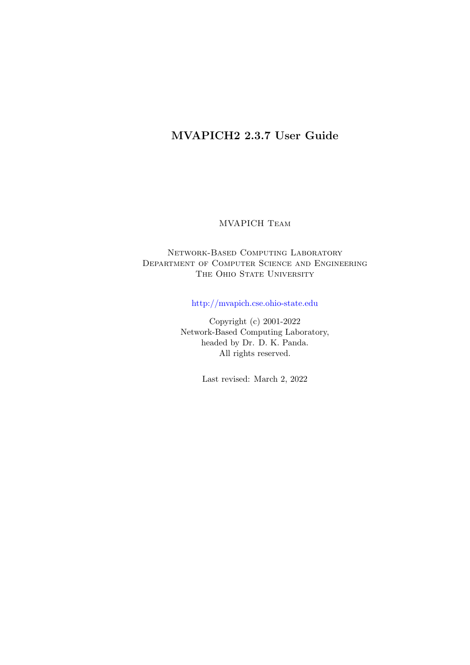# MVAPICH2 2.3.7 User Guide

# MVAPICH Team

# Network-Based Computing Laboratory Department of Computer Science and Engineering THE OHIO STATE UNIVERSITY

<http://mvapich.cse.ohio-state.edu>

Copyright (c) 2001-2022 Network-Based Computing Laboratory, headed by Dr. D. K. Panda. All rights reserved.

Last revised: March 2, 2022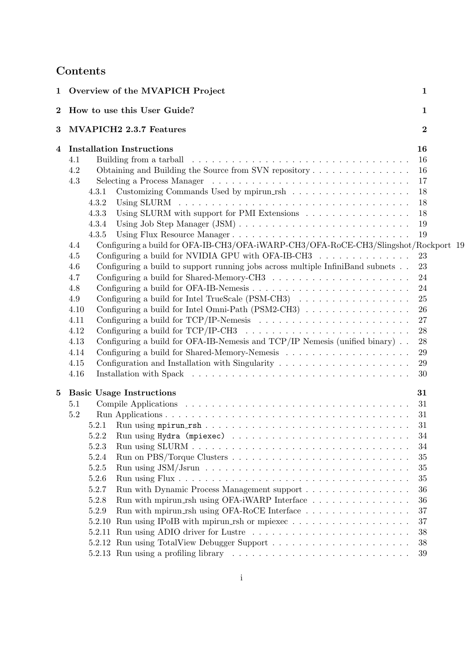# Contents

| $\mathbf 1$ | Overview of the MVAPICH Project                                                                                                                                                                                                                                                                                                                                                                                                                                                                                                                                                                                                                                                                                                                                                                                                                                                                                                | $\mathbf{1}$                                                                                       |
|-------------|--------------------------------------------------------------------------------------------------------------------------------------------------------------------------------------------------------------------------------------------------------------------------------------------------------------------------------------------------------------------------------------------------------------------------------------------------------------------------------------------------------------------------------------------------------------------------------------------------------------------------------------------------------------------------------------------------------------------------------------------------------------------------------------------------------------------------------------------------------------------------------------------------------------------------------|----------------------------------------------------------------------------------------------------|
| $\bf{2}$    | How to use this User Guide?                                                                                                                                                                                                                                                                                                                                                                                                                                                                                                                                                                                                                                                                                                                                                                                                                                                                                                    | $\mathbf{1}$                                                                                       |
| $\bf{3}$    | MVAPICH2 2.3.7 Features                                                                                                                                                                                                                                                                                                                                                                                                                                                                                                                                                                                                                                                                                                                                                                                                                                                                                                        | $\overline{2}$                                                                                     |
| 4           | <b>Installation Instructions</b><br>Building from a tarball experience in the contract of the state of the state of the state of the state of the state of the state of the state of the state of the state of the state of the state of the state of the state of<br>4.1<br>4.2<br>Obtaining and Building the Source from SVN repository<br>4.3<br>4.3.1<br>4.3.2<br>Using SLURM with support for PMI Extensions<br>4.3.3<br>4.3.4<br>Using Flux Resource Manager<br>4.3.5<br>Configuring a build for OFA-IB-CH3/OFA-iWARP-CH3/OFA-RoCE-CH3/Slingshot/Rockport 19<br>4.4<br>Configuring a build for NVIDIA GPU with OFA-IB-CH3<br>4.5<br>Configuring a build to support running jobs across multiple InfiniBand subnets<br>4.6<br>4.7<br>4.8<br>Configuring a build for Intel TrueScale (PSM-CH3)<br>4.9<br>4.10<br>Configuring a build for TCP/IP-Nemesis $\ldots \ldots \ldots \ldots \ldots \ldots \ldots$<br>4.11<br>4.12 | 16<br>16<br>16<br>17<br>18<br>18<br>18<br>19<br>19<br>23<br>23<br>24<br>24<br>25<br>26<br>27<br>28 |
| $\bf{5}$    | Configuring a build for OFA-IB-Nemesis and TCP/IP Nemesis (unified binary)<br>4.13<br>4.14<br>Configuration and Installation with Singularity $\ldots \ldots \ldots \ldots \ldots \ldots$<br>4.15<br>4.16<br><b>Basic Usage Instructions</b>                                                                                                                                                                                                                                                                                                                                                                                                                                                                                                                                                                                                                                                                                   | 28<br>29<br>29<br>30<br>31                                                                         |
|             | 5.1<br>5.2<br>5.2.1<br>5.2.2<br>5.2.3<br>5.2.4<br>5.2.5<br>5.2.6<br>5.2.7<br>Run with Dynamic Process Management support<br>5.2.8<br>Run with mpirun_rsh using OFA-iWARP Interface<br>Run with mpirun_rsh using OFA-RoCE Interface $\ldots \ldots \ldots \ldots \ldots$<br>5.2.9<br>Run using IPoIB with mpirun_rsh or mpiexec<br>5.2.10<br>5.2.11 Run using ADIO driver for Lustre                                                                                                                                                                                                                                                                                                                                                                                                                                                                                                                                            | 31<br>31<br>31<br>34<br>34<br>35<br>35<br>35<br>36<br>36<br>37<br>37<br>38<br>38<br>39             |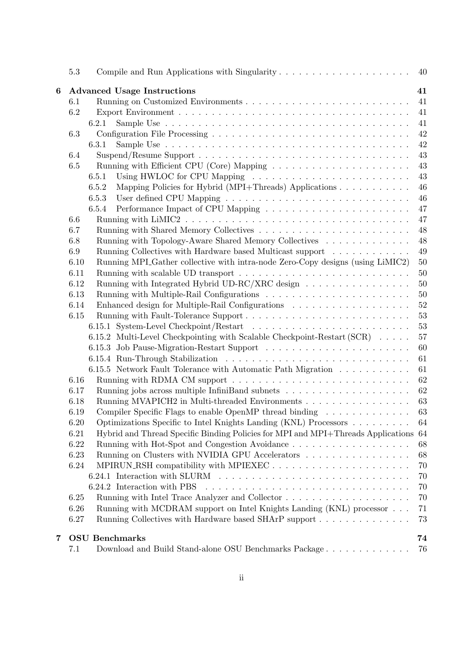|   | 5.3                                                            |                                                                                                              | 40 |  |  |  |  |  |  |
|---|----------------------------------------------------------------|--------------------------------------------------------------------------------------------------------------|----|--|--|--|--|--|--|
| 6 |                                                                | <b>Advanced Usage Instructions</b>                                                                           | 41 |  |  |  |  |  |  |
|   | 6.1                                                            |                                                                                                              | 41 |  |  |  |  |  |  |
|   | 6.2                                                            |                                                                                                              | 41 |  |  |  |  |  |  |
|   |                                                                | 6.2.1                                                                                                        | 41 |  |  |  |  |  |  |
|   | 6.3                                                            |                                                                                                              | 42 |  |  |  |  |  |  |
|   |                                                                | 6.3.1                                                                                                        | 42 |  |  |  |  |  |  |
|   | 6.4                                                            | Suspend/Resume Support $\ldots \ldots \ldots \ldots \ldots \ldots \ldots \ldots \ldots \ldots \ldots \ldots$ | 43 |  |  |  |  |  |  |
|   | 6.5                                                            |                                                                                                              | 43 |  |  |  |  |  |  |
|   |                                                                | 6.5.1                                                                                                        | 43 |  |  |  |  |  |  |
|   |                                                                | 6.5.2<br>Mapping Policies for Hybrid (MPI+Threads) Applications                                              | 46 |  |  |  |  |  |  |
|   |                                                                | 6.5.3                                                                                                        | 46 |  |  |  |  |  |  |
|   |                                                                | 6.5.4                                                                                                        | 47 |  |  |  |  |  |  |
|   | 6.6                                                            |                                                                                                              | 47 |  |  |  |  |  |  |
|   | 6.7                                                            |                                                                                                              | 48 |  |  |  |  |  |  |
|   | 6.8                                                            | Running with Topology-Aware Shared Memory Collectives                                                        | 48 |  |  |  |  |  |  |
|   | 6.9                                                            | Running Collectives with Hardware based Multicast support                                                    | 49 |  |  |  |  |  |  |
|   | 6.10                                                           | Running MPI Gather collective with intra-node Zero-Copy designs (using LiMIC2)                               | 50 |  |  |  |  |  |  |
|   | 6.11                                                           |                                                                                                              | 50 |  |  |  |  |  |  |
|   | 6.12                                                           | Running with Integrated Hybrid UD-RC/XRC design                                                              | 50 |  |  |  |  |  |  |
|   | 6.13                                                           |                                                                                                              | 50 |  |  |  |  |  |  |
|   | 6.14                                                           |                                                                                                              | 52 |  |  |  |  |  |  |
|   | 6.15                                                           |                                                                                                              | 53 |  |  |  |  |  |  |
|   |                                                                |                                                                                                              | 53 |  |  |  |  |  |  |
|   |                                                                | 6.15.2 Multi-Level Checkpointing with Scalable Checkpoint-Restart (SCR)                                      | 57 |  |  |  |  |  |  |
|   |                                                                |                                                                                                              | 60 |  |  |  |  |  |  |
|   |                                                                |                                                                                                              | 61 |  |  |  |  |  |  |
|   |                                                                | 6.15.5 Network Fault Tolerance with Automatic Path Migration                                                 | 61 |  |  |  |  |  |  |
|   | 6.16                                                           | Running with RDMA CM support $\dots \dots \dots \dots \dots \dots \dots \dots \dots \dots \dots$             | 62 |  |  |  |  |  |  |
|   | 6.17                                                           | Running jobs across multiple InfiniBand subnets $\ldots \ldots \ldots \ldots \ldots \ldots$                  | 62 |  |  |  |  |  |  |
|   | 6.18                                                           | Running MVAPICH2 in Multi-threaded Environments                                                              | 63 |  |  |  |  |  |  |
|   | 6.19                                                           | Compiler Specific Flags to enable OpenMP thread binding $\dots \dots \dots \dots$                            | 63 |  |  |  |  |  |  |
|   | 6.20                                                           | Optimizations Specific to Intel Knights Landing (KNL) Processors                                             | 64 |  |  |  |  |  |  |
|   | 6.21                                                           | Hybrid and Thread Specific Binding Policies for MPI and MPI+Threads Applications 64                          |    |  |  |  |  |  |  |
|   | 6.22                                                           |                                                                                                              | 68 |  |  |  |  |  |  |
|   | Running on Clusters with NVIDIA GPU Accelerators<br>68<br>6.23 |                                                                                                              |    |  |  |  |  |  |  |
|   | 6.24                                                           | MPIRUN_RSH compatibility with MPIEXEC                                                                        | 70 |  |  |  |  |  |  |
|   |                                                                |                                                                                                              | 70 |  |  |  |  |  |  |
|   |                                                                | 6.24.2 Interaction with PBS                                                                                  | 70 |  |  |  |  |  |  |
|   | 6.25                                                           |                                                                                                              | 70 |  |  |  |  |  |  |
|   | 6.26                                                           | Running with MCDRAM support on Intel Knights Landing (KNL) processor                                         | 71 |  |  |  |  |  |  |
|   | 6.27                                                           | Running Collectives with Hardware based SHArP support                                                        | 73 |  |  |  |  |  |  |
|   |                                                                |                                                                                                              |    |  |  |  |  |  |  |
| 7 |                                                                | <b>OSU</b> Benchmarks                                                                                        | 74 |  |  |  |  |  |  |
|   | 7.1                                                            |                                                                                                              | 76 |  |  |  |  |  |  |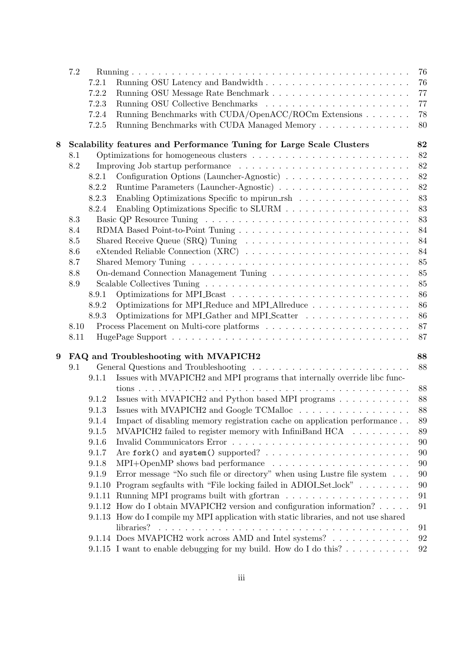|   | 7.2  |                |                                                                                                     | 76       |
|---|------|----------------|-----------------------------------------------------------------------------------------------------|----------|
|   |      | 7.2.1          |                                                                                                     | 76       |
|   |      | 7.2.2          |                                                                                                     | 77       |
|   |      | 7.2.3          |                                                                                                     | 77       |
|   |      | 7.2.4          | Running Benchmarks with CUDA/OpenACC/ROCm Extensions                                                | 78       |
|   |      | 7.2.5          | Running Benchmarks with CUDA Managed Memory                                                         | 80       |
|   |      |                |                                                                                                     |          |
| 8 |      |                | Scalability features and Performance Tuning for Large Scale Clusters                                | 82       |
|   | 8.1  |                |                                                                                                     | 82       |
|   | 8.2  |                |                                                                                                     | 82       |
|   |      | 8.2.1          | Configuration Options (Launcher-Agnostic)                                                           | 82       |
|   |      | 8.2.2          |                                                                                                     | 82       |
|   |      | 8.2.3          | Enabling Optimizations Specific to mpirun_rsh                                                       | 83       |
|   |      | 8.2.4          |                                                                                                     | 83       |
|   | 8.3  |                |                                                                                                     | 83       |
|   | 8.4  |                |                                                                                                     | 84       |
|   | 8.5  |                | Shared Receive Queue (SRQ) Tuning $\ldots \ldots \ldots \ldots \ldots \ldots \ldots \ldots$         | 84       |
|   | 8.6  |                |                                                                                                     | 84       |
|   | 8.7  |                |                                                                                                     | 85       |
|   | 8.8  |                |                                                                                                     | 85       |
|   | 8.9  |                |                                                                                                     | 85       |
|   |      | 8.9.1          | Optimizations for MPI_Bcast $\ldots \ldots \ldots \ldots \ldots \ldots \ldots \ldots \ldots \ldots$ | 86       |
|   |      | 8.9.2          | Optimizations for MPL Reduce and MPL Allreduce                                                      | 86       |
|   |      | 8.9.3          | Optimizations for MPLGather and MPLScatter                                                          | 86       |
|   | 8.10 |                |                                                                                                     | 87       |
|   | 8.11 |                |                                                                                                     | 87       |
|   |      |                |                                                                                                     |          |
| 9 |      |                | FAQ and Troubleshooting with MVAPICH2                                                               | 88       |
|   | 9.1  |                |                                                                                                     | 88       |
|   |      | 9.1.1          | Issues with MVAPICH2 and MPI programs that internally override libc func-                           |          |
|   |      |                |                                                                                                     | 88<br>88 |
|   |      | 9.1.2<br>9.1.3 | Issues with MVAPICH2 and Python based MPI programs<br>Issues with MVAPICH2 and Google TCMalloc      | 88       |
|   |      | 9.1.4          |                                                                                                     |          |
|   |      |                | Impact of disabling memory registration cache on application performance                            | 89       |
|   |      | 9.1.5          | MVAPICH2 failed to register memory with InfiniBand $HCA$                                            | 89       |
|   |      | 9.1.6          |                                                                                                     | 90       |
|   |      | 9.1.7          |                                                                                                     | 90       |
|   |      | 9.1.8          |                                                                                                     | 90       |
|   |      | 9.1.9          | Error message "No such file or directory" when using Lustre file system                             | 90       |
|   |      | 9.1.10         | Program segfaults with "File locking failed in ADIOLSet_lock"                                       | 90       |
|   |      |                |                                                                                                     | 91       |
|   |      |                | 9.1.12 How do I obtain MVAPICH2 version and configuration information?                              | 91       |
|   |      |                | 9.1.13 How do I compile my MPI application with static libraries, and not use shared                |          |
|   |      |                | libraries?                                                                                          | 91       |
|   |      |                | 9.1.14 Does MVAPICH2 work across AMD and Intel systems?                                             | 92       |
|   |      |                | 9.1.15 I want to enable debugging for my build. How do I do this?                                   | 92       |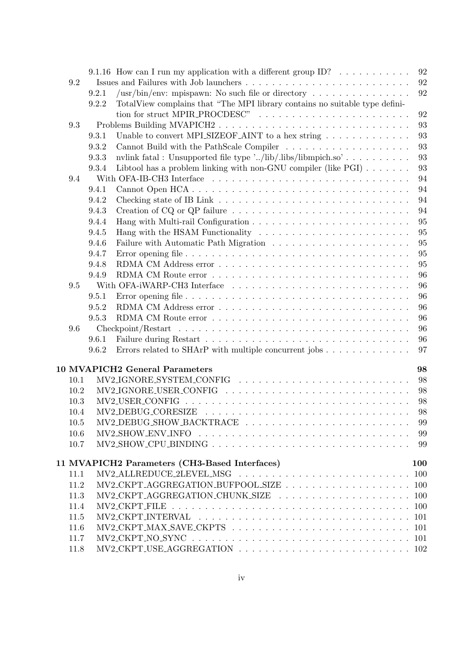|      |       | 9.1.16 How can I run my application with a different group ID? $\dots \dots \dots$                                  | 92  |
|------|-------|---------------------------------------------------------------------------------------------------------------------|-----|
| 9.2  |       |                                                                                                                     | 92  |
|      | 9.2.1 | /usr/bin/env: mpispawn: No such file or directory $\dots \dots \dots \dots \dots$                                   | 92  |
|      | 9.2.2 | TotalView complains that "The MPI library contains no suitable type defini-                                         |     |
|      |       | tion for struct MPIR_PROCDESC"                                                                                      | 92  |
| 9.3  |       | Problems Building MVAPICH2                                                                                          | 93  |
|      | 9.3.1 | Unable to convert MPLSIZEOF_AINT to a hex string $\ldots \ldots \ldots \ldots$                                      | 93  |
|      | 9.3.2 |                                                                                                                     | 93  |
|      | 9.3.3 | nvlink fatal : Unsupported file type '/lib/.libs/libmpich.so'                                                       | 93  |
|      | 9.3.4 | Libtool has a problem linking with non-GNU compiler (like $PGI$ )                                                   | 93  |
| 9.4  |       |                                                                                                                     | 94  |
|      | 9.4.1 | Cannot Open HCA                                                                                                     | 94  |
|      | 9.4.2 |                                                                                                                     | 94  |
|      | 9.4.3 |                                                                                                                     | 94  |
|      | 9.4.4 |                                                                                                                     | 95  |
|      | 9.4.5 |                                                                                                                     | 95  |
|      | 9.4.6 |                                                                                                                     | 95  |
|      | 9.4.7 |                                                                                                                     | 95  |
|      | 9.4.8 |                                                                                                                     | 95  |
|      | 9.4.9 |                                                                                                                     | 96  |
| 9.5  |       |                                                                                                                     | 96  |
|      | 9.5.1 |                                                                                                                     | 96  |
|      | 9.5.2 |                                                                                                                     | 96  |
|      | 9.5.3 |                                                                                                                     | 96  |
| 9.6  |       |                                                                                                                     | 96  |
|      | 9.6.1 |                                                                                                                     | 96  |
|      | 9.6.2 | Errors related to SHArP with multiple concurrent jobs                                                               | 97  |
|      |       |                                                                                                                     |     |
|      |       | <b>10 MVAPICH2 General Parameters</b>                                                                               | 98  |
| 10.1 |       | $MV2 \text{JGNORE}$ SYSTEM_CONFIG $\ldots \ldots \ldots \ldots \ldots \ldots \ldots \ldots \ldots$                  | 98  |
| 10.2 |       | $MV2 \text{JGNORE}$ USER_CONFIG $\ldots \ldots \ldots \ldots \ldots \ldots \ldots \ldots \ldots \ldots$             | 98  |
| 10.3 |       | $MV2\text{-}USER\text{-}CONFIG \dots \dots \dots \dots \dots \dots \dots \dots \dots \dots \dots \dots \dots \dots$ | 98  |
| 10.4 |       |                                                                                                                     | 98  |
| 10.5 |       | MV2_DEBUG_SHOW_BACKTRACE                                                                                            | 99  |
| 10.6 |       |                                                                                                                     | 99  |
| 10.7 |       | $MV2$ -SHOW-CPU-BINDING                                                                                             | 99  |
|      |       |                                                                                                                     |     |
|      |       | 11 MVAPICH2 Parameters (CH3-Based Interfaces)                                                                       | 100 |
| 11.1 |       |                                                                                                                     | 100 |
| 11.2 |       |                                                                                                                     |     |
| 11.3 |       |                                                                                                                     |     |
| 11.4 |       |                                                                                                                     |     |
| 11.5 |       |                                                                                                                     |     |
| 11.6 |       |                                                                                                                     |     |
| 11.7 |       |                                                                                                                     |     |
| 11.8 |       |                                                                                                                     |     |
|      |       |                                                                                                                     |     |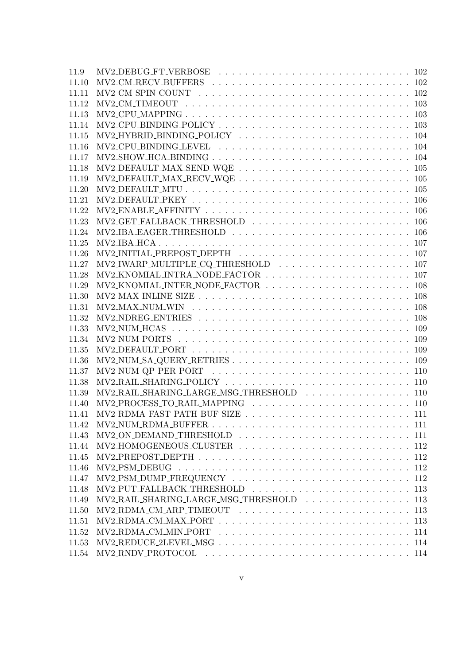| 11.9  |                                                                                                                           |
|-------|---------------------------------------------------------------------------------------------------------------------------|
| 11.10 |                                                                                                                           |
| 11.11 |                                                                                                                           |
| 11.12 |                                                                                                                           |
| 11.13 |                                                                                                                           |
| 11.14 |                                                                                                                           |
| 11.15 |                                                                                                                           |
| 11.16 |                                                                                                                           |
| 11.17 |                                                                                                                           |
| 11.18 | $\text{MV2-DEFAULT\_MAX\_SED\_WQE}\ \ldots\ \ldots\ \ldots\ \ldots\ \ldots\ \ldots\ \ldots\ \ldots\ \ldots\ 105$          |
| 11.19 |                                                                                                                           |
| 11.20 |                                                                                                                           |
| 11.21 |                                                                                                                           |
| 11.22 |                                                                                                                           |
| 11.23 |                                                                                                                           |
| 11.24 |                                                                                                                           |
| 11.25 |                                                                                                                           |
| 11.26 |                                                                                                                           |
| 11.27 |                                                                                                                           |
| 11.28 |                                                                                                                           |
| 11.29 |                                                                                                                           |
| 11.30 |                                                                                                                           |
| 11.31 |                                                                                                                           |
| 11.32 |                                                                                                                           |
| 11.33 |                                                                                                                           |
| 11.34 |                                                                                                                           |
| 11.35 |                                                                                                                           |
| 11.36 |                                                                                                                           |
| 11.37 |                                                                                                                           |
| 11.38 |                                                                                                                           |
| 11.39 | MV2_RAIL_SHARING_LARGE_MSG_THRESHOLD  110                                                                                 |
| 11.40 |                                                                                                                           |
| 11.41 |                                                                                                                           |
| 11.42 |                                                                                                                           |
| 11.43 |                                                                                                                           |
| 11.44 |                                                                                                                           |
| 11.45 |                                                                                                                           |
| 11.46 |                                                                                                                           |
| 11.47 |                                                                                                                           |
| 11.48 |                                                                                                                           |
| 11.49 | MV2_RAIL_SHARING_LARGE_MSG_THRESHOLD  113                                                                                 |
| 11.50 |                                                                                                                           |
| 11.51 |                                                                                                                           |
| 11.52 | $MV2_RDMA_CMMIN_PORT$ ,,,,,,,,,,,,,,,,,,,,,,,,,,,,,,,,,,114                                                               |
| 11.53 |                                                                                                                           |
| 11.54 | $MV2_RNDV_PROTOCOL \dots \dots \dots \dots \dots \dots \dots \dots \dots \dots \dots \dots \dots \dots \dots \dots \dots$ |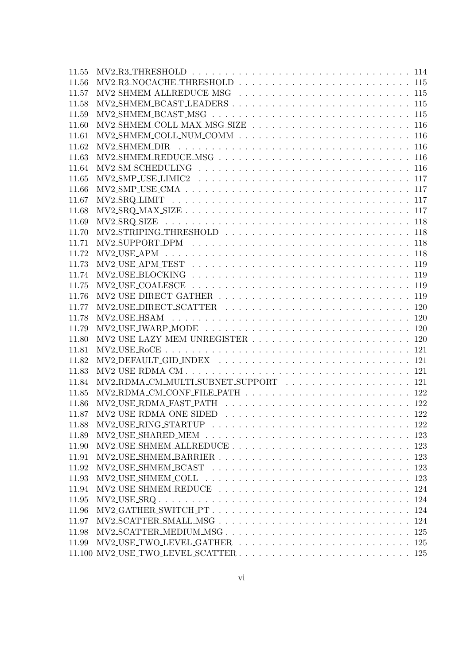| 11.55 |  |
|-------|--|
| 11.56 |  |
| 11.57 |  |
| 11.58 |  |
| 11.59 |  |
| 11.60 |  |
| 11.61 |  |
| 11.62 |  |
| 11.63 |  |
| 11.64 |  |
| 11.65 |  |
| 11.66 |  |
| 11.67 |  |
| 11.68 |  |
| 11.69 |  |
| 11.70 |  |
| 11.71 |  |
| 11.72 |  |
| 11.73 |  |
| 11.74 |  |
| 11.75 |  |
| 11.76 |  |
| 11.77 |  |
| 11.78 |  |
| 11.79 |  |
| 11.80 |  |
| 11.81 |  |
| 11.82 |  |
| 11.83 |  |
| 11.84 |  |
| 11.85 |  |
| 11.86 |  |
| 11.87 |  |
| 11.88 |  |
| 11.89 |  |
| 11.90 |  |
| 11.91 |  |
| 11.92 |  |
| 11.93 |  |
| 11.94 |  |
| 11.95 |  |
| 11.96 |  |
| 11.97 |  |
| 11.98 |  |
| 11.99 |  |
|       |  |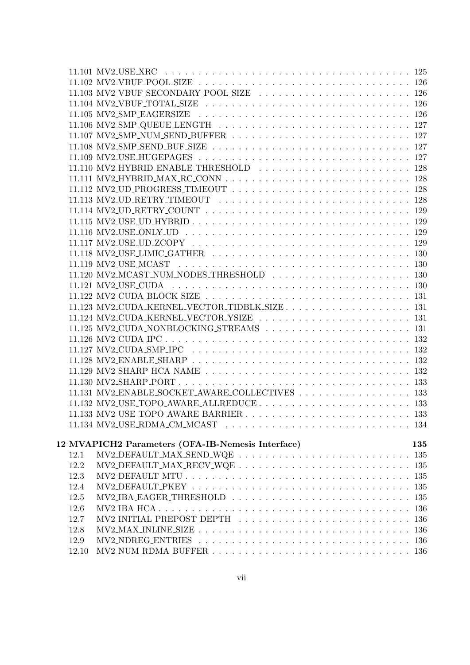|       | 11.131 MV2 ENABLE SOCKET AWARE COLLECTIVES 133           |
|-------|----------------------------------------------------------|
|       |                                                          |
|       |                                                          |
|       |                                                          |
|       |                                                          |
|       | 12 MVAPICH2 Parameters (OFA-IB-Nemesis Interface)<br>135 |
| 12.1  |                                                          |
| 12.2  |                                                          |
| 12.3  |                                                          |
| 12.4  |                                                          |
| 12.5  |                                                          |
| 12.6  |                                                          |
| 12.7  |                                                          |
| 12.8  |                                                          |
| 12.9  |                                                          |
| 12.10 |                                                          |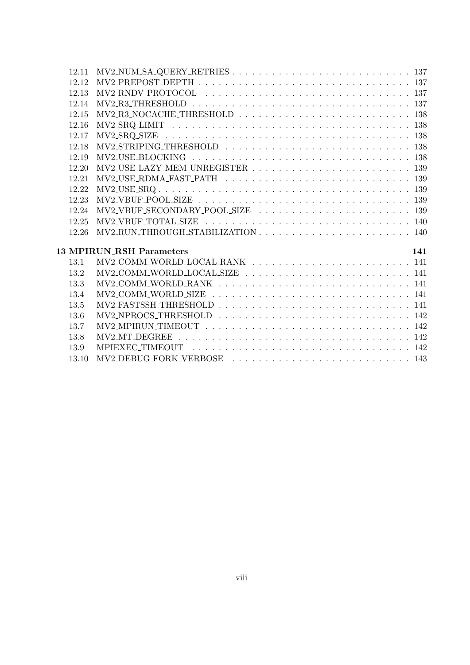|       | $MV2-NUM\_SA\_QUERY\_RETRIES \ldots \ldots \ldots \ldots \ldots \ldots \ldots \ldots \ldots 137$<br>12.11                                 |
|-------|-------------------------------------------------------------------------------------------------------------------------------------------|
| 12.12 |                                                                                                                                           |
| 12.13 |                                                                                                                                           |
| 12.14 |                                                                                                                                           |
| 12.15 | $MV2_R3_NOCACHE_THRESHOLD \ldots \ldots \ldots \ldots \ldots \ldots \ldots \ldots \ldots 138$                                             |
| 12.16 |                                                                                                                                           |
| 12.17 |                                                                                                                                           |
| 12.18 |                                                                                                                                           |
| 12.19 |                                                                                                                                           |
| 12.20 | $MV2\text{-USE}\_\text{LAZY}\_\text{MEM}\_\text{UNREGISTER}\_\text{L} \ldots \ldots \ldots \ldots \ldots \ldots \ldots \ldots \ldots 139$ |
| 12.21 |                                                                                                                                           |
| 12.22 | $MV2\_USE\_SRQ \ldots \ldots \ldots \ldots \ldots \ldots \ldots \ldots \ldots \ldots \ldots \ldots \ldots 139$                            |
| 12.23 |                                                                                                                                           |
| 12.24 |                                                                                                                                           |
| 12.25 |                                                                                                                                           |
| 12.26 | $MV2_RUN\_THROUGH\_STABILITYATION \ldots \ldots \ldots \ldots \ldots \ldots \ldots \ldots 140$                                            |
|       |                                                                                                                                           |
|       |                                                                                                                                           |
|       | <b>13 MPIRUN RSH Parameters</b><br>141                                                                                                    |
| 13.1  | MV2_COMM_WORLD_LOCAL_RANK  141                                                                                                            |
| 13.2  |                                                                                                                                           |
| 13.3  |                                                                                                                                           |
| 13.4  |                                                                                                                                           |
| 13.5  |                                                                                                                                           |
| 13.6  |                                                                                                                                           |
| 13.7  |                                                                                                                                           |
| 13.8  |                                                                                                                                           |
| 13.9  |                                                                                                                                           |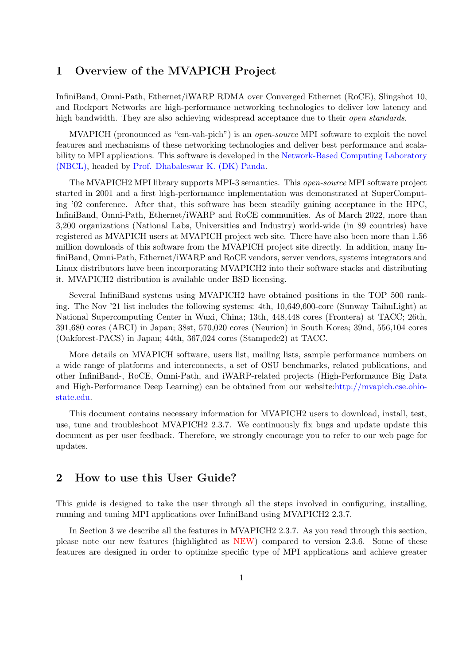# <span id="page-9-0"></span>1 Overview of the MVAPICH Project

InfiniBand, Omni-Path, Ethernet/iWARP RDMA over Converged Ethernet (RoCE), Slingshot 10, and Rockport Networks are high-performance networking technologies to deliver low latency and high bandwidth. They are also achieving widespread acceptance due to their *open standards*.

MVAPICH (pronounced as "em-vah-pich") is an open-source MPI software to exploit the novel features and mechanisms of these networking technologies and deliver best performance and scalability to MPI applications. This software is developed in the [Network-Based Computing Laboratory](http://nowlab.cse.ohio-state.edu) [\(NBCL\),](http://nowlab.cse.ohio-state.edu) headed by [Prof. Dhabaleswar K. \(DK\) Panda.](http://www.cse.ohio-state.edu/~panda)

The MVAPICH2 MPI library supports MPI-3 semantics. This open-source MPI software project started in 2001 and a first high-performance implementation was demonstrated at SuperComputing '02 conference. After that, this software has been steadily gaining acceptance in the HPC, InfiniBand, Omni-Path, Ethernet/iWARP and RoCE communities. As of March 2022, more than 3,200 organizations (National Labs, Universities and Industry) world-wide (in 89 countries) have registered as MVAPICH users at MVAPICH project web site. There have also been more than 1.56 million downloads of this software from the MVAPICH project site directly. In addition, many InfiniBand, Omni-Path, Ethernet/iWARP and RoCE vendors, server vendors, systems integrators and Linux distributors have been incorporating MVAPICH2 into their software stacks and distributing it. MVAPICH2 distribution is available under BSD licensing.

Several InfiniBand systems using MVAPICH2 have obtained positions in the TOP 500 ranking. The Nov '21 list includes the following systems: 4th, 10,649,600-core (Sunway TaihuLight) at National Supercomputing Center in Wuxi, China; 13th, 448,448 cores (Frontera) at TACC; 26th, 391,680 cores (ABCI) in Japan; 38st, 570,020 cores (Neurion) in South Korea; 39nd, 556,104 cores (Oakforest-PACS) in Japan; 44th, 367,024 cores (Stampede2) at TACC.

More details on MVAPICH software, users list, mailing lists, sample performance numbers on a wide range of platforms and interconnects, a set of OSU benchmarks, related publications, and other InfiniBand-, RoCE, Omni-Path, and iWARP-related projects (High-Performance Big Data and High-Performance Deep Learning) can be obtained from our website[:http://mvapich.cse.ohio](http://mvapich.cse.ohio-state.edu)[state.edu.](http://mvapich.cse.ohio-state.edu)

This document contains necessary information for MVAPICH2 users to download, install, test, use, tune and troubleshoot MVAPICH2 2.3.7. We continuously fix bugs and update update this document as per user feedback. Therefore, we strongly encourage you to refer to our web page for updates.

# <span id="page-9-1"></span>2 How to use this User Guide?

This guide is designed to take the user through all the steps involved in configuring, installing, running and tuning MPI applications over InfiniBand using MVAPICH2 2.3.7.

In Section [3](#page-10-0) we describe all the features in MVAPICH2 2.3.7. As you read through this section, please note our new features (highlighted as NEW) compared to version 2.3.6. Some of these features are designed in order to optimize specific type of MPI applications and achieve greater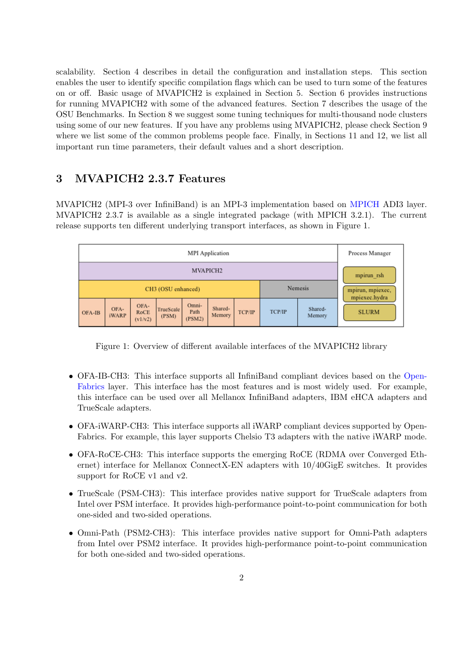scalability. Section [4](#page-24-0) describes in detail the configuration and installation steps. This section enables the user to identify specific compilation flags which can be used to turn some of the features on or off. Basic usage of MVAPICH2 is explained in Section [5.](#page-39-0) Section [6](#page-49-0) provides instructions for running MVAPICH2 with some of the advanced features. Section [7](#page-82-0) describes the usage of the OSU Benchmarks. In Section [8](#page-90-0) we suggest some tuning techniques for multi-thousand node clusters using some of our new features. If you have any problems using MVAPICH2, please check Section [9](#page-96-0) where we list some of the common problems people face. Finally, in Sections [11](#page-108-0) and [12,](#page-143-0) we list all important run time parameters, their default values and a short description.

# <span id="page-10-0"></span>3 MVAPICH2 2.3.7 Features

MVAPICH2 (MPI-3 over InfiniBand) is an MPI-3 implementation based on [MPICH](http://www.mpich.org/) ADI3 layer. MVAPICH2 2.3.7 is available as a single integrated package (with MPICH 3.2.1). The current release supports ten different underlying transport interfaces, as shown in Figure [1.](#page-10-1)

| <b>MPI</b> Application |                      |                         |                    |                         |                   |        |        | Process Manager   |                               |  |
|------------------------|----------------------|-------------------------|--------------------|-------------------------|-------------------|--------|--------|-------------------|-------------------------------|--|
| MVAPICH <sub>2</sub>   |                      |                         |                    |                         |                   |        |        | mpirun rsh        |                               |  |
| CH3 (OSU enhanced)     |                      |                         |                    |                         |                   |        |        | Nemesis           | mpirun, mpiexec,              |  |
| OFA-IB                 | OFA-<br><b>iWARP</b> | OFA-<br>RoCE<br>(v1/v2) | TrueScale<br>(PSM) | Omni-<br>Path<br>(PSM2) | Shared-<br>Memory | TCP/IP | TCP/IP | Shared-<br>Memory | mpiexec.hydra<br><b>SLURM</b> |  |

<span id="page-10-1"></span>Figure 1: Overview of different available interfaces of the MVAPICH2 library

- OFA-IB-CH3: This interface supports all InfiniBand compliant devices based on the [Open-](http://www.openfabrics.org)[Fabrics](http://www.openfabrics.org) layer. This interface has the most features and is most widely used. For example, this interface can be used over all Mellanox InfiniBand adapters, IBM eHCA adapters and TrueScale adapters.
- OFA-iWARP-CH3: This interface supports all iWARP compliant devices supported by Open-Fabrics. For example, this layer supports Chelsio T3 adapters with the native iWARP mode.
- OFA-RoCE-CH3: This interface supports the emerging RoCE (RDMA over Converged Ethernet) interface for Mellanox ConnectX-EN adapters with 10/40GigE switches. It provides support for RoCE v1 and v2.
- TrueScale (PSM-CH3): This interface provides native support for TrueScale adapters from Intel over PSM interface. It provides high-performance point-to-point communication for both one-sided and two-sided operations.
- Omni-Path (PSM2-CH3): This interface provides native support for Omni-Path adapters from Intel over PSM2 interface. It provides high-performance point-to-point communication for both one-sided and two-sided operations.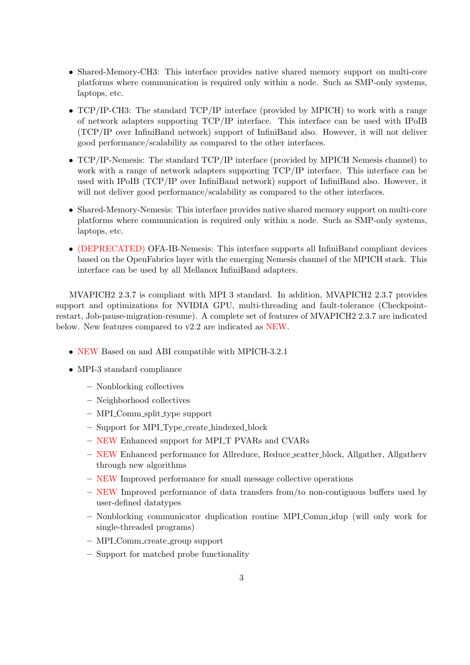- Shared-Memory-CH3: This interface provides native shared memory support on multi-core platforms where communication is required only within a node. Such as SMP-only systems, laptops, etc.
- TCP/IP-CH3: The standard TCP/IP interface (provided by MPICH) to work with a range of network adapters supporting TCP/IP interface. This interface can be used with IPoIB (TCP/IP over InfiniBand network) support of InfiniBand also. However, it will not deliver good performance/scalability as compared to the other interfaces.
- TCP/IP-Nemesis: The standard TCP/IP interface (provided by MPICH Nemesis channel) to work with a range of network adapters supporting TCP/IP interface. This interface can be used with IPoIB (TCP/IP over InfiniBand network) support of InfiniBand also. However, it will not deliver good performance/scalability as compared to the other interfaces.
- Shared-Memory-Nemesis: This interface provides native shared memory support on multi-core platforms where communication is required only within a node. Such as SMP-only systems, laptops, etc.
- (DEPRECATED) OFA-IB-Nemesis: This interface supports all InfiniBand compliant devices based on the OpenFabrics layer with the emerging Nemesis channel of the MPICH stack. This interface can be used by all Mellanox InfiniBand adapters.

MVAPICH2 2.3.7 is compliant with MPI 3 standard. In addition, MVAPICH2 2.3.7 provides support and optimizations for NVIDIA GPU, multi-threading and fault-tolerance (Checkpointrestart, Job-pause-migration-resume). A complete set of features of MVAPICH2 2.3.7 are indicated below. New features compared to v2.2 are indicated as NEW.

- NEW Based on and ABI compatible with MPICH-3.2.1
- MPI-3 standard compliance
	- Nonblocking collectives
	- Neighborhood collectives
	- MPI Comm split type support
	- Support for MPI Type create hindexed block
	- NEW Enhanced support for MPI T PVARs and CVARs
	- NEW Enhanced performance for Allreduce, Reduce scatter block, Allgather, Allgatherv through new algorithms
	- NEW Improved performance for small message collective operations
	- NEW Improved performance of data transfers from/to non-contiguous buffers used by user-defined datatypes
	- Nonblocking communicator duplication routine MPI Comm idup (will only work for single-threaded programs)
	- MPI Comm create group support
	- Support for matched probe functionality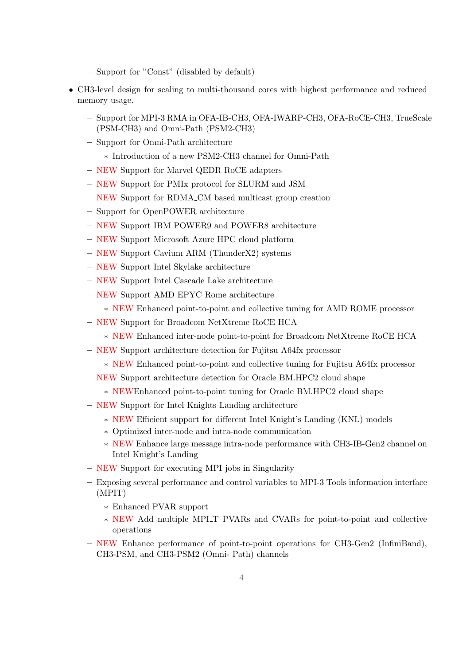- Support for "Const" (disabled by default)
- CH3-level design for scaling to multi-thousand cores with highest performance and reduced memory usage.
	- Support for MPI-3 RMA in OFA-IB-CH3, OFA-IWARP-CH3, OFA-RoCE-CH3, TrueScale (PSM-CH3) and Omni-Path (PSM2-CH3)
	- Support for Omni-Path architecture
		- ∗ Introduction of a new PSM2-CH3 channel for Omni-Path
	- NEW Support for Marvel QEDR RoCE adapters
	- NEW Support for PMIx protocol for SLURM and JSM
	- NEW Support for RDMA CM based multicast group creation
	- Support for OpenPOWER architecture
	- NEW Support IBM POWER9 and POWER8 architecture
	- NEW Support Microsoft Azure HPC cloud platform
	- NEW Support Cavium ARM (ThunderX2) systems
	- NEW Support Intel Skylake architecture
	- NEW Support Intel Cascade Lake architecture
	- NEW Support AMD EPYC Rome architecture
		- ∗ NEW Enhanced point-to-point and collective tuning for AMD ROME processor
	- NEW Support for Broadcom NetXtreme RoCE HCA
		- ∗ NEW Enhanced inter-node point-to-point for Broadcom NetXtreme RoCE HCA
	- NEW Support architecture detection for Fujitsu A64fx processor
		- ∗ NEW Enhanced point-to-point and collective tuning for Fujitsu A64fx processor
	- NEW Support architecture detection for Oracle BM.HPC2 cloud shape
		- ∗ NEWEnhanced point-to-point tuning for Oracle BM.HPC2 cloud shape
	- NEW Support for Intel Knights Landing architecture
		- ∗ NEW Efficient support for different Intel Knight's Landing (KNL) models
		- ∗ Optimized inter-node and intra-node communication
		- ∗ NEW Enhance large message intra-node performance with CH3-IB-Gen2 channel on Intel Knight's Landing
	- NEW Support for executing MPI jobs in Singularity
	- Exposing several performance and control variables to MPI-3 Tools information interface (MPIT)
		- ∗ Enhanced PVAR support
		- ∗ NEW Add multiple MPI T PVARs and CVARs for point-to-point and collective operations
	- NEW Enhance performance of point-to-point operations for CH3-Gen2 (InfiniBand), CH3-PSM, and CH3-PSM2 (Omni- Path) channels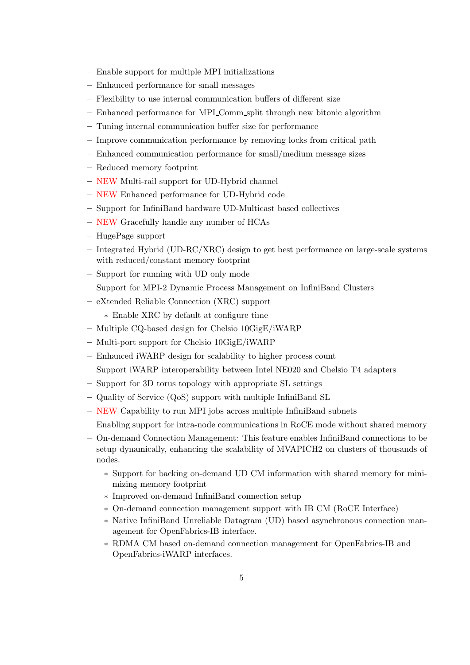- Enable support for multiple MPI initializations
- Enhanced performance for small messages
- Flexibility to use internal communication buffers of different size
- Enhanced performance for MPI Comm split through new bitonic algorithm
- Tuning internal communication buffer size for performance
- Improve communication performance by removing locks from critical path
- Enhanced communication performance for small/medium message sizes
- Reduced memory footprint
- NEW Multi-rail support for UD-Hybrid channel
- NEW Enhanced performance for UD-Hybrid code
- Support for InfiniBand hardware UD-Multicast based collectives
- NEW Gracefully handle any number of HCAs
- HugePage support
- Integrated Hybrid (UD-RC/XRC) design to get best performance on large-scale systems with reduced/constant memory footprint
- Support for running with UD only mode
- Support for MPI-2 Dynamic Process Management on InfiniBand Clusters
- eXtended Reliable Connection (XRC) support
	- ∗ Enable XRC by default at configure time
- Multiple CQ-based design for Chelsio 10GigE/iWARP
- Multi-port support for Chelsio 10GigE/iWARP
- Enhanced iWARP design for scalability to higher process count
- Support iWARP interoperability between Intel NE020 and Chelsio T4 adapters
- Support for 3D torus topology with appropriate SL settings
- Quality of Service (QoS) support with multiple InfiniBand SL
- NEW Capability to run MPI jobs across multiple InfiniBand subnets
- Enabling support for intra-node communications in RoCE mode without shared memory
- On-demand Connection Management: This feature enables InfiniBand connections to be setup dynamically, enhancing the scalability of MVAPICH2 on clusters of thousands of nodes.
	- ∗ Support for backing on-demand UD CM information with shared memory for minimizing memory footprint
	- ∗ Improved on-demand InfiniBand connection setup
	- ∗ On-demand connection management support with IB CM (RoCE Interface)
	- ∗ Native InfiniBand Unreliable Datagram (UD) based asynchronous connection management for OpenFabrics-IB interface.
	- ∗ RDMA CM based on-demand connection management for OpenFabrics-IB and OpenFabrics-iWARP interfaces.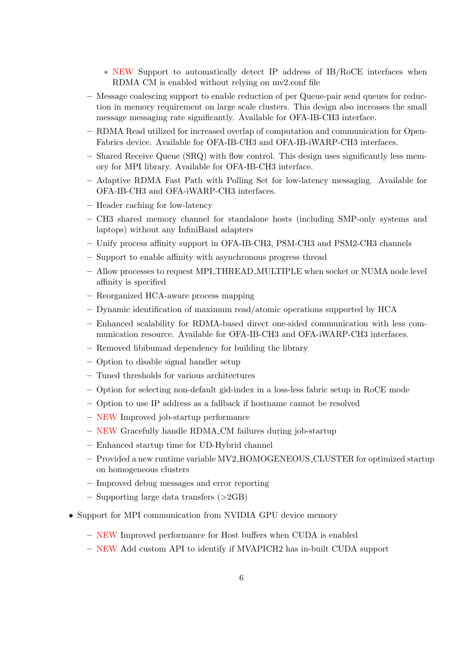- ∗ NEW Support to automatically detect IP address of IB/RoCE interfaces when RDMA CM is enabled without relying on mv2.conf file
- Message coalescing support to enable reduction of per Queue-pair send queues for reduction in memory requirement on large scale clusters. This design also increases the small message messaging rate significantly. Available for OFA-IB-CH3 interface.
- RDMA Read utilized for increased overlap of computation and communication for Open-Fabrics device. Available for OFA-IB-CH3 and OFA-IB-iWARP-CH3 interfaces.
- Shared Receive Queue (SRQ) with flow control. This design uses significantly less memory for MPI library. Available for OFA-IB-CH3 interface.
- Adaptive RDMA Fast Path with Polling Set for low-latency messaging. Available for OFA-IB-CH3 and OFA-iWARP-CH3 interfaces.
- Header caching for low-latency
- CH3 shared memory channel for standalone hosts (including SMP-only systems and laptops) without any InfiniBand adapters
- Unify process affinity support in OFA-IB-CH3, PSM-CH3 and PSM2-CH3 channels
- Support to enable affinity with asynchronous progress thread
- Allow processes to request MPI THREAD MULTIPLE when socket or NUMA node level affinity is specified
- Reorganized HCA-aware process mapping
- Dynamic identification of maximum read/atomic operations supported by HCA
- Enhanced scalability for RDMA-based direct one-sided communication with less communication resource. Available for OFA-IB-CH3 and OFA-iWARP-CH3 interfaces.
- Removed libibumad dependency for building the library
- Option to disable signal handler setup
- Tuned thresholds for various architectures
- Option for selecting non-default gid-index in a loss-less fabric setup in RoCE mode
- Option to use IP address as a fallback if hostname cannot be resolved
- NEW Improved job-startup performance
- NEW Gracefully handle RDMA CM failures during job-startup
- Enhanced startup time for UD-Hybrid channel
- Provided a new runtime variable MV2 HOMOGENEOUS CLUSTER for optimized startup on homogeneous clusters
- Improved debug messages and error reporting
- $-$  Supporting large data transfers  $(>2GB)$
- Support for MPI communication from NVIDIA GPU device memory
	- NEW Improved performance for Host buffers when CUDA is enabled
	- NEW Add custom API to identify if MVAPICH2 has in-built CUDA support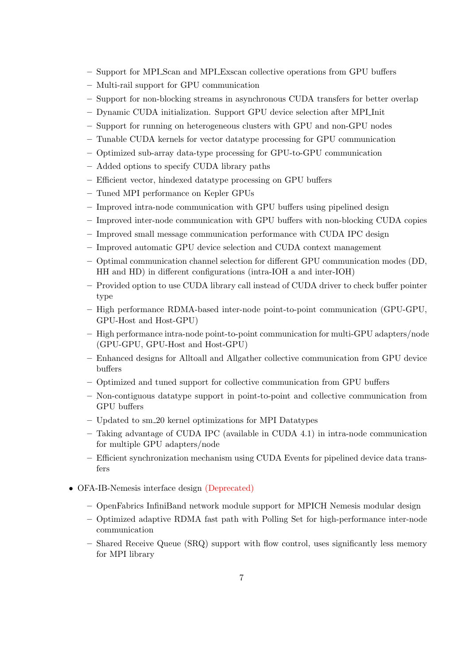- Support for MPI Scan and MPI Exscan collective operations from GPU buffers
- Multi-rail support for GPU communication
- Support for non-blocking streams in asynchronous CUDA transfers for better overlap
- Dynamic CUDA initialization. Support GPU device selection after MPI Init
- Support for running on heterogeneous clusters with GPU and non-GPU nodes
- Tunable CUDA kernels for vector datatype processing for GPU communication
- Optimized sub-array data-type processing for GPU-to-GPU communication
- Added options to specify CUDA library paths
- Efficient vector, hindexed datatype processing on GPU buffers
- Tuned MPI performance on Kepler GPUs
- Improved intra-node communication with GPU buffers using pipelined design
- Improved inter-node communication with GPU buffers with non-blocking CUDA copies
- Improved small message communication performance with CUDA IPC design
- Improved automatic GPU device selection and CUDA context management
- Optimal communication channel selection for different GPU communication modes (DD, HH and HD) in different configurations (intra-IOH a and inter-IOH)
- Provided option to use CUDA library call instead of CUDA driver to check buffer pointer type
- High performance RDMA-based inter-node point-to-point communication (GPU-GPU, GPU-Host and Host-GPU)
- High performance intra-node point-to-point communication for multi-GPU adapters/node (GPU-GPU, GPU-Host and Host-GPU)
- Enhanced designs for Alltoall and Allgather collective communication from GPU device buffers
- Optimized and tuned support for collective communication from GPU buffers
- Non-contiguous datatype support in point-to-point and collective communication from GPU buffers
- Updated to sm 20 kernel optimizations for MPI Datatypes
- Taking advantage of CUDA IPC (available in CUDA 4.1) in intra-node communication for multiple GPU adapters/node
- Efficient synchronization mechanism using CUDA Events for pipelined device data transfers
- OFA-IB-Nemesis interface design (Deprecated)
	- OpenFabrics InfiniBand network module support for MPICH Nemesis modular design
	- Optimized adaptive RDMA fast path with Polling Set for high-performance inter-node communication
	- Shared Receive Queue (SRQ) support with flow control, uses significantly less memory for MPI library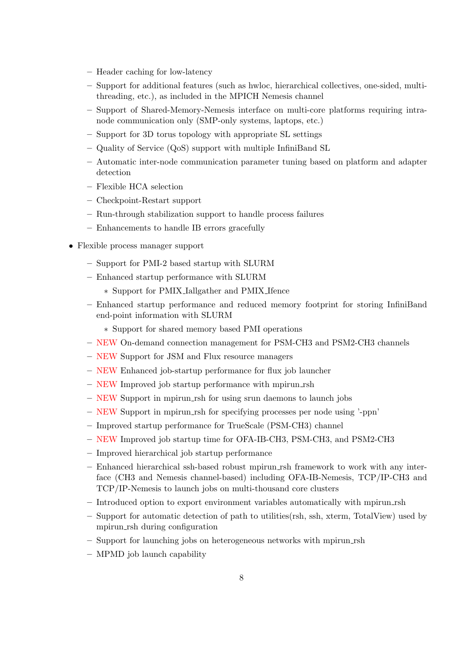- Header caching for low-latency
- Support for additional features (such as hwloc, hierarchical collectives, one-sided, multithreading, etc.), as included in the MPICH Nemesis channel
- Support of Shared-Memory-Nemesis interface on multi-core platforms requiring intranode communication only (SMP-only systems, laptops, etc.)
- Support for 3D torus topology with appropriate SL settings
- Quality of Service (QoS) support with multiple InfiniBand SL
- Automatic inter-node communication parameter tuning based on platform and adapter detection
- Flexible HCA selection
- Checkpoint-Restart support
- Run-through stabilization support to handle process failures
- Enhancements to handle IB errors gracefully
- Flexible process manager support
	- Support for PMI-2 based startup with SLURM
	- Enhanced startup performance with SLURM
		- ∗ Support for PMIX Iallgather and PMIX Ifence
	- Enhanced startup performance and reduced memory footprint for storing InfiniBand end-point information with SLURM
		- ∗ Support for shared memory based PMI operations
	- NEW On-demand connection management for PSM-CH3 and PSM2-CH3 channels
	- NEW Support for JSM and Flux resource managers
	- NEW Enhanced job-startup performance for flux job launcher
	- NEW Improved job startup performance with mpirun rsh
	- NEW Support in mpirun rsh for using srun daemons to launch jobs
	- NEW Support in mpirun rsh for specifying processes per node using '-ppn'
	- Improved startup performance for TrueScale (PSM-CH3) channel
	- NEW Improved job startup time for OFA-IB-CH3, PSM-CH3, and PSM2-CH3
	- Improved hierarchical job startup performance
	- Enhanced hierarchical ssh-based robust mpirun rsh framework to work with any interface (CH3 and Nemesis channel-based) including OFA-IB-Nemesis, TCP/IP-CH3 and TCP/IP-Nemesis to launch jobs on multi-thousand core clusters
	- Introduced option to export environment variables automatically with mpirun rsh
	- Support for automatic detection of path to utilities(rsh, ssh, xterm, TotalView) used by mpirun rsh during configuration
	- Support for launching jobs on heterogeneous networks with mpirun rsh
	- MPMD job launch capability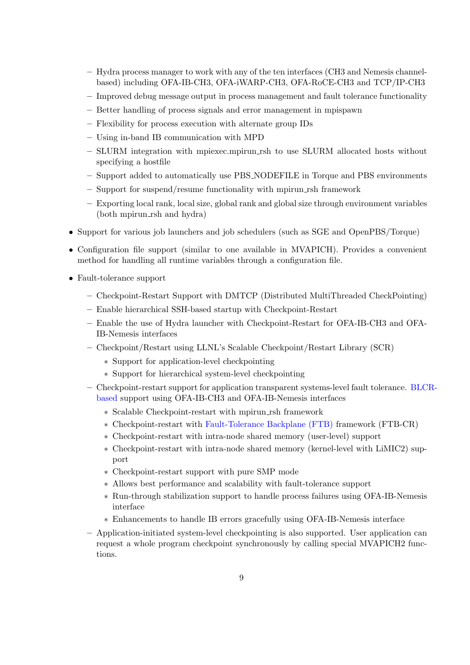- Hydra process manager to work with any of the ten interfaces (CH3 and Nemesis channelbased) including OFA-IB-CH3, OFA-iWARP-CH3, OFA-RoCE-CH3 and TCP/IP-CH3
- Improved debug message output in process management and fault tolerance functionality
- Better handling of process signals and error management in mpispawn
- Flexibility for process execution with alternate group IDs
- Using in-band IB communication with MPD
- SLURM integration with mpiexec.mpirun rsh to use SLURM allocated hosts without specifying a hostfile
- Support added to automatically use PBS NODEFILE in Torque and PBS environments
- Support for suspend/resume functionality with mpirun rsh framework
- Exporting local rank, local size, global rank and global size through environment variables (both mpirun\_rsh and hydra)
- Support for various job launchers and job schedulers (such as SGE and OpenPBS/Torque)
- Configuration file support (similar to one available in MVAPICH). Provides a convenient method for handling all runtime variables through a configuration file.
- Fault-tolerance support
	- Checkpoint-Restart Support with DMTCP (Distributed MultiThreaded CheckPointing)
	- Enable hierarchical SSH-based startup with Checkpoint-Restart
	- Enable the use of Hydra launcher with Checkpoint-Restart for OFA-IB-CH3 and OFA-IB-Nemesis interfaces
	- Checkpoint/Restart using LLNL's Scalable Checkpoint/Restart Library (SCR)
		- ∗ Support for application-level checkpointing
		- ∗ Support for hierarchical system-level checkpointing
	- Checkpoint-restart support for application transparent systems-level fault tolerance. [BLC](http://ftg.lbl.gov/CheckpointRestart/CheckpointRestart.shtml)R[based](http://ftg.lbl.gov/CheckpointRestart/CheckpointRestart.shtml) support using OFA-IB-CH3 and OFA-IB-Nemesis interfaces
		- ∗ Scalable Checkpoint-restart with mpirun rsh framework
		- ∗ Checkpoint-restart with [Fault-Tolerance Backplane \(FTB\)](http://www.mcs.anl.gov/research/cifts/index.php) framework (FTB-CR)
		- ∗ Checkpoint-restart with intra-node shared memory (user-level) support
		- ∗ Checkpoint-restart with intra-node shared memory (kernel-level with LiMIC2) support
		- ∗ Checkpoint-restart support with pure SMP mode
		- ∗ Allows best performance and scalability with fault-tolerance support
		- ∗ Run-through stabilization support to handle process failures using OFA-IB-Nemesis interface
		- ∗ Enhancements to handle IB errors gracefully using OFA-IB-Nemesis interface
	- Application-initiated system-level checkpointing is also supported. User application can request a whole program checkpoint synchronously by calling special MVAPICH2 functions.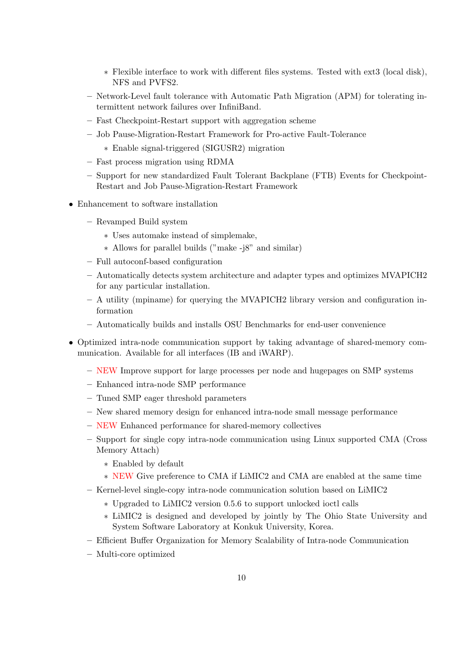- ∗ Flexible interface to work with different files systems. Tested with ext3 (local disk), NFS and PVFS2.
- Network-Level fault tolerance with Automatic Path Migration (APM) for tolerating intermittent network failures over InfiniBand.
- Fast Checkpoint-Restart support with aggregation scheme
- Job Pause-Migration-Restart Framework for Pro-active Fault-Tolerance
	- ∗ Enable signal-triggered (SIGUSR2) migration
- Fast process migration using RDMA
- Support for new standardized Fault Tolerant Backplane (FTB) Events for Checkpoint-Restart and Job Pause-Migration-Restart Framework
- Enhancement to software installation
	- Revamped Build system
		- ∗ Uses automake instead of simplemake,
		- ∗ Allows for parallel builds ("make -j8" and similar)
	- Full autoconf-based configuration
	- Automatically detects system architecture and adapter types and optimizes MVAPICH2 for any particular installation.
	- A utility (mpiname) for querying the MVAPICH2 library version and configuration information
	- Automatically builds and installs OSU Benchmarks for end-user convenience
- Optimized intra-node communication support by taking advantage of shared-memory communication. Available for all interfaces (IB and iWARP).
	- NEW Improve support for large processes per node and hugepages on SMP systems
	- Enhanced intra-node SMP performance
	- Tuned SMP eager threshold parameters
	- New shared memory design for enhanced intra-node small message performance
	- NEW Enhanced performance for shared-memory collectives
	- Support for single copy intra-node communication using Linux supported CMA (Cross Memory Attach)
		- ∗ Enabled by default
		- ∗ NEW Give preference to CMA if LiMIC2 and CMA are enabled at the same time
	- Kernel-level single-copy intra-node communication solution based on LiMIC2
		- ∗ Upgraded to LiMIC2 version 0.5.6 to support unlocked ioctl calls
		- ∗ LiMIC2 is designed and developed by jointly by The Ohio State University and System Software Laboratory at Konkuk University, Korea.
	- Efficient Buffer Organization for Memory Scalability of Intra-node Communication
	- Multi-core optimized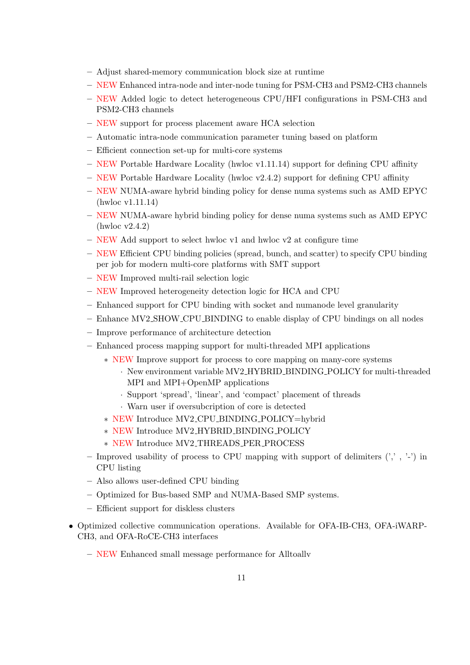- Adjust shared-memory communication block size at runtime
- NEW Enhanced intra-node and inter-node tuning for PSM-CH3 and PSM2-CH3 channels
- NEW Added logic to detect heterogeneous CPU/HFI configurations in PSM-CH3 and PSM2-CH3 channels
- NEW support for process placement aware HCA selection
- Automatic intra-node communication parameter tuning based on platform
- Efficient connection set-up for multi-core systems
- NEW Portable Hardware Locality (hwloc v1.11.14) support for defining CPU affinity
- $-$  NEW Portable Hardware Locality (hwloc v2.4.2) support for defining CPU affinity
- NEW NUMA-aware hybrid binding policy for dense numa systems such as AMD EPYC (hwloc v1.11.14)
- NEW NUMA-aware hybrid binding policy for dense numa systems such as AMD EPYC (hwloc v2.4.2)
- $-$  NEW Add support to select hwloc v1 and hwloc v2 at configure time
- NEW Efficient CPU binding policies (spread, bunch, and scatter) to specify CPU binding per job for modern multi-core platforms with SMT support
- NEW Improved multi-rail selection logic
- NEW Improved heterogeneity detection logic for HCA and CPU
- Enhanced support for CPU binding with socket and numanode level granularity
- Enhance MV2 SHOW CPU BINDING to enable display of CPU bindings on all nodes
- Improve performance of architecture detection
- Enhanced process mapping support for multi-threaded MPI applications
	- ∗ NEW Improve support for process to core mapping on many-core systems
		- · New environment variable MV2 HYBRID BINDING POLICY for multi-threaded MPI and MPI+OpenMP applications
		- · Support 'spread', 'linear', and 'compact' placement of threads
		- · Warn user if oversubcription of core is detected
	- ∗ NEW Introduce MV2 CPU BINDING POLICY=hybrid
	- ∗ NEW Introduce MV2 HYBRID BINDING POLICY
	- ∗ NEW Introduce MV2 THREADS PER PROCESS
- Improved usability of process to CPU mapping with support of delimiters  $(', \cdot, \cdot')$  in CPU listing
- Also allows user-defined CPU binding
- Optimized for Bus-based SMP and NUMA-Based SMP systems.
- Efficient support for diskless clusters
- Optimized collective communication operations. Available for OFA-IB-CH3, OFA-iWARP-CH3, and OFA-RoCE-CH3 interfaces
	- NEW Enhanced small message performance for Alltoallv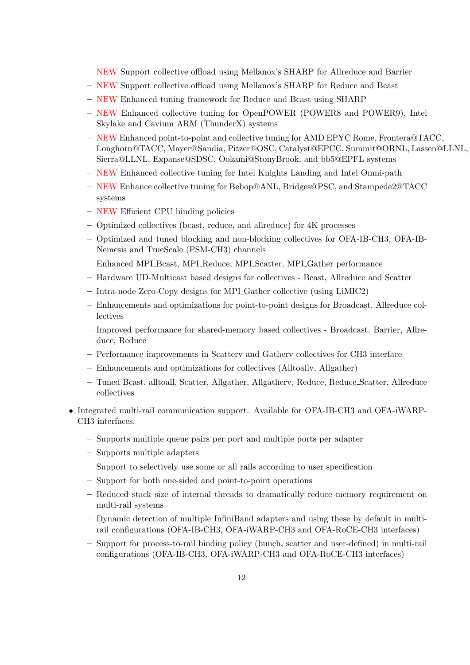- NEW Support collective offload using Mellanox's SHARP for Allreduce and Barrier
- NEW Support collective offload using Mellanox's SHARP for Reduce and Bcast
- NEW Enhanced tuning framework for Reduce and Bcast using SHARP
- NEW Enhanced collective tuning for OpenPOWER (POWER8 and POWER9), Intel Skylake and Cavium ARM (ThunderX) systems
- NEW Enhanced point-to-point and collective tuning for AMD EPYC Rome, Frontera@TACC, Longhorn@TACC, Mayer@Sandia, Pitzer@OSC, Catalyst@EPCC, Summit@ORNL, Lassen@LLNL, Sierra@LLNL, Expanse@SDSC, Ookami@StonyBrook, and bb5@EPFL systems
- NEW Enhanced collective tuning for Intel Knights Landing and Intel Omni-path
- NEW Enhance collective tuning for Bebop@ANL, Bridges@PSC, and Stampede2@TACC systems
- NEW Efficient CPU binding policies
- Optimized collectives (bcast, reduce, and allreduce) for 4K processes
- Optimized and tuned blocking and non-blocking collectives for OFA-IB-CH3, OFA-IB-Nemesis and TrueScale (PSM-CH3) channels
- Enhanced MPI Bcast, MPI Reduce, MPI Scatter, MPI Gather performance
- Hardware UD-Multicast based designs for collectives Bcast, Allreduce and Scatter
- Intra-node Zero-Copy designs for MPI Gather collective (using LiMIC2)
- Enhancements and optimizations for point-to-point designs for Broadcast, Allreduce collectives
- Improved performance for shared-memory based collectives Broadcast, Barrier, Allreduce, Reduce
- Performance improvements in Scatterv and Gatherv collectives for CH3 interface
- Enhancements and optimizations for collectives (Alltoallv, Allgather)
- Tuned Bcast, alltoall, Scatter, Allgather, Allgatherv, Reduce, Reduce Scatter, Allreduce collectives
- Integrated multi-rail communication support. Available for OFA-IB-CH3 and OFA-iWARP-CH3 interfaces.
	- Supports multiple queue pairs per port and multiple ports per adapter
	- Supports multiple adapters
	- Support to selectively use some or all rails according to user specification
	- Support for both one-sided and point-to-point operations
	- Reduced stack size of internal threads to dramatically reduce memory requirement on multi-rail systems
	- Dynamic detection of multiple InfiniBand adapters and using these by default in multirail configurations (OFA-IB-CH3, OFA-iWARP-CH3 and OFA-RoCE-CH3 interfaces)
	- Support for process-to-rail binding policy (bunch, scatter and user-defined) in multi-rail configurations (OFA-IB-CH3, OFA-iWARP-CH3 and OFA-RoCE-CH3 interfaces)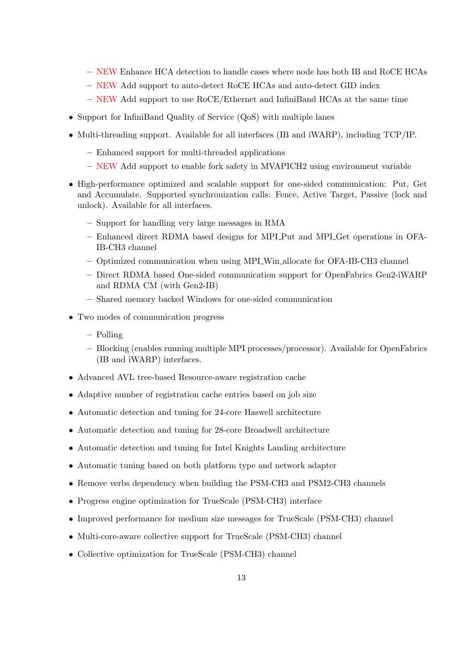- NEW Enhance HCA detection to handle cases where node has both IB and RoCE HCAs
- NEW Add support to auto-detect RoCE HCAs and auto-detect GID index
- NEW Add support to use RoCE/Ethernet and InfiniBand HCAs at the same time
- Support for InfiniBand Quality of Service (QoS) with multiple lanes
- Multi-threading support. Available for all interfaces (IB and iWARP), including TCP/IP.
	- Enhanced support for multi-threaded applications
	- NEW Add support to enable fork safety in MVAPICH2 using environment variable
- High-performance optimized and scalable support for one-sided communication: Put, Get and Accumulate. Supported synchronization calls: Fence, Active Target, Passive (lock and unlock). Available for all interfaces.
	- Support for handling very large messages in RMA
	- Enhanced direct RDMA based designs for MPI Put and MPI Get operations in OFA-IB-CH3 channel
	- Optimized communication when using MPI Win allocate for OFA-IB-CH3 channel
	- Direct RDMA based One-sided communication support for OpenFabrics Gen2-iWARP and RDMA CM (with Gen2-IB)
	- Shared memory backed Windows for one-sided communication
- Two modes of communication progress
	- Polling
	- Blocking (enables running multiple MPI processes/processor). Available for OpenFabrics (IB and iWARP) interfaces.
- Advanced AVL tree-based Resource-aware registration cache
- Adaptive number of registration cache entries based on job size
- Automatic detection and tuning for 24-core Haswell architecture
- Automatic detection and tuning for 28-core Broadwell architecture
- Automatic detection and tuning for Intel Knights Landing architecture
- Automatic tuning based on both platform type and network adapter
- Remove verbs dependency when building the PSM-CH3 and PSM2-CH3 channels
- Progress engine optimization for TrueScale (PSM-CH3) interface
- Improved performance for medium size messages for TrueScale (PSM-CH3) channel
- Multi-core-aware collective support for TrueScale (PSM-CH3) channel
- Collective optimization for TrueScale (PSM-CH3) channel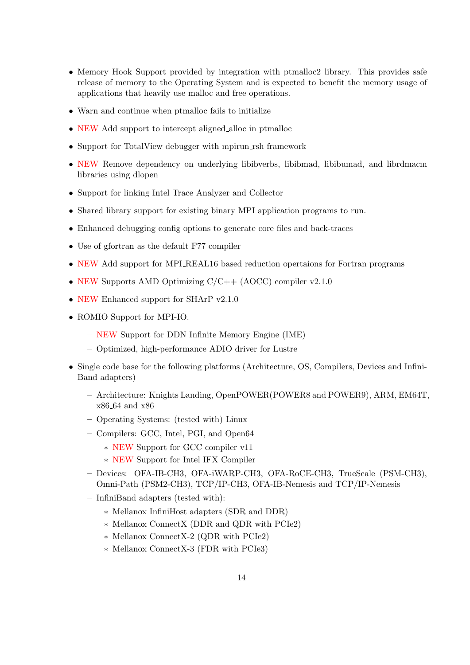- Memory Hook Support provided by integration with ptmalloc2 library. This provides safe release of memory to the Operating System and is expected to benefit the memory usage of applications that heavily use malloc and free operations.
- Warn and continue when ptmalloc fails to initialize
- NEW Add support to intercept aligned alloc in ptmalloc
- Support for TotalView debugger with mpirun\_rsh framework
- NEW Remove dependency on underlying libibverbs, libibmad, libibumad, and librdmacm libraries using dlopen
- Support for linking Intel Trace Analyzer and Collector
- Shared library support for existing binary MPI application programs to run.
- Enhanced debugging config options to generate core files and back-traces
- Use of gfortran as the default F77 compiler
- NEW Add support for MPI REAL16 based reduction opertaions for Fortran programs
- NEW Supports AMD Optimizing C/C++ (AOCC) compiler v2.1.0
- NEW Enhanced support for SHArP v2.1.0
- ROMIO Support for MPI-IO.
	- NEW Support for DDN Infinite Memory Engine (IME)
	- Optimized, high-performance ADIO driver for Lustre
- Single code base for the following platforms (Architecture, OS, Compilers, Devices and Infini-Band adapters)
	- Architecture: Knights Landing, OpenPOWER(POWER8 and POWER9), ARM, EM64T, x86 64 and x86
	- Operating Systems: (tested with) Linux
	- Compilers: GCC, Intel, PGI, and Open64
		- ∗ NEW Support for GCC compiler v11
		- ∗ NEW Support for Intel IFX Compiler
	- Devices: OFA-IB-CH3, OFA-iWARP-CH3, OFA-RoCE-CH3, TrueScale (PSM-CH3), Omni-Path (PSM2-CH3), TCP/IP-CH3, OFA-IB-Nemesis and TCP/IP-Nemesis
	- InfiniBand adapters (tested with):
		- ∗ Mellanox InfiniHost adapters (SDR and DDR)
		- ∗ Mellanox ConnectX (DDR and QDR with PCIe2)
		- ∗ Mellanox ConnectX-2 (QDR with PCIe2)
		- ∗ Mellanox ConnectX-3 (FDR with PCIe3)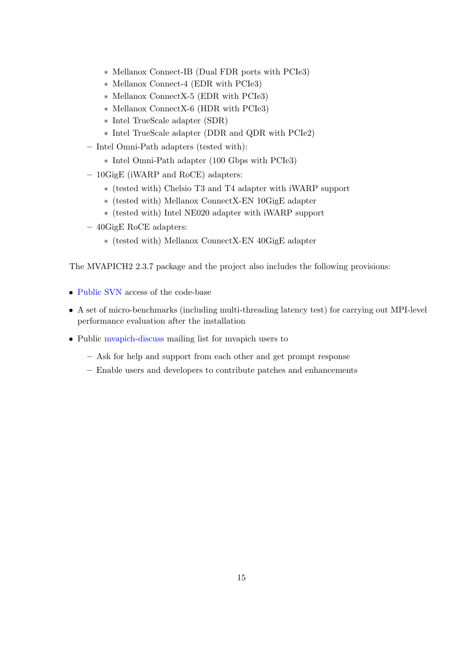- ∗ Mellanox Connect-IB (Dual FDR ports with PCIe3)
- ∗ Mellanox Connect-4 (EDR with PCIe3)
- ∗ Mellanox ConnectX-5 (EDR with PCIe3)
- ∗ Mellanox ConnectX-6 (HDR with PCIe3)
- ∗ Intel TrueScale adapter (SDR)
- ∗ Intel TrueScale adapter (DDR and QDR with PCIe2)
- Intel Omni-Path adapters (tested with):
	- ∗ Intel Omni-Path adapter (100 Gbps with PCIe3)
- 10GigE (iWARP and RoCE) adapters:
	- ∗ (tested with) Chelsio T3 and T4 adapter with iWARP support
	- ∗ (tested with) Mellanox ConnectX-EN 10GigE adapter
	- ∗ (tested with) Intel NE020 adapter with iWARP support
- 40GigE RoCE adapters:
	- ∗ (tested with) Mellanox ConnectX-EN 40GigE adapter

The MVAPICH2 2.3.7 package and the project also includes the following provisions:

- [Public SVN](https://scm.nowlab.cse.ohio-state.edu/svn/mpi/mvapich2/) access of the code-base
- A set of micro-benchmarks (including multi-threading latency test) for carrying out MPI-level performance evaluation after the installation
- Public [mvapich-discuss](http://mailman.cse.ohio-state.edu/mailman/listinfo/mvapich-discuss) mailing list for mvapich users to
	- Ask for help and support from each other and get prompt response
	- Enable users and developers to contribute patches and enhancements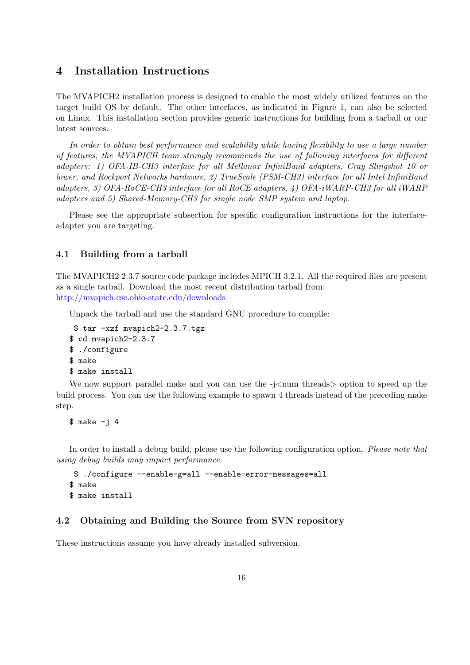# <span id="page-24-0"></span>4 Installation Instructions

The MVAPICH2 installation process is designed to enable the most widely utilized features on the target build OS by default. The other interfaces, as indicated in Figure [1,](#page-10-1) can also be selected on Linux. This installation section provides generic instructions for building from a tarball or our latest sources.

In order to obtain best performance and scalability while having flexibility to use a large number of features, the MVAPICH team strongly recommends the use of following interfaces for different adapters: 1) OFA-IB-CH3 interface for all Mellanox InfiniBand adapters, Cray Slingshot 10 or lower, and Rockport Networks hardware, 2) TrueScale (PSM-CH3) interface for all Intel InfiniBand adapters, 3) OFA-RoCE-CH3 interface for all RoCE adapters, 4) OFA-iWARP-CH3 for all iWARP adapters and 5) Shared-Memory-CH3 for single node SMP system and laptop.

Please see the appropriate subsection for specific configuration instructions for the interfaceadapter you are targeting.

#### <span id="page-24-1"></span>4.1 Building from a tarball

The MVAPICH2 2.3.7 source code package includes MPICH 3.2.1. All the required files are present as a single tarball. Download the most recent distribution tarball from: <http://mvapich.cse.ohio-state.edu/downloads>

Unpack the tarball and use the standard GNU procedure to compile:

```
$ tar -xzf mvapich2-2.3.7.tgz
$ cd mvapich2-2.3.7
$ ./configure
$ make
$ make install
```
We now support parallel make and you can use the  $-j$   $\lt$ num threads $>$  option to speed up the build process. You can use the following example to spawn 4 threads instead of the preceding make step.

 $$ make -j 4$ 

In order to install a debug build, please use the following configuration option. Please note that using debug builds may impact performance.

```
$ ./configure --enable-g=all --enable-error-messages=all
$ make
$ make install
```
#### <span id="page-24-2"></span>4.2 Obtaining and Building the Source from SVN repository

These instructions assume you have already installed subversion.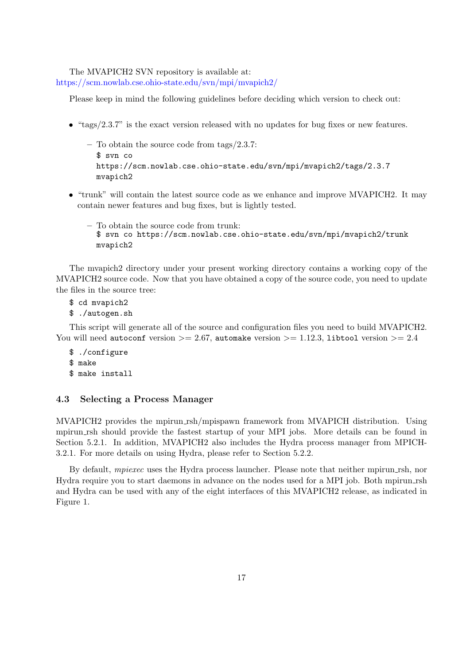The MVAPICH2 SVN repository is available at: <https://scm.nowlab.cse.ohio-state.edu/svn/mpi/mvapich2/>

Please keep in mind the following guidelines before deciding which version to check out:

- "tags/2.3.7" is the exact version released with no updates for bug fixes or new features.
	- To obtain the source code from tags/2.3.7: \$ svn co https://scm.nowlab.cse.ohio-state.edu/svn/mpi/mvapich2/tags/2.3.7 mvapich2
- "trunk" will contain the latest source code as we enhance and improve MVAPICH2. It may contain newer features and bug fixes, but is lightly tested.
	- To obtain the source code from trunk: \$ svn co https://scm.nowlab.cse.ohio-state.edu/svn/mpi/mvapich2/trunk mvapich2

The mvapich2 directory under your present working directory contains a working copy of the MVAPICH2 source code. Now that you have obtained a copy of the source code, you need to update the files in the source tree:

- \$ cd mvapich2
- \$ ./autogen.sh

This script will generate all of the source and configuration files you need to build MVAPICH2. You will need autoconf version  $>= 2.67$ , automake version  $>= 1.12.3$ , libtool version  $>= 2.4$ 

\$ ./configure \$ make \$ make install

### <span id="page-25-0"></span>4.3 Selecting a Process Manager

MVAPICH<sub>2</sub> provides the mpirun\_rsh/mpispawn framework from MVAPICH distribution. Using mpirun rsh should provide the fastest startup of your MPI jobs. More details can be found in Section [5.2.1.](#page-39-3) In addition, MVAPICH2 also includes the Hydra process manager from MPICH-3.2.1. For more details on using Hydra, please refer to Section [5.2.2.](#page-42-0)

By default, *mpiexec* uses the Hydra process launcher. Please note that neither mpirun rsh, nor Hydra require you to start daemons in advance on the nodes used for a MPI job. Both mpirun rsh and Hydra can be used with any of the eight interfaces of this MVAPICH2 release, as indicated in Figure [1.](#page-10-1)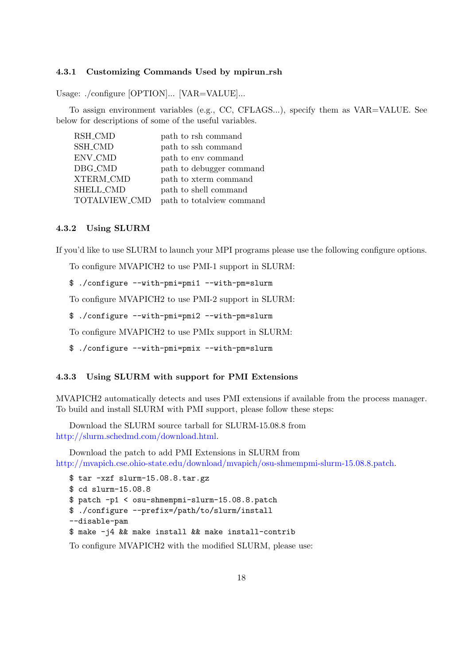#### <span id="page-26-0"></span>4.3.1 Customizing Commands Used by mpirun rsh

Usage: ./configure [OPTION]... [VAR=VALUE]...

To assign environment variables (e.g., CC, CFLAGS...), specify them as VAR=VALUE. See below for descriptions of some of the useful variables.

| <b>RSH_CMD</b> | path to rsh command        |
|----------------|----------------------------|
| <b>SSH_CMD</b> | path to ssh command        |
| ENV_CMD        | path to env command        |
| DBG_CMD        | path to debugger command   |
| XTERM_CMD      | path to xterm command      |
| SHELL_CMD      | path to shell command      |
| TOTALVIEW_CMD  | path to total view command |

#### <span id="page-26-1"></span>4.3.2 Using SLURM

If you'd like to use SLURM to launch your MPI programs please use the following configure options.

To configure MVAPICH2 to use PMI-1 support in SLURM:

\$ ./configure --with-pmi=pmi1 --with-pm=slurm

To configure MVAPICH2 to use PMI-2 support in SLURM:

\$ ./configure --with-pmi=pmi2 --with-pm=slurm

To configure MVAPICH2 to use PMIx support in SLURM:

\$ ./configure --with-pmi=pmix --with-pm=slurm

#### <span id="page-26-2"></span>4.3.3 Using SLURM with support for PMI Extensions

MVAPICH2 automatically detects and uses PMI extensions if available from the process manager. To build and install SLURM with PMI support, please follow these steps:

Download the SLURM source tarball for SLURM-15.08.8 from [http://slurm.schedmd.com/download.html.](http://slurm.schedmd.com/download.html)

Download the patch to add PMI Extensions in SLURM from [http://mvapich.cse.ohio-state.edu/download/mvapich/osu-shmempmi-slurm-15.08.8.patch.](http://mvapich.cse.ohio-state.edu/download/mvapich/osu-shmempmi-slurm-15.08.8.patch)

```
$ tar -xzf slurm-15.08.8.tar.gz
$ cd slurm-15.08.8
$ patch -p1 < osu-shmempmi-slurm-15.08.8.patch
$ ./configure --prefix=/path/to/slurm/install
--disable-pam
$ make -j4 && make install && make install-contrib
```
To configure MVAPICH2 with the modified SLURM, please use: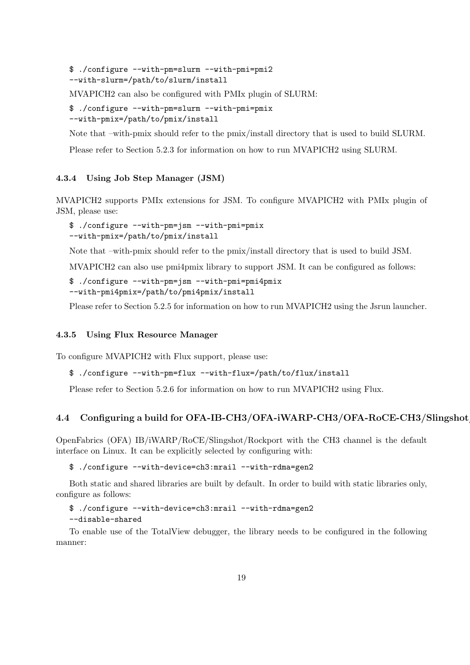```
$ ./configure --with-pm=slurm --with-pmi=pmi2
--with-slurm=/path/to/slurm/install
```
MVAPICH2 can also be configured with PMIx plugin of SLURM:

```
$ ./configure --with-pm=slurm --with-pmi=pmix
--with-pmix=/path/to/pmix/install
```
Note that –with-pmix should refer to the pmix/install directory that is used to build SLURM.

Please refer to Section [5.2.3](#page-42-1) for information on how to run MVAPICH2 using SLURM.

# <span id="page-27-0"></span>4.3.4 Using Job Step Manager (JSM)

MVAPICH2 supports PMIx extensions for JSM. To configure MVAPICH2 with PMIx plugin of JSM, please use:

```
$ ./configure --with-pm=jsm --with-pmi=pmix
--with-pmix=/path/to/pmix/install
```
Note that –with-pmix should refer to the pmix/install directory that is used to build JSM.

MVAPICH2 can also use pmi4pmix library to support JSM. It can be configured as follows:

```
$ ./configure --with-pm=jsm --with-pmi=pmi4pmix
--with-pmi4pmix=/path/to/pmi4pmix/install
```
Please refer to Section [5.2.5](#page-43-1) for information on how to run MVAPICH2 using the Jsrun launcher.

### <span id="page-27-1"></span>4.3.5 Using Flux Resource Manager

To configure MVAPICH2 with Flux support, please use:

```
$ ./configure --with-pm=flux --with-flux=/path/to/flux/install
```
Please refer to Section [5.2.6](#page-43-2) for information on how to run MVAPICH2 using Flux.

#### <span id="page-27-2"></span>4.4 Configuring a build for OFA-IB-CH3/OFA-iWARP-CH3/OFA-RoCE-CH3/Slingshot

OpenFabrics (OFA) IB/iWARP/RoCE/Slingshot/Rockport with the CH3 channel is the default interface on Linux. It can be explicitly selected by configuring with:

\$ ./configure --with-device=ch3:mrail --with-rdma=gen2

Both static and shared libraries are built by default. In order to build with static libraries only, configure as follows:

```
$ ./configure --with-device=ch3:mrail --with-rdma=gen2
--disable-shared
```
To enable use of the TotalView debugger, the library needs to be configured in the following manner: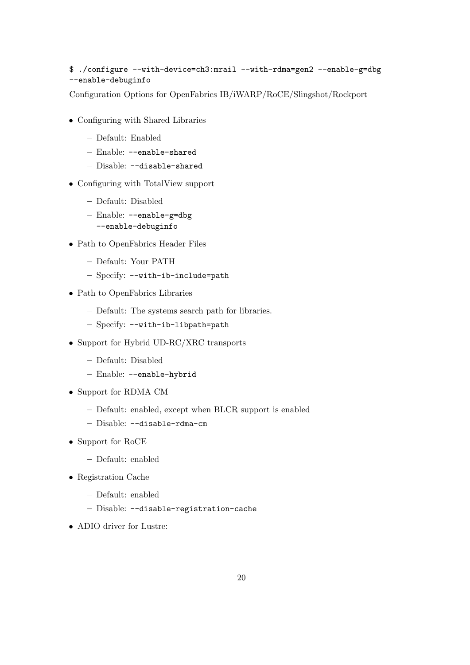# \$ ./configure --with-device=ch3:mrail --with-rdma=gen2 --enable-g=dbg --enable-debuginfo

Configuration Options for OpenFabrics IB/iWARP/RoCE/Slingshot/Rockport

- Configuring with Shared Libraries
	- Default: Enabled
	- Enable: --enable-shared
	- Disable: --disable-shared
- Configuring with TotalView support
	- Default: Disabled
	- Enable: --enable-g=dbg --enable-debuginfo
- Path to OpenFabrics Header Files
	- Default: Your PATH
	- Specify: --with-ib-include=path
- Path to OpenFabrics Libraries
	- Default: The systems search path for libraries.
	- Specify: --with-ib-libpath=path
- Support for Hybrid UD-RC/XRC transports
	- Default: Disabled
	- Enable: --enable-hybrid
- Support for RDMA CM
	- Default: enabled, except when BLCR support is enabled
	- Disable: --disable-rdma-cm
- Support for RoCE
	- Default: enabled
- Registration Cache
	- Default: enabled
	- Disable: --disable-registration-cache
- ADIO driver for Lustre: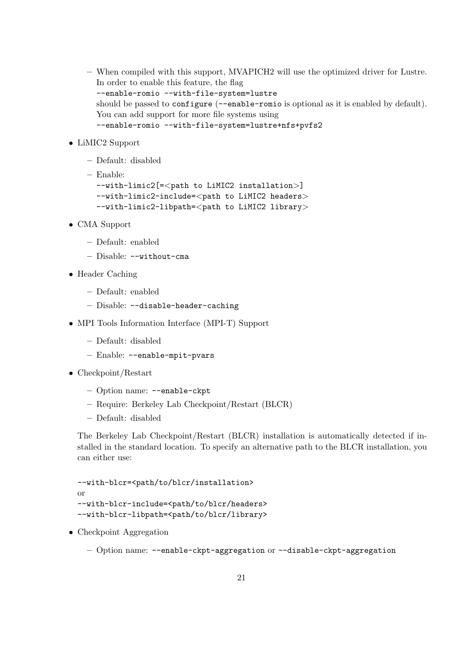- When compiled with this support, MVAPICH2 will use the optimized driver for Lustre. In order to enable this feature, the flag --enable-romio --with-file-system=lustre should be passed to configure (--enable-romio is optional as it is enabled by default). You can add support for more file systems using --enable-romio --with-file-system=lustre+nfs+pvfs2
- LiMIC2 Support
	- Default: disabled
	- Enable:

--with-limic2[=<path to LiMIC2 installation>]  $--with-limic2-include=$  $--with-limic2-libpath=$ 

- CMA Support
	- Default: enabled
	- Disable: --without-cma
- Header Caching
	- Default: enabled
	- Disable: --disable-header-caching
- MPI Tools Information Interface (MPI-T) Support
	- Default: disabled
	- Enable: --enable-mpit-pvars
- Checkpoint/Restart
	- Option name: --enable-ckpt
	- Require: Berkeley Lab Checkpoint/Restart (BLCR)
	- Default: disabled

The Berkeley Lab Checkpoint/Restart (BLCR) installation is automatically detected if installed in the standard location. To specify an alternative path to the BLCR installation, you can either use:

```
--with-blcr=<path/to/blcr/installation>
or
--with-blcr-include=<path/to/blcr/headers>
--with-blcr-libpath=<path/to/blcr/library>
```
- Checkpoint Aggregation
	- Option name: --enable-ckpt-aggregation or --disable-ckpt-aggregation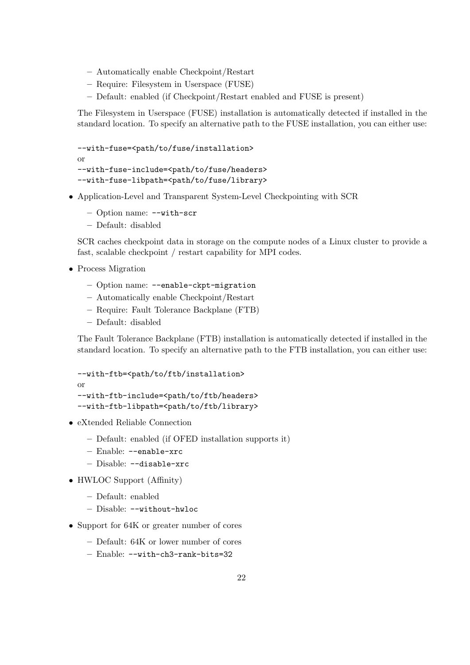- Automatically enable Checkpoint/Restart
- Require: Filesystem in Userspace (FUSE)
- Default: enabled (if Checkpoint/Restart enabled and FUSE is present)

The Filesystem in Userspace (FUSE) installation is automatically detected if installed in the standard location. To specify an alternative path to the FUSE installation, you can either use:

```
--with-fuse=<path/to/fuse/installation>
or
--with-fuse-include=<path/to/fuse/headers>
--with-fuse-libpath=<path/to/fuse/library>
```
- Application-Level and Transparent System-Level Checkpointing with SCR
	- Option name: --with-scr
	- Default: disabled

SCR caches checkpoint data in storage on the compute nodes of a Linux cluster to provide a fast, scalable checkpoint / restart capability for MPI codes.

- Process Migration
	- Option name: --enable-ckpt-migration
	- Automatically enable Checkpoint/Restart
	- Require: Fault Tolerance Backplane (FTB)
	- Default: disabled

The Fault Tolerance Backplane (FTB) installation is automatically detected if installed in the standard location. To specify an alternative path to the FTB installation, you can either use:

```
--with-ftb=<path/to/ftb/installation>
or
--with-ftb-include=<path/to/ftb/headers>
--with-ftb-libpath=<path/to/ftb/library>
```
- eXtended Reliable Connection
	- Default: enabled (if OFED installation supports it)
	- Enable: --enable-xrc
	- Disable: --disable-xrc
- HWLOC Support (Affinity)
	- Default: enabled
	- Disable: --without-hwloc
- Support for 64K or greater number of cores
	- Default: 64K or lower number of cores
	- Enable: --with-ch3-rank-bits=32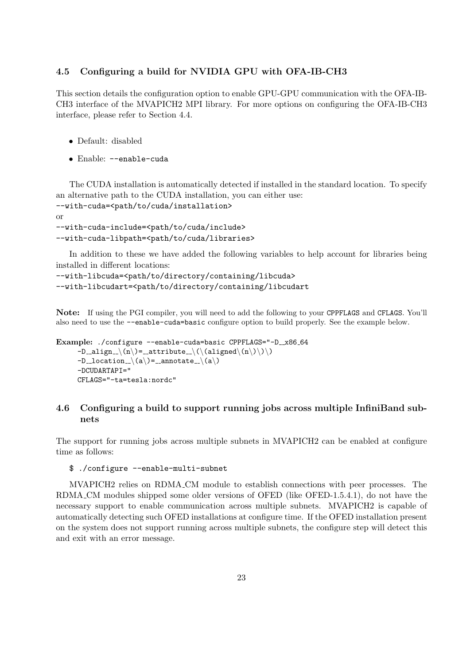#### <span id="page-31-0"></span>4.5 Configuring a build for NVIDIA GPU with OFA-IB-CH3

This section details the configuration option to enable GPU-GPU communication with the OFA-IB-CH3 interface of the MVAPICH2 MPI library. For more options on configuring the OFA-IB-CH3 interface, please refer to Section [4.4.](#page-27-2)

- Default: disabled
- Enable: --enable-cuda

The CUDA installation is automatically detected if installed in the standard location. To specify an alternative path to the CUDA installation, you can either use:

```
--with-cuda=<path/to/cuda/installation>
or
```

```
--with-cuda-include=<path/to/cuda/include>
--with-cuda-libpath=<path/to/cuda/libraries>
```
In addition to these we have added the following variables to help account for libraries being installed in different locations:

```
--with-libcuda=<path/to/directory/containing/libcuda>
--with-libcudart=<path/to/directory/containing/libcudart
```
Note: If using the PGI compiler, you will need to add the following to your CPPFLAGS and CFLAGS. You'll also need to use the --enable-cuda=basic configure option to build properly. See the example below.

```
Example: ./configure --enable-cuda=basic CPPFLAGS="-D_x86_64
      -D_align \(n\) = _attribute \(\(aligned\(n\)\)\)
      -D_{\text{-}location_{\text{-}}}(a)= _annotate \langle(a \rangle)-DCUDARTAPI="
      CFLAGS="-ta=tesla:nordc"
```
# <span id="page-31-1"></span>4.6 Configuring a build to support running jobs across multiple InfiniBand subnets

The support for running jobs across multiple subnets in MVAPICH2 can be enabled at configure time as follows:

#### \$ ./configure --enable-multi-subnet

MVAPICH2 relies on RDMA CM module to establish connections with peer processes. The RDMA CM modules shipped some older versions of OFED (like OFED-1.5.4.1), do not have the necessary support to enable communication across multiple subnets. MVAPICH2 is capable of automatically detecting such OFED installations at configure time. If the OFED installation present on the system does not support running across multiple subnets, the configure step will detect this and exit with an error message.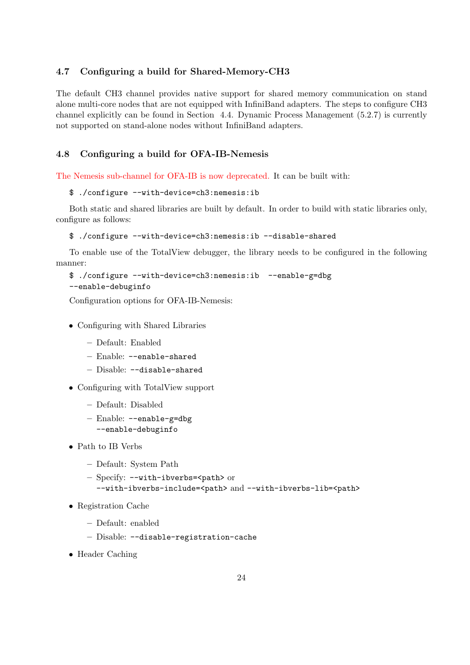#### <span id="page-32-0"></span>4.7 Configuring a build for Shared-Memory-CH3

The default CH3 channel provides native support for shared memory communication on stand alone multi-core nodes that are not equipped with InfiniBand adapters. The steps to configure CH3 channel explicitly can be found in Section [4.4.](#page-27-2) Dynamic Process Management [\(5.2.7\)](#page-44-0) is currently not supported on stand-alone nodes without InfiniBand adapters.

# <span id="page-32-1"></span>4.8 Configuring a build for OFA-IB-Nemesis

The Nemesis sub-channel for OFA-IB is now deprecated. It can be built with:

```
$ ./configure --with-device=ch3:nemesis:ib
```
Both static and shared libraries are built by default. In order to build with static libraries only, configure as follows:

```
$ ./configure --with-device=ch3:nemesis:ib --disable-shared
```
To enable use of the TotalView debugger, the library needs to be configured in the following manner:

```
$ ./configure --with-device=ch3:nemesis:ib --enable-g=dbg
--enable-debuginfo
```
Configuration options for OFA-IB-Nemesis:

- Configuring with Shared Libraries
	- Default: Enabled
	- Enable: --enable-shared
	- Disable: --disable-shared
- Configuring with TotalView support
	- Default: Disabled
	- Enable: --enable-g=dbg --enable-debuginfo
- Path to IB Verbs
	- Default: System Path
	- Specify: --with-ibverbs=<path> or
		- --with-ibverbs-include=<path> and --with-ibverbs-lib=<path>
- Registration Cache
	- Default: enabled
	- Disable: --disable-registration-cache
- Header Caching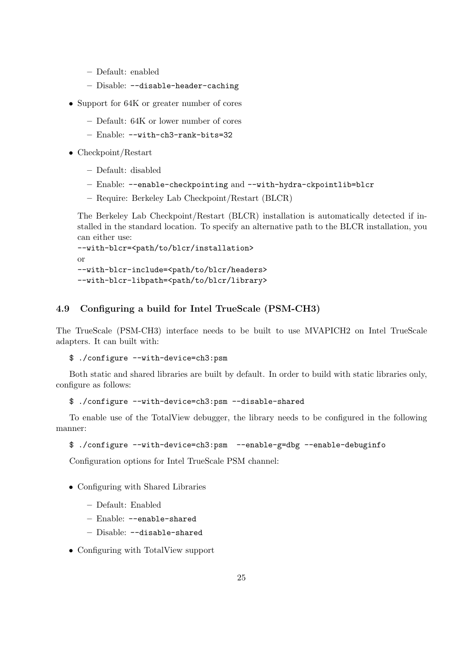- Default: enabled
- Disable: --disable-header-caching
- Support for 64K or greater number of cores
	- Default: 64K or lower number of cores
	- Enable: --with-ch3-rank-bits=32
- Checkpoint/Restart
	- Default: disabled
	- Enable: --enable-checkpointing and --with-hydra-ckpointlib=blcr
	- Require: Berkeley Lab Checkpoint/Restart (BLCR)

The Berkeley Lab Checkpoint/Restart (BLCR) installation is automatically detected if installed in the standard location. To specify an alternative path to the BLCR installation, you can either use:

--with-blcr=<path/to/blcr/installation> or --with-blcr-include=<path/to/blcr/headers>

--with-blcr-libpath=<path/to/blcr/library>

# <span id="page-33-0"></span>4.9 Configuring a build for Intel TrueScale (PSM-CH3)

The TrueScale (PSM-CH3) interface needs to be built to use MVAPICH2 on Intel TrueScale adapters. It can built with:

\$ ./configure --with-device=ch3:psm

Both static and shared libraries are built by default. In order to build with static libraries only, configure as follows:

\$ ./configure --with-device=ch3:psm --disable-shared

To enable use of the TotalView debugger, the library needs to be configured in the following manner:

```
$ ./configure --with-device=ch3:psm --enable-g=dbg --enable-debuginfo
```
Configuration options for Intel TrueScale PSM channel:

- Configuring with Shared Libraries
	- Default: Enabled
	- Enable: --enable-shared
	- Disable: --disable-shared
- Configuring with TotalView support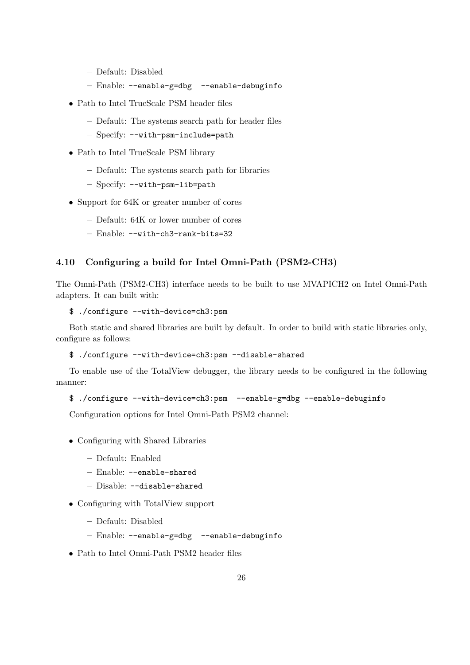- Default: Disabled
- Enable: --enable-g=dbg --enable-debuginfo
- Path to Intel TrueScale PSM header files
	- Default: The systems search path for header files
	- Specify: --with-psm-include=path
- Path to Intel TrueScale PSM library
	- Default: The systems search path for libraries
	- Specify: --with-psm-lib=path
- Support for 64K or greater number of cores
	- Default: 64K or lower number of cores
	- Enable: --with-ch3-rank-bits=32

# <span id="page-34-0"></span>4.10 Configuring a build for Intel Omni-Path (PSM2-CH3)

The Omni-Path (PSM2-CH3) interface needs to be built to use MVAPICH2 on Intel Omni-Path adapters. It can built with:

#### \$ ./configure --with-device=ch3:psm

Both static and shared libraries are built by default. In order to build with static libraries only, configure as follows:

\$ ./configure --with-device=ch3:psm --disable-shared

To enable use of the TotalView debugger, the library needs to be configured in the following manner:

#### \$ ./configure --with-device=ch3:psm --enable-g=dbg --enable-debuginfo

Configuration options for Intel Omni-Path PSM2 channel:

- Configuring with Shared Libraries
	- Default: Enabled
	- Enable: --enable-shared
	- Disable: --disable-shared
- Configuring with TotalView support
	- Default: Disabled
	- Enable: --enable-g=dbg --enable-debuginfo
- Path to Intel Omni-Path PSM2 header files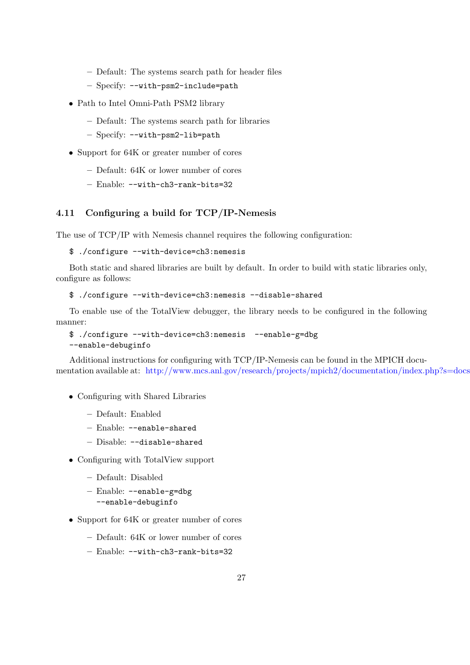- Default: The systems search path for header files
- Specify: --with-psm2-include=path
- Path to Intel Omni-Path PSM2 library
	- Default: The systems search path for libraries
	- Specify: --with-psm2-lib=path
- Support for 64K or greater number of cores
	- Default: 64K or lower number of cores
	- Enable: --with-ch3-rank-bits=32

# <span id="page-35-0"></span>4.11 Configuring a build for TCP/IP-Nemesis

The use of TCP/IP with Nemesis channel requires the following configuration:

\$ ./configure --with-device=ch3:nemesis

Both static and shared libraries are built by default. In order to build with static libraries only, configure as follows:

\$ ./configure --with-device=ch3:nemesis --disable-shared

To enable use of the TotalView debugger, the library needs to be configured in the following manner:

```
$ ./configure --with-device=ch3:nemesis --enable-g=dbg
--enable-debuginfo
```
Additional instructions for configuring with TCP/IP-Nemesis can be found in the MPICH documentation available at: <http://www.mcs.anl.gov/research/projects/mpich2/documentation/index.php?s=docs>

- Configuring with Shared Libraries
	- Default: Enabled
	- Enable: --enable-shared
	- Disable: --disable-shared
- Configuring with TotalView support
	- Default: Disabled
	- Enable: --enable-g=dbg
		- --enable-debuginfo
- Support for 64K or greater number of cores
	- Default: 64K or lower number of cores
	- Enable: --with-ch3-rank-bits=32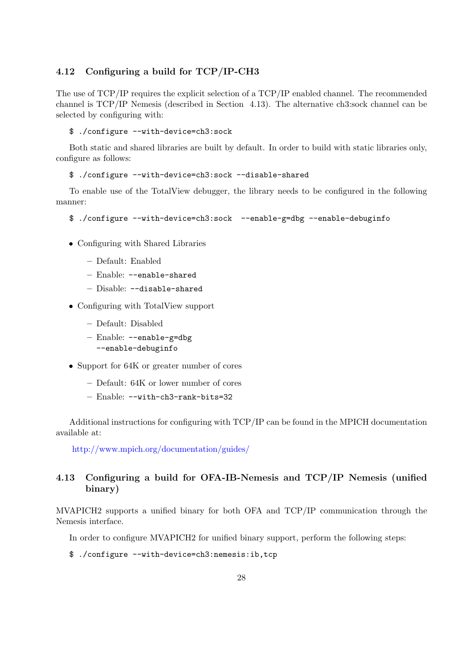## 4.12 Configuring a build for TCP/IP-CH3

The use of TCP/IP requires the explicit selection of a TCP/IP enabled channel. The recommended channel is TCP/IP Nemesis (described in Section [4.13\)](#page-36-0). The alternative ch3:sock channel can be selected by configuring with:

\$ ./configure --with-device=ch3:sock

Both static and shared libraries are built by default. In order to build with static libraries only, configure as follows:

#### \$ ./configure --with-device=ch3:sock --disable-shared

To enable use of the TotalView debugger, the library needs to be configured in the following manner:

```
$ ./configure --with-device=ch3:sock --enable-g=dbg --enable-debuginfo
```
- Configuring with Shared Libraries
	- Default: Enabled
	- Enable: --enable-shared
	- Disable: --disable-shared
- Configuring with TotalView support
	- Default: Disabled
	- Enable: --enable-g=dbg --enable-debuginfo
- Support for 64K or greater number of cores
	- Default: 64K or lower number of cores
	- Enable: --with-ch3-rank-bits=32

Additional instructions for configuring with TCP/IP can be found in the MPICH documentation available at:

<http://www.mpich.org/documentation/guides/>

# <span id="page-36-0"></span>4.13 Configuring a build for OFA-IB-Nemesis and TCP/IP Nemesis (unified binary)

MVAPICH2 supports a unified binary for both OFA and TCP/IP communication through the Nemesis interface.

In order to configure MVAPICH2 for unified binary support, perform the following steps:

\$ ./configure --with-device=ch3:nemesis:ib,tcp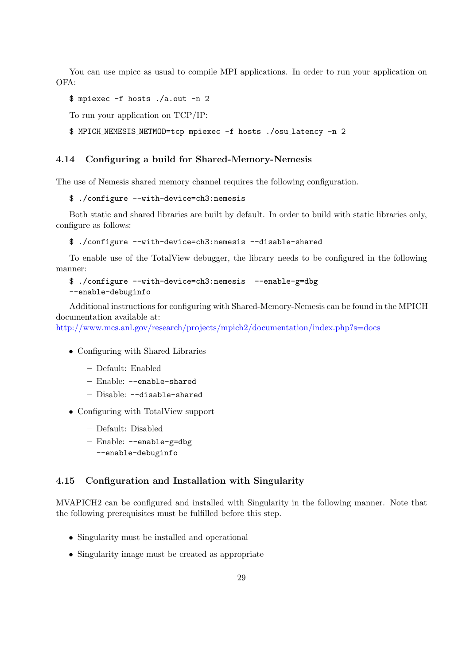You can use mpicc as usual to compile MPI applications. In order to run your application on OFA:

```
$ mpiexec -f hosts ./a.out -n 2
```
To run your application on TCP/IP:

```
$ MPICH NEMESIS NETMOD=tcp mpiexec -f hosts ./osu latency -n 2
```
## 4.14 Configuring a build for Shared-Memory-Nemesis

The use of Nemesis shared memory channel requires the following configuration.

```
$ ./configure --with-device=ch3:nemesis
```
Both static and shared libraries are built by default. In order to build with static libraries only, configure as follows:

```
$ ./configure --with-device=ch3:nemesis --disable-shared
```
To enable use of the TotalView debugger, the library needs to be configured in the following manner:

```
$ ./configure --with-device=ch3:nemesis --enable-g=dbg
--enable-debuginfo
```
Additional instructions for configuring with Shared-Memory-Nemesis can be found in the MPICH documentation available at:

<http://www.mcs.anl.gov/research/projects/mpich2/documentation/index.php?s=docs>

- Configuring with Shared Libraries
	- Default: Enabled
	- Enable: --enable-shared
	- Disable: --disable-shared
- Configuring with TotalView support
	- Default: Disabled
	- Enable: --enable-g=dbg --enable-debuginfo

## <span id="page-37-0"></span>4.15 Configuration and Installation with Singularity

MVAPICH2 can be configured and installed with Singularity in the following manner. Note that the following prerequisites must be fulfilled before this step.

- Singularity must be installed and operational
- Singularity image must be created as appropriate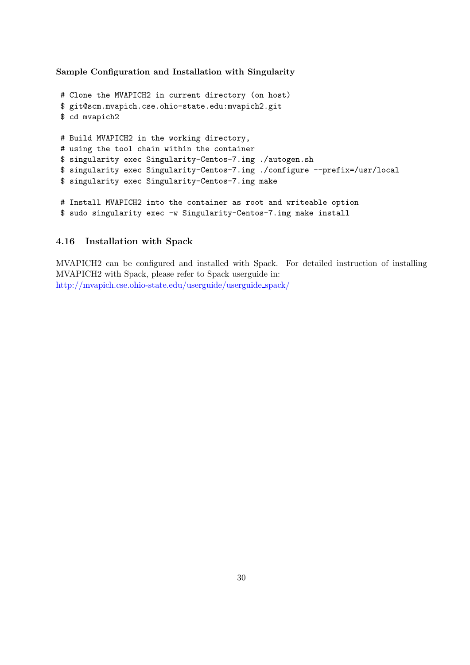Sample Configuration and Installation with Singularity

```
# Clone the MVAPICH2 in current directory (on host)
$ git@scm.mvapich.cse.ohio-state.edu:mvapich2.git
$ cd mvapich2
# Build MVAPICH2 in the working directory,
# using the tool chain within the container
$ singularity exec Singularity-Centos-7.img ./autogen.sh
$ singularity exec Singularity-Centos-7.img ./configure --prefix=/usr/local
$ singularity exec Singularity-Centos-7.img make
# Install MVAPICH2 into the container as root and writeable option
$ sudo singularity exec -w Singularity-Centos-7.img make install
```
## 4.16 Installation with Spack

MVAPICH2 can be configured and installed with Spack. For detailed instruction of installing MVAPICH2 with Spack, please refer to Spack userguide in: [http://mvapich.cse.ohio-state.edu/userguide/userguide](http://mvapich.cse.ohio-state.edu/userguide/userguide_spack/) spack/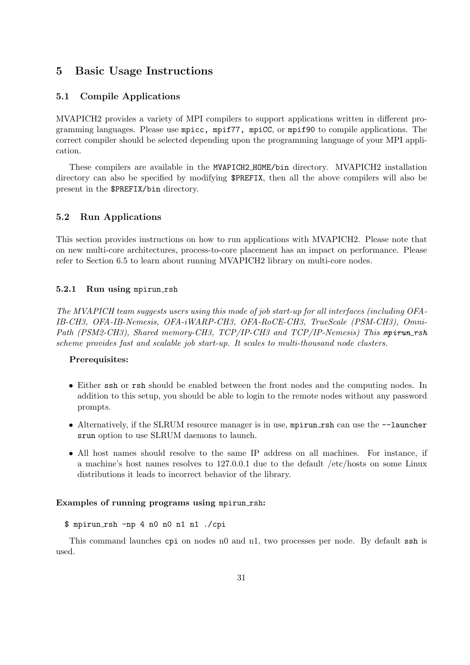# 5 Basic Usage Instructions

## 5.1 Compile Applications

MVAPICH2 provides a variety of MPI compilers to support applications written in different programming languages. Please use mpicc, mpif77, mpiCC, or mpif90 to compile applications. The correct compiler should be selected depending upon the programming language of your MPI application.

These compilers are available in the MVAPICH2 HOME/bin directory. MVAPICH2 installation directory can also be specified by modifying \$PREFIX, then all the above compilers will also be present in the \$PREFIX/bin directory.

### 5.2 Run Applications

This section provides instructions on how to run applications with MVAPICH2. Please note that on new multi-core architectures, process-to-core placement has an impact on performance. Please refer to Section [6.5](#page-51-0) to learn about running MVAPICH2 library on multi-core nodes.

### 5.2.1 Run using mpirun\_rsh

The MVAPICH team suggests users using this mode of job start-up for all interfaces (including OFA-IB-CH3, OFA-IB-Nemesis, OFA-iWARP-CH3, OFA-RoCE-CH3, TrueScale (PSM-CH3), Omni-Path (PSM2-CH3), Shared memory-CH3, TCP/IP-CH3 and TCP/IP-Nemesis) This mpirun\_rsh scheme provides fast and scalable job start-up. It scales to multi-thousand node clusters.

## Prerequisites:

- Either ssh or rsh should be enabled between the front nodes and the computing nodes. In addition to this setup, you should be able to login to the remote nodes without any password prompts.
- Alternatively, if the SLRUM resource manager is in use, mpirun rsh can use the  $-$ -launcher srun option to use SLRUM daemons to launch.
- All host names should resolve to the same IP address on all machines. For instance, if a machine's host names resolves to 127.0.0.1 due to the default /etc/hosts on some Linux distributions it leads to incorrect behavior of the library.

#### Examples of running programs using mpirun rsh:

\$ mpirun rsh -np 4 n0 n0 n1 n1 ./cpi

This command launches cpi on nodes n0 and n1, two processes per node. By default ssh is used.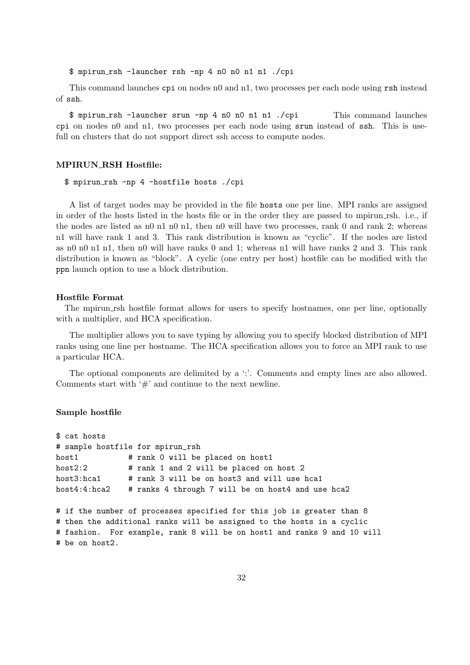\$ mpirun rsh -launcher rsh -np 4 n0 n0 n1 n1 ./cpi

This command launches cpi on nodes n0 and n1, two processes per each node using rsh instead of ssh.

\$ mpirun rsh -launcher srun -np 4 n0 n0 n1 n1 ./cpi This command launches cpi on nodes n0 and n1, two processes per each node using srun instead of ssh. This is usefull on clusters that do not support direct ssh access to compute nodes.

#### MPIRUN RSH Hostfile:

\$ mpirun rsh -np 4 -hostfile hosts ./cpi

A list of target nodes may be provided in the file hosts one per line. MPI ranks are assigned in order of the hosts listed in the hosts file or in the order they are passed to mpirun rsh. i.e., if the nodes are listed as n0 n1 n0 n1, then n0 will have two processes, rank 0 and rank 2; whereas n1 will have rank 1 and 3. This rank distribution is known as "cyclic". If the nodes are listed as n0 n0 n1 n1, then n0 will have ranks 0 and 1; whereas n1 will have ranks 2 and 3. This rank distribution is known as "block". A cyclic (one entry per host) hostfile can be modified with the ppn launch option to use a block distribution.

#### Hostfile Format

The mpirun rsh hostfile format allows for users to specify hostnames, one per line, optionally with a multiplier, and HCA specification.

The multiplier allows you to save typing by allowing you to specify blocked distribution of MPI ranks using one line per hostname. The HCA specification allows you to force an MPI rank to use a particular HCA.

The optional components are delimited by a ':'. Comments and empty lines are also allowed. Comments start with  $\#$  and continue to the next newline.

#### Sample hostfile

```
$ cat hosts
# sample hostfile for mpirun_rsh
host1 # rank 0 will be placed on host1
host2:2 # rank 1 and 2 will be placed on host 2
host3:hca1 # rank 3 will be on host3 and will use hca1
host4:4:hca2 # ranks 4 through 7 will be on host4 and use hca2
```

```
# if the number of processes specified for this job is greater than 8
# then the additional ranks will be assigned to the hosts in a cyclic
# fashion. For example, rank 8 will be on host1 and ranks 9 and 10 will
# be on host2.
```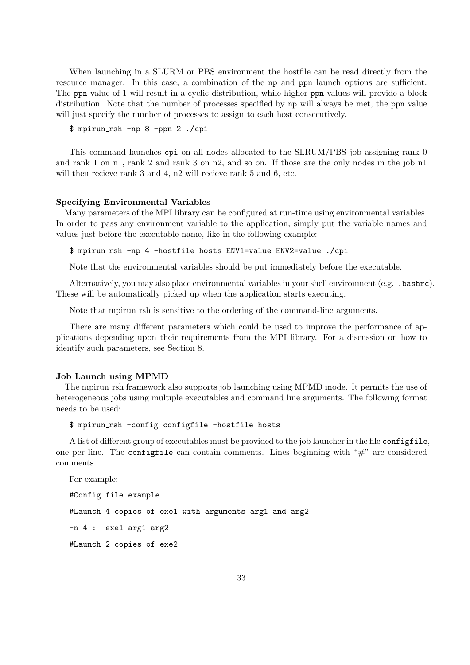When launching in a SLURM or PBS environment the hostfile can be read directly from the resource manager. In this case, a combination of the np and ppn launch options are sufficient. The ppn value of 1 will result in a cyclic distribution, while higher ppn values will provide a block distribution. Note that the number of processes specified by **np** will always be met, the **ppn** value will just specify the number of processes to assign to each host consecutively.

```
$ mpirun rsh -np 8 -ppn 2 ./cpi
```
This command launches cpi on all nodes allocated to the SLRUM/PBS job assigning rank 0 and rank 1 on n1, rank 2 and rank 3 on n2, and so on. If those are the only nodes in the job n1 will then recieve rank 3 and 4, n2 will recieve rank 5 and 6, etc.

#### Specifying Environmental Variables

Many parameters of the MPI library can be configured at run-time using environmental variables. In order to pass any environment variable to the application, simply put the variable names and values just before the executable name, like in the following example:

\$ mpirun rsh -np 4 -hostfile hosts ENV1=value ENV2=value ./cpi

Note that the environmental variables should be put immediately before the executable.

Alternatively, you may also place environmental variables in your shell environment (e.g. .bashrc). These will be automatically picked up when the application starts executing.

Note that mpirun rsh is sensitive to the ordering of the command-line arguments.

There are many different parameters which could be used to improve the performance of applications depending upon their requirements from the MPI library. For a discussion on how to identify such parameters, see Section [8.](#page-90-0)

#### Job Launch using MPMD

The mpirun rsh framework also supports job launching using MPMD mode. It permits the use of heterogeneous jobs using multiple executables and command line arguments. The following format needs to be used:

\$ mpirun rsh -config configfile -hostfile hosts

A list of different group of executables must be provided to the job launcher in the file configfile, one per line. The configuration comments. Lines beginning with  $H^*$  are considered comments.

For example:

#Config file example #Launch 4 copies of exe1 with arguments arg1 and arg2 -n 4 : exe1 arg1 arg2

#Launch 2 copies of exe2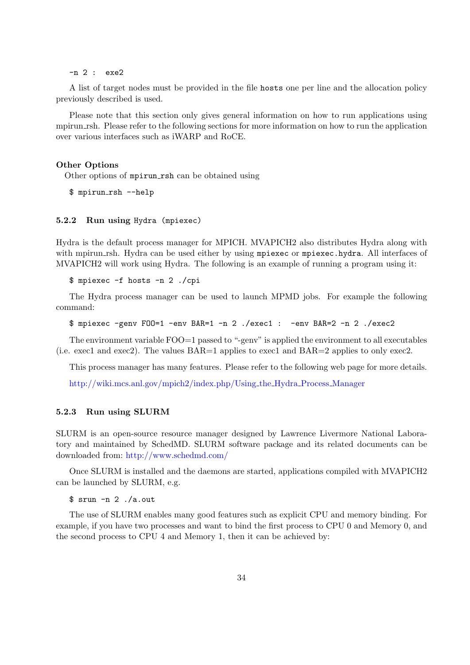-n 2 : exe2

A list of target nodes must be provided in the file hosts one per line and the allocation policy previously described is used.

Please note that this section only gives general information on how to run applications using mpirun rsh. Please refer to the following sections for more information on how to run the application over various interfaces such as iWARP and RoCE.

#### Other Options

Other options of mpirun rsh can be obtained using

```
$ mpirun rsh --help
```
#### 5.2.2 Run using Hydra (mpiexec)

Hydra is the default process manager for MPICH. MVAPICH2 also distributes Hydra along with with mpirun rsh. Hydra can be used either by using mpiexec or mpiexec.hydra. All interfaces of MVAPICH2 will work using Hydra. The following is an example of running a program using it:

\$ mpiexec -f hosts -n 2 ./cpi

The Hydra process manager can be used to launch MPMD jobs. For example the following command:

```
$ mpiexec -genv FOO=1 -env BAR=1 -n 2 ./exec1 : -env BAR=2 -n 2 ./exec2
```
The environment variable FOO=1 passed to "-genv" is applied the environment to all executables (i.e. exec1 and exec2). The values BAR=1 applies to exec1 and BAR=2 applies to only exec2.

This process manager has many features. Please refer to the following web page for more details.

[http://wiki.mcs.anl.gov/mpich2/index.php/Using](http://wiki.mcs.anl.gov/mpich2/index.php/Using_the_Hydra_Process_Manager) the Hydra Process Manager

### 5.2.3 Run using SLURM

SLURM is an open-source resource manager designed by Lawrence Livermore National Laboratory and maintained by SchedMD. SLURM software package and its related documents can be downloaded from: <http://www.schedmd.com/>

Once SLURM is installed and the daemons are started, applications compiled with MVAPICH2 can be launched by SLURM, e.g.

\$ srun -n 2 ./a.out

The use of SLURM enables many good features such as explicit CPU and memory binding. For example, if you have two processes and want to bind the first process to CPU 0 and Memory 0, and the second process to CPU 4 and Memory 1, then it can be achieved by: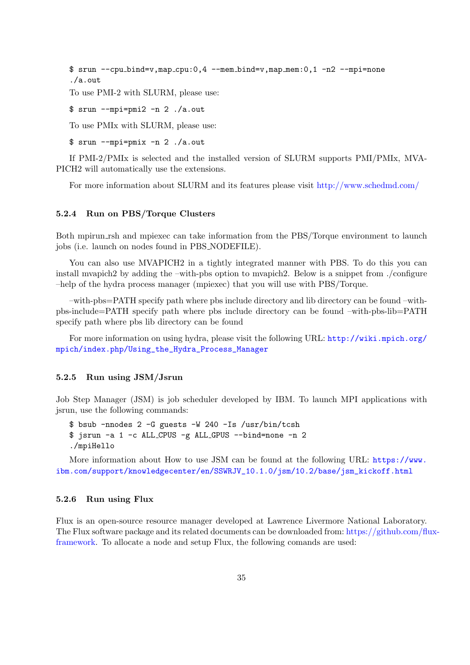```
$ srun --cpu bind=v,map cpu:0,4 --mem bind=v,map mem:0,1 -n2 --mpi=none
./a.out
```
To use PMI-2 with SLURM, please use:

\$ srun --mpi=pmi2 -n 2 ./a.out

To use PMIx with SLURM, please use:

\$ srun --mpi=pmix -n 2 ./a.out

If PMI-2/PMIx is selected and the installed version of SLURM supports PMI/PMIx, MVA-PICH2 will automatically use the extensions.

For more information about SLURM and its features please visit <http://www.schedmd.com/>

#### 5.2.4 Run on PBS/Torque Clusters

Both mpirun rsh and mpiexec can take information from the PBS/Torque environment to launch jobs (i.e. launch on nodes found in PBS NODEFILE).

You can also use MVAPICH2 in a tightly integrated manner with PBS. To do this you can install mvapich2 by adding the –with-pbs option to mvapich2. Below is a snippet from ./configure –help of the hydra process manager (mpiexec) that you will use with PBS/Torque.

–with-pbs=PATH specify path where pbs include directory and lib directory can be found –withpbs-include=PATH specify path where pbs include directory can be found –with-pbs-lib=PATH specify path where pbs lib directory can be found

For more information on using hydra, please visit the following URL: [http://wiki.mpich.org/](http://wiki.mpich.org/mpich/index.php/Using_the_Hydra_Process_Manager) [mpich/index.php/Using\\_the\\_Hydra\\_Process\\_Manager](http://wiki.mpich.org/mpich/index.php/Using_the_Hydra_Process_Manager)

#### 5.2.5 Run using JSM/Jsrun

Job Step Manager (JSM) is job scheduler developed by IBM. To launch MPI applications with jsrun, use the following commands:

```
$ bsub -nnodes 2 -G guests -W 240 -Is /usr/bin/tcsh
$ jsrun -a 1 -c ALL CPUS -g ALL GPUS --bind=none -n 2
./mpiHello
```
More information about How to use JSM can be found at the following URL: [https://www.](https://www.ibm.com/support/knowledgecenter/en/SSWRJV_10.1.0/jsm/10.2/base/jsm_kickoff.html) [ibm.com/support/knowledgecenter/en/SSWRJV\\_10.1.0/jsm/10.2/base/jsm\\_kickoff.html](https://www.ibm.com/support/knowledgecenter/en/SSWRJV_10.1.0/jsm/10.2/base/jsm_kickoff.html)

## 5.2.6 Run using Flux

Flux is an open-source resource manager developed at Lawrence Livermore National Laboratory. The Flux software package and its related documents can be downloaded from: [https://github.com/flu](https://github.com/flux-framework)x[framework.](https://github.com/flux-framework) To allocate a node and setup Flux, the following comands are used: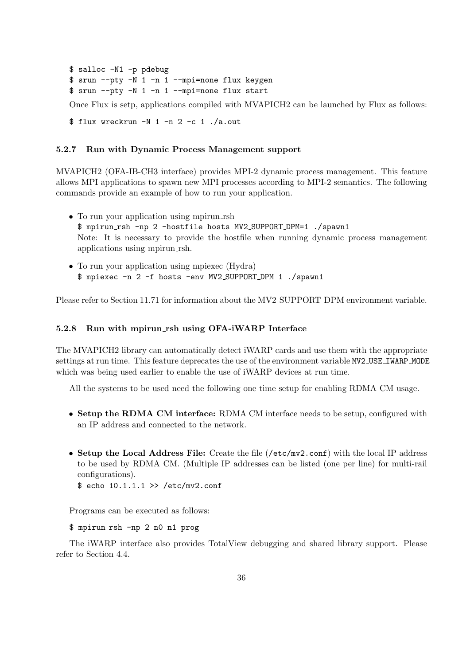\$ salloc -N1 -p pdebug \$ srun --pty -N 1 -n 1 --mpi=none flux keygen \$ srun --pty -N 1 -n 1 --mpi=none flux start

Once Flux is setp, applications compiled with MVAPICH2 can be launched by Flux as follows:

\$ flux wreckrun -N 1 -n 2 -c 1 ./a.out

### 5.2.7 Run with Dynamic Process Management support

MVAPICH2 (OFA-IB-CH3 interface) provides MPI-2 dynamic process management. This feature allows MPI applications to spawn new MPI processes according to MPI-2 semantics. The following commands provide an example of how to run your application.

- To run your application using mpirun\_rsh \$ mpirun rsh -np 2 -hostfile hosts MV2 SUPPORT DPM=1 ./spawn1 Note: It is necessary to provide the hostfile when running dynamic process management applications using mpirun rsh.
- To run your application using mpiexec (Hydra) \$ mpiexec -n 2 -f hosts -env MV2 SUPPORT DPM 1 ./spawn1

Please refer to Section [11.71](#page-126-0) for information about the MV2 SUPPORT DPM environment variable.

#### 5.2.8 Run with mpirun rsh using OFA-iWARP Interface

The MVAPICH2 library can automatically detect iWARP cards and use them with the appropriate settings at run time. This feature deprecates the use of the environment variable MV2 USE IWARP MODE which was being used earlier to enable the use of iWARP devices at run time.

All the systems to be used need the following one time setup for enabling RDMA CM usage.

- Setup the RDMA CM interface: RDMA CM interface needs to be setup, configured with an IP address and connected to the network.
- Setup the Local Address File: Create the file (/etc/mv2.conf) with the local IP address to be used by RDMA CM. (Multiple IP addresses can be listed (one per line) for multi-rail configurations).
	- $$ echo 10.1.1.1 >> /etc/mv2.comf$

Programs can be executed as follows:

#### \$ mpirun rsh -np 2 n0 n1 prog

The iWARP interface also provides TotalView debugging and shared library support. Please refer to Section [4.4.](#page-27-0)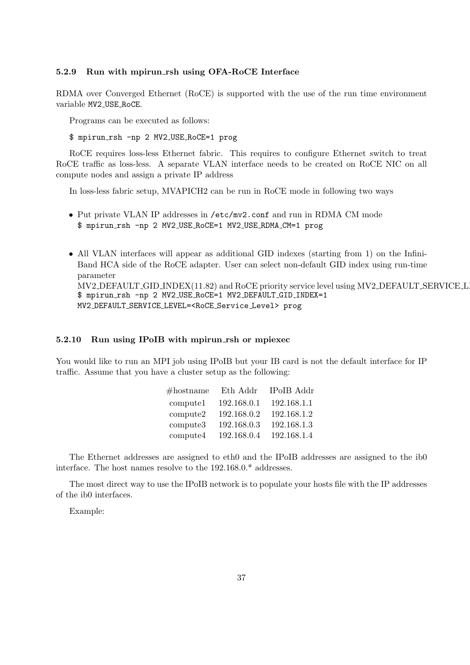#### 5.2.9 Run with mpirun rsh using OFA-RoCE Interface

RDMA over Converged Ethernet (RoCE) is supported with the use of the run time environment variable MV2 USE RoCE.

Programs can be executed as follows:

\$ mpirun rsh -np 2 MV2 USE RoCE=1 prog

RoCE requires loss-less Ethernet fabric. This requires to configure Ethernet switch to treat RoCE traffic as loss-less. A separate VLAN interface needs to be created on RoCE NIC on all compute nodes and assign a private IP address

In loss-less fabric setup, MVAPICH2 can be run in RoCE mode in following two ways

- Put private VLAN IP addresses in /etc/mv2.conf and run in RDMA CM mode \$ mpirun rsh -np 2 MV2 USE RoCE=1 MV2 USE RDMA CM=1 prog
- All VLAN interfaces will appear as additional GID indexes (starting from 1) on the Infini-Band HCA side of the RoCE adapter. User can select non-default GID index using run-time parameter MV2\_DEFAULT\_GID\_INDEX[\(11.82\)](#page-129-0) and RoCE priority service level using MV2\_DEFAULT\_SERVICE\_L \$ mpirun rsh -np 2 MV2 USE RoCE=1 MV2 DEFAULT GID INDEX=1 MV2 DEFAULT SERVICE LEVEL=<RoCE Service Level> prog

#### 5.2.10 Run using IPoIB with mpirun rsh or mpiexec

You would like to run an MPI job using IPoIB but your IB card is not the default interface for IP traffic. Assume that you have a cluster setup as the following:

| $#$ hostname | Eth Addr    | <b>IPoIB</b> Addr |
|--------------|-------------|-------------------|
| compute1     | 192.168.0.1 | 192.168.1.1       |
| compute2     | 192.168.0.2 | 192.168.1.2       |
| compute3     | 192.168.0.3 | 192.168.1.3       |
| compute4     | 192.168.0.4 | 192.168.1.4       |

The Ethernet addresses are assigned to eth0 and the IPoIB addresses are assigned to the ib0 interface. The host names resolve to the 192.168.0.\* addresses.

The most direct way to use the IPoIB network is to populate your hosts file with the IP addresses of the ib0 interfaces.

Example: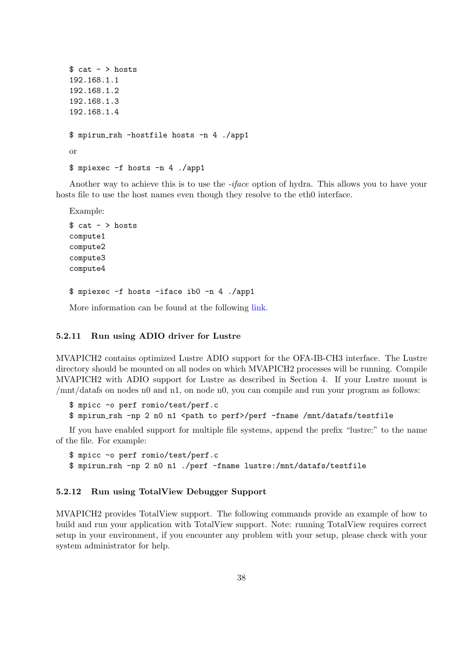```
$ cat - > hosts192.168.1.1
192.168.1.2
192.168.1.3
192.168.1.4
$ mpirun rsh -hostfile hosts -n 4 ./app1
or
$ mpiexec -f hosts -n 4 ./app1
```
Another way to achieve this is to use the -iface option of hydra. This allows you to have your hosts file to use the host names even though they resolve to the eth0 interface.

Example:

```
s cat - > hosts
compute1
compute2
compute3
compute4
$ mpiexec -f hosts -iface ib0 -n 4 ./app1
```
More information can be found at the following [link.](http://wiki.mcs.anl.gov/mpich2/index.php/Using_the_Hydra_Process_Manager#Hydra_with_Non-Ethernet_Networks)

#### 5.2.11 Run using ADIO driver for Lustre

MVAPICH2 contains optimized Lustre ADIO support for the OFA-IB-CH3 interface. The Lustre directory should be mounted on all nodes on which MVAPICH2 processes will be running. Compile MVAPICH2 with ADIO support for Lustre as described in Section [4.](#page-24-0) If your Lustre mount is /mnt/datafs on nodes n0 and n1, on node n0, you can compile and run your program as follows:

\$ mpicc -o perf romio/test/perf.c

\$ mpirun rsh -np 2 n0 n1 <path to perf>/perf -fname /mnt/datafs/testfile

If you have enabled support for multiple file systems, append the prefix "lustre:" to the name of the file. For example:

\$ mpicc -o perf romio/test/perf.c

\$ mpirun rsh -np 2 n0 n1 ./perf -fname lustre:/mnt/datafs/testfile

### 5.2.12 Run using TotalView Debugger Support

MVAPICH2 provides TotalView support. The following commands provide an example of how to build and run your application with TotalView support. Note: running TotalView requires correct setup in your environment, if you encounter any problem with your setup, please check with your system administrator for help.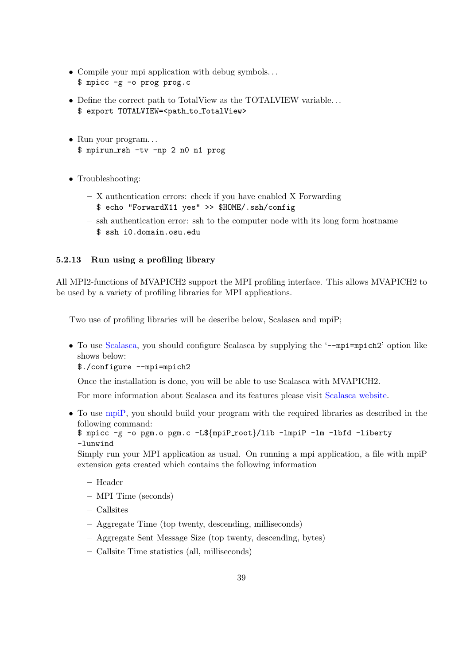- Compile your mpi application with debug symbols. . . \$ mpicc -g -o prog prog.c
- Define the correct path to TotalView as the TOTALVIEW variable. . . \$ export TOTALVIEW=<path to TotalView>
- Run your program... \$ mpirun rsh -tv -np 2 n0 n1 prog
- Troubleshooting:
	- X authentication errors: check if you have enabled X Forwarding \$ echo "ForwardX11 yes" >> \$HOME/.ssh/config
	- ssh authentication error: ssh to the computer node with its long form hostname \$ ssh i0.domain.osu.edu

## 5.2.13 Run using a profiling library

All MPI2-functions of MVAPICH2 support the MPI profiling interface. This allows MVAPICH2 to be used by a variety of profiling libraries for MPI applications.

Two use of profiling libraries will be describe below, Scalasca and mpiP;

• To use [Scalasca,](http://www.scalasca.org) you should configure Scalasca by supplying the '--mpi=mpich2' option like shows below:

\$./configure --mpi=mpich2

Once the installation is done, you will be able to use Scalasca with MVAPICH2.

For more information about Scalasca and its features please visit [Scalasca website.](http://www.scalasca.org)

• To use [mpiP,](http://sourceforge.net/projects/mpip) you should build your program with the required libraries as described in the following command:

```
$ mpicc -g -o pgm.o pgm.c -L${mpiP root}/lib -lmpiP -lm -lbfd -liberty
-lunwind
```
Simply run your MPI application as usual. On running a mpi application, a file with mpiP extension gets created which contains the following information

- Header
- MPI Time (seconds)
- Callsites
- Aggregate Time (top twenty, descending, milliseconds)
- Aggregate Sent Message Size (top twenty, descending, bytes)
- Callsite Time statistics (all, milliseconds)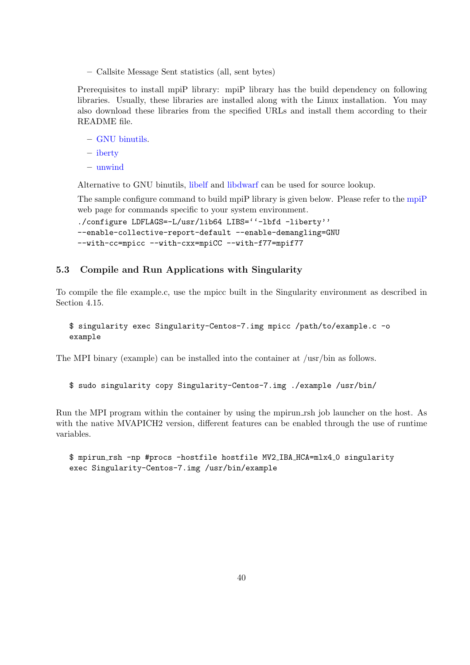– Callsite Message Sent statistics (all, sent bytes)

Prerequisites to install mpiP library: mpiP library has the build dependency on following libraries. Usually, these libraries are installed along with the Linux installation. You may also download these libraries from the specified URLs and install them according to their README file.

- [GNU binutils.](http://sources.redhat.com/binutils)
- [iberty](https://gcc.gnu.org/onlinedocs/libiberty)
- [unwind](https://pkgs.org/download/libunwind)

Alternative to GNU binutils, [libelf](http://directory.fsf.org/libs/misc/libelf.html) and [libdwarf](https://github.com/tomhughes/libdwarf) can be used for source lookup.

The sample configure command to build mpiP library is given below. Please refer to the [mpiP](http://mpip.sourceforge.net) web page for commands specific to your system environment.

```
./configure LDFLAGS=-L/usr/lib64 LIBS=''-lbfd -liberty''
--enable-collective-report-default --enable-demangling=GNU
--with-cc=mpicc --with-cxx=mpiCC --with-f77=mpif77
```
## 5.3 Compile and Run Applications with Singularity

To compile the file example.c, use the mpicc built in the Singularity environment as described in Section [4.15.](#page-37-0)

```
$ singularity exec Singularity-Centos-7.img mpicc /path/to/example.c -o
example
```
The MPI binary (example) can be installed into the container at /usr/bin as follows.

\$ sudo singularity copy Singularity-Centos-7.img ./example /usr/bin/

Run the MPI program within the container by using the mpirun rsh job launcher on the host. As with the native MVAPICH2 version, different features can be enabled through the use of runtime variables.

\$ mpirun rsh -np #procs -hostfile hostfile MV2 IBA HCA=mlx4 0 singularity exec Singularity-Centos-7.img /usr/bin/example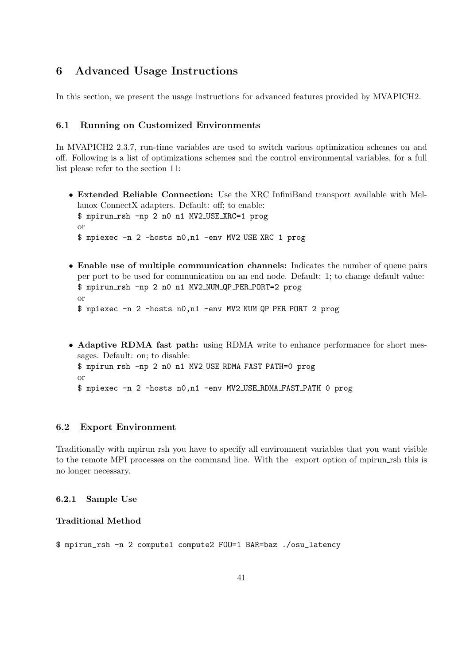# 6 Advanced Usage Instructions

In this section, we present the usage instructions for advanced features provided by MVAPICH2.

## 6.1 Running on Customized Environments

In MVAPICH2 2.3.7, run-time variables are used to switch various optimization schemes on and off. Following is a list of optimizations schemes and the control environmental variables, for a full list please refer to the section [11:](#page-108-0)

- Extended Reliable Connection: Use the XRC InfiniBand transport available with Mellanox ConnectX adapters. Default: off; to enable: \$ mpirun rsh -np 2 n0 n1 MV2 USE XRC=1 prog or \$ mpiexec -n 2 -hosts n0,n1 -env MV2 USE XRC 1 prog
- Enable use of multiple communication channels: Indicates the number of queue pairs per port to be used for communication on an end node. Default: 1; to change default value: \$ mpirun rsh -np 2 n0 n1 MV2 NUM QP PER PORT=2 prog or \$ mpiexec -n 2 -hosts n0,n1 -env MV2 NUM QP PER PORT 2 prog
- Adaptive RDMA fast path: using RDMA write to enhance performance for short messages. Default: on; to disable: \$ mpirun rsh -np 2 n0 n1 MV2 USE RDMA FAST PATH=0 prog or \$ mpiexec -n 2 -hosts n0,n1 -env MV2 USE RDMA FAST PATH 0 prog

## 6.2 Export Environment

Traditionally with mpirun rsh you have to specify all environment variables that you want visible to the remote MPI processes on the command line. With the –export option of mpirun rsh this is no longer necessary.

## 6.2.1 Sample Use

### Traditional Method

\$ mpirun\_rsh -n 2 compute1 compute2 FOO=1 BAR=baz ./osu\_latency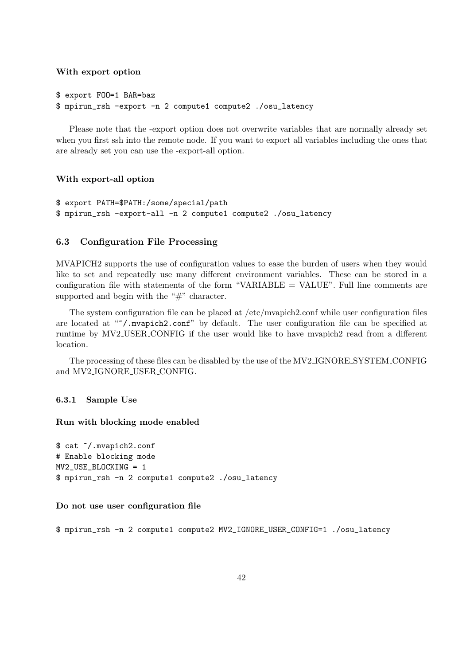#### With export option

```
$ export FOO=1 BAR=baz
$ mpirun_rsh -export -n 2 compute1 compute2 ./osu_latency
```
Please note that the -export option does not overwrite variables that are normally already set when you first ssh into the remote node. If you want to export all variables including the ones that are already set you can use the -export-all option.

### With export-all option

```
$ export PATH=$PATH:/some/special/path
$ mpirun_rsh -export-all -n 2 compute1 compute2 ./osu_latency
```
### 6.3 Configuration File Processing

MVAPICH2 supports the use of configuration values to ease the burden of users when they would like to set and repeatedly use many different environment variables. These can be stored in a configuration file with statements of the form "VARIABLE = VALUE". Full line comments are supported and begin with the "#" character.

The system configuration file can be placed at /etc/mvapich2.conf while user configuration files are located at "/.mvapich2.conf" by default. The user configuration file can be specified at runtime by MV2 USER CONFIG if the user would like to have mvapich2 read from a different location.

The processing of these files can be disabled by the use of the MV2 IGNORE SYSTEM CONFIG and MV2 IGNORE USER CONFIG.

### 6.3.1 Sample Use

Run with blocking mode enabled

```
$ cat ~/.mvapich2.conf
# Enable blocking mode
MV2_USE_BLOCKING = 1
$ mpirun_rsh -n 2 compute1 compute2 ./osu_latency
```
#### Do not use user configuration file

```
$ mpirun_rsh -n 2 compute1 compute2 MV2_IGNORE_USER_CONFIG=1 ./osu_latency
```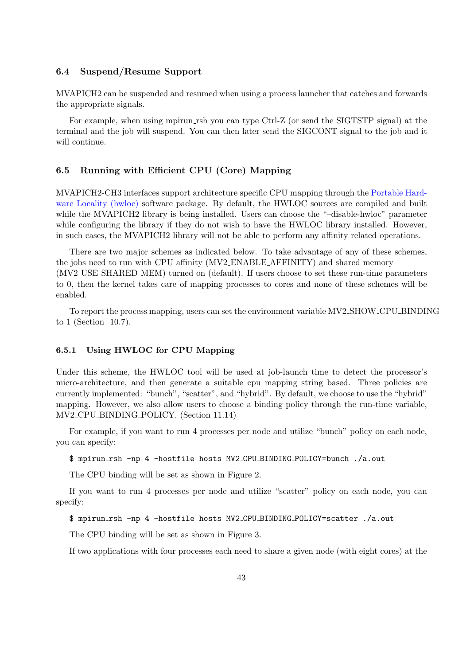#### 6.4 Suspend/Resume Support

MVAPICH2 can be suspended and resumed when using a process launcher that catches and forwards the appropriate signals.

For example, when using mpirun rsh you can type Ctrl-Z (or send the SIGTSTP signal) at the terminal and the job will suspend. You can then later send the SIGCONT signal to the job and it will continue.

## <span id="page-51-0"></span>6.5 Running with Efficient CPU (Core) Mapping

MVAPICH2-CH3 interfaces support architecture specific CPU mapping through the [Portable Hard](http://www.open-mpi.org/projects/hwloc)[ware Locality \(hwloc\)](http://www.open-mpi.org/projects/hwloc) software package. By default, the HWLOC sources are compiled and built while the MVAPICH2 library is being installed. Users can choose the "-disable-hwloc" parameter while configuring the library if they do not wish to have the HWLOC library installed. However, in such cases, the MVAPICH2 library will not be able to perform any affinity related operations.

There are two major schemes as indicated below. To take advantage of any of these schemes, the jobs need to run with CPU affinity (MV2 ENABLE AFFINITY) and shared memory (MV2 USE SHARED MEM) turned on (default). If users choose to set these run-time parameters to 0, then the kernel takes care of mapping processes to cores and none of these schemes will be enabled.

To report the process mapping, users can set the environment variable MV2 SHOW CPU BINDING to 1 (Section [10.7\)](#page-107-0).

### 6.5.1 Using HWLOC for CPU Mapping

Under this scheme, the HWLOC tool will be used at job-launch time to detect the processor's micro-architecture, and then generate a suitable cpu mapping string based. Three policies are currently implemented: "bunch", "scatter", and "hybrid". By default, we choose to use the "hybrid" mapping. However, we also allow users to choose a binding policy through the run-time variable, MV2 CPU BINDING POLICY. (Section [11.14\)](#page-111-0)

For example, if you want to run 4 processes per node and utilize "bunch" policy on each node, you can specify:

\$ mpirun rsh -np 4 -hostfile hosts MV2 CPU BINDING POLICY=bunch ./a.out

The CPU binding will be set as shown in Figure [2.](#page-52-0)

If you want to run 4 processes per node and utilize "scatter" policy on each node, you can specify:

\$ mpirun rsh -np 4 -hostfile hosts MV2 CPU BINDING POLICY=scatter ./a.out

The CPU binding will be set as shown in Figure [3.](#page-52-1)

If two applications with four processes each need to share a given node (with eight cores) at the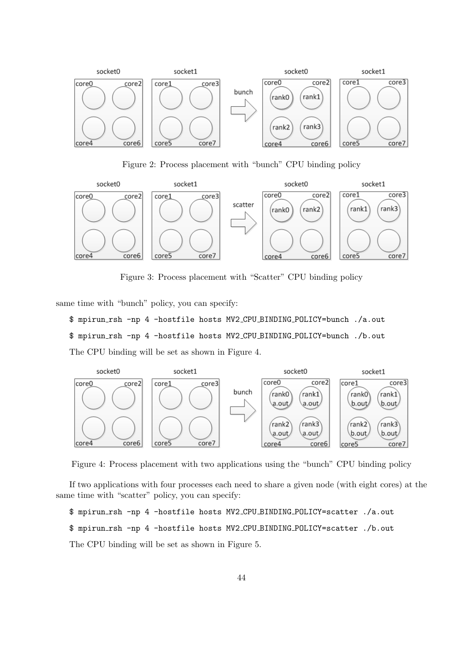

<span id="page-52-0"></span>Figure 2: Process placement with "bunch" CPU binding policy



<span id="page-52-1"></span>Figure 3: Process placement with "Scatter" CPU binding policy

same time with "bunch" policy, you can specify:

```
$ mpirun rsh -np 4 -hostfile hosts MV2 CPU BINDING POLICY=bunch ./a.out
$ mpirun rsh -np 4 -hostfile hosts MV2 CPU BINDING POLICY=bunch ./b.out
The CPU binding will be set as shown in Figure 4.
```


<span id="page-52-2"></span>Figure 4: Process placement with two applications using the "bunch" CPU binding policy

If two applications with four processes each need to share a given node (with eight cores) at the same time with "scatter" policy, you can specify:

\$ mpirun rsh -np 4 -hostfile hosts MV2 CPU BINDING POLICY=scatter ./a.out

```
$ mpirun rsh -np 4 -hostfile hosts MV2 CPU BINDING POLICY=scatter ./b.out
```
The CPU binding will be set as shown in Figure [5.](#page-53-0)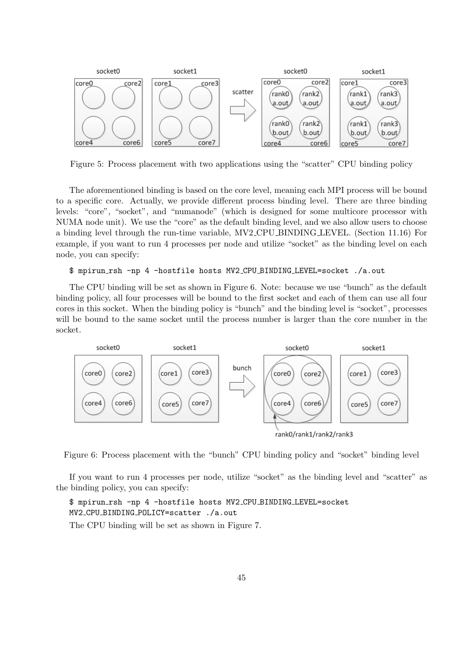

<span id="page-53-0"></span>Figure 5: Process placement with two applications using the "scatter" CPU binding policy

The aforementioned binding is based on the core level, meaning each MPI process will be bound to a specific core. Actually, we provide different process binding level. There are three binding levels: "core", "socket", and "numanode" (which is designed for some multicore processor with NUMA node unit). We use the "core" as the default binding level, and we also allow users to choose a binding level through the run-time variable, MV2 CPU BINDING LEVEL. (Section [11.16\)](#page-112-0) For example, if you want to run 4 processes per node and utilize "socket" as the binding level on each node, you can specify:

#### \$ mpirun rsh -np 4 -hostfile hosts MV2 CPU BINDING LEVEL=socket ./a.out

The CPU binding will be set as shown in Figure [6.](#page-53-1) Note: because we use "bunch" as the default binding policy, all four processes will be bound to the first socket and each of them can use all four cores in this socket. When the binding policy is "bunch" and the binding level is "socket", processes will be bound to the same socket until the process number is larger than the core number in the socket.



rank0/rank1/rank2/rank3

<span id="page-53-1"></span>Figure 6: Process placement with the "bunch" CPU binding policy and "socket" binding level

If you want to run 4 processes per node, utilize "socket" as the binding level and "scatter" as the binding policy, you can specify:

\$ mpirun rsh -np 4 -hostfile hosts MV2 CPU BINDING LEVEL=socket MV2 CPU BINDING POLICY=scatter ./a.out

The CPU binding will be set as shown in Figure [7.](#page-54-0)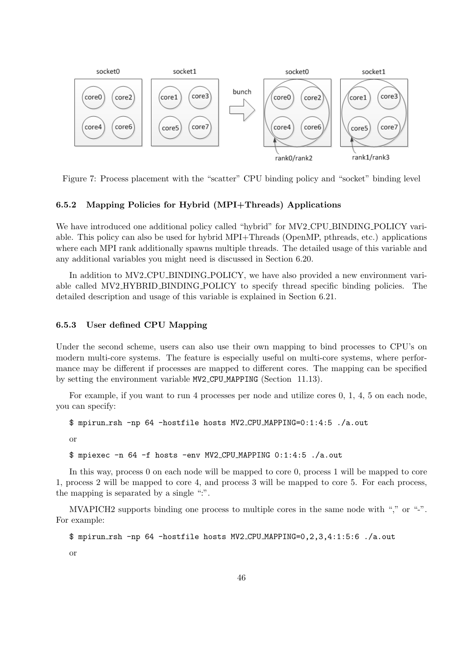

<span id="page-54-0"></span>Figure 7: Process placement with the "scatter" CPU binding policy and "socket" binding level

## 6.5.2 Mapping Policies for Hybrid (MPI+Threads) Applications

We have introduced one additional policy called "hybrid" for MV2\_CPU\_BINDING\_POLICY variable. This policy can also be used for hybrid MPI+Threads (OpenMP, pthreads, etc.) applications where each MPI rank additionally spawns multiple threads. The detailed usage of this variable and any additional variables you might need is discussed in Section [6.20.](#page-72-0)

In addition to MV2 CPU BINDING POLICY, we have also provided a new environment variable called MV2 HYBRID BINDING POLICY to specify thread specific binding policies. The detailed description and usage of this variable is explained in Section [6.21.](#page-72-1)

### 6.5.3 User defined CPU Mapping

Under the second scheme, users can also use their own mapping to bind processes to CPU's on modern multi-core systems. The feature is especially useful on multi-core systems, where performance may be different if processes are mapped to different cores. The mapping can be specified by setting the environment variable MV2 CPU MAPPING (Section [11.13\)](#page-111-1).

For example, if you want to run 4 processes per node and utilize cores 0, 1, 4, 5 on each node, you can specify:

```
$ mpirun rsh -np 64 -hostfile hosts MV2 CPU MAPPING=0:1:4:5 ./a.out
```
or

\$ mpiexec -n 64 -f hosts -env MV2 CPU MAPPING 0:1:4:5 ./a.out

In this way, process 0 on each node will be mapped to core 0, process 1 will be mapped to core 1, process 2 will be mapped to core 4, and process 3 will be mapped to core 5. For each process, the mapping is separated by a single ":".

MVAPICH2 supports binding one process to multiple cores in the same node with "," or "-". For example:

```
$ mpirun rsh -np 64 -hostfile hosts MV2 CPU MAPPING=0,2,3,4:1:5:6 ./a.out
```
or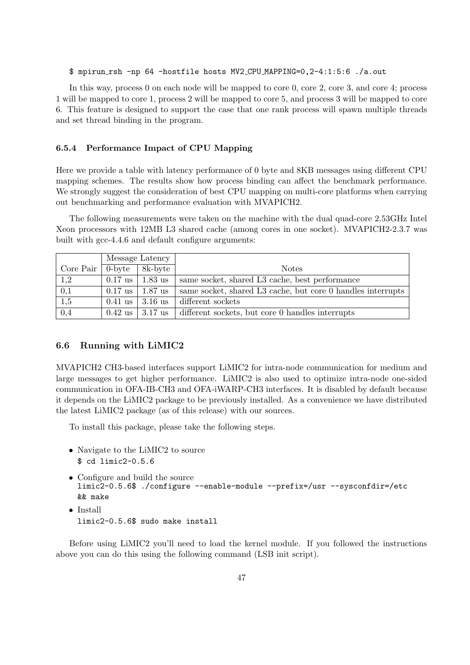#### \$ mpirun rsh -np 64 -hostfile hosts MV2 CPU MAPPING=0,2-4:1:5:6 ./a.out

In this way, process 0 on each node will be mapped to core 0, core 2, core 3, and core 4; process 1 will be mapped to core 1, process 2 will be mapped to core 5, and process 3 will be mapped to core 6. This feature is designed to support the case that one rank process will spawn multiple threads and set thread binding in the program.

#### 6.5.4 Performance Impact of CPU Mapping

Here we provide a table with latency performance of 0 byte and 8KB messages using different CPU mapping schemes. The results show how process binding can affect the benchmark performance. We strongly suggest the consideration of best CPU mapping on multi-core platforms when carrying out benchmarking and performance evaluation with MVAPICH2.

The following measurements were taken on the machine with the dual quad-core 2.53GHz Intel Xeon processors with 12MB L3 shared cache (among cores in one socket). MVAPICH2-2.3.7 was built with gcc-4.4.6 and default configure arguments:

|                  | Message Latency |                           |                                                             |
|------------------|-----------------|---------------------------|-------------------------------------------------------------|
| $Core$ Pair      | $0$ -byte       | 8k-byte                   | <b>Notes</b>                                                |
| 1,2              |                 | $0.17$ us   1.83 us       | same socket, shared L3 cache, best performance              |
| 0,1              |                 | $0.17$ us   1.87 us       | same socket, shared L3 cache, but core 0 handles interrupts |
| 1,5              |                 | $0.41$ us $\vert 3.16$ us | different sockets                                           |
| $\overline{0,4}$ |                 | $0.42 \text{ us}$ 3.17 us | different sockets, but core 0 handles interrupts            |

### <span id="page-55-0"></span>6.6 Running with LiMIC2

MVAPICH2 CH3-based interfaces support LiMIC2 for intra-node communication for medium and large messages to get higher performance. LiMIC2 is also used to optimize intra-node one-sided communication in OFA-IB-CH3 and OFA-iWARP-CH3 interfaces. It is disabled by default because it depends on the LiMIC2 package to be previously installed. As a convenience we have distributed the latest LiMIC2 package (as of this release) with our sources.

To install this package, please take the following steps.

- Navigate to the LiMIC2 to source \$ cd limic2-0.5.6
- Configure and build the source limic2-0.5.6\$ ./configure --enable-module --prefix=/usr --sysconfdir=/etc && make
- Install limic2-0.5.6\$ sudo make install

Before using LiMIC2 you'll need to load the kernel module. If you followed the instructions above you can do this using the following command (LSB init script).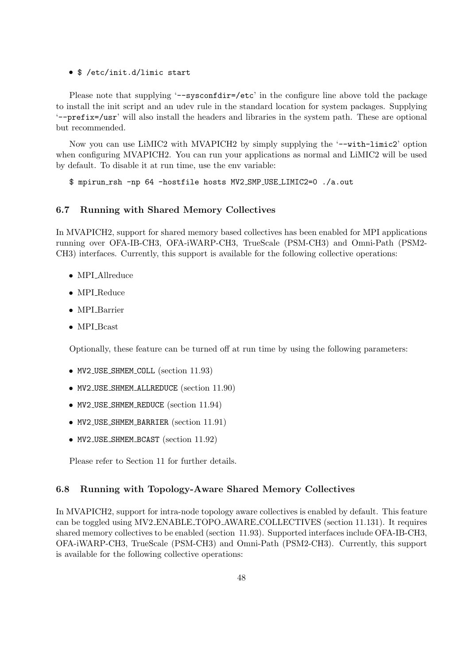#### • \$ /etc/init.d/limic start

Please note that supplying '--sysconfdir=/etc' in the configure line above told the package to install the init script and an udev rule in the standard location for system packages. Supplying '--prefix=/usr' will also install the headers and libraries in the system path. These are optional but recommended.

Now you can use LiMIC2 with MVAPICH2 by simply supplying the '--with-limic2' option when configuring MVAPICH2. You can run your applications as normal and LiMIC2 will be used by default. To disable it at run time, use the env variable:

\$ mpirun rsh -np 64 -hostfile hosts MV2 SMP USE LIMIC2=0 ./a.out

#### 6.7 Running with Shared Memory Collectives

In MVAPICH2, support for shared memory based collectives has been enabled for MPI applications running over OFA-IB-CH3, OFA-iWARP-CH3, TrueScale (PSM-CH3) and Omni-Path (PSM2- CH3) interfaces. Currently, this support is available for the following collective operations:

- MPLAllreduce
- MPLReduce
- MPI\_Barrier
- MPI\_Bcast

Optionally, these feature can be turned off at run time by using the following parameters:

- MV2\_USE\_SHMEM\_COLL (section [11.93\)](#page-131-0)
- MV2 USE SHMEM ALLREDUCE (section [11.90\)](#page-131-1)
- MV2\_USE\_SHMEM\_REDUCE (section [11.94\)](#page-132-0)
- MV2\_USE\_SHMEM\_BARRIER (section [11.91\)](#page-131-2)
- MV2\_USE\_SHMEM\_BCAST (section [11.92\)](#page-131-3)

Please refer to Section [11](#page-108-0) for further details.

#### 6.8 Running with Topology-Aware Shared Memory Collectives

In MVAPICH2, support for intra-node topology aware collectives is enabled by default. This feature can be toggled using MV2 ENABLE TOPO AWARE COLLECTIVES (section [11.131\)](#page-141-0). It requires shared memory collectives to be enabled (section [11.93\)](#page-131-0). Supported interfaces include OFA-IB-CH3, OFA-iWARP-CH3, TrueScale (PSM-CH3) and Omni-Path (PSM2-CH3). Currently, this support is available for the following collective operations: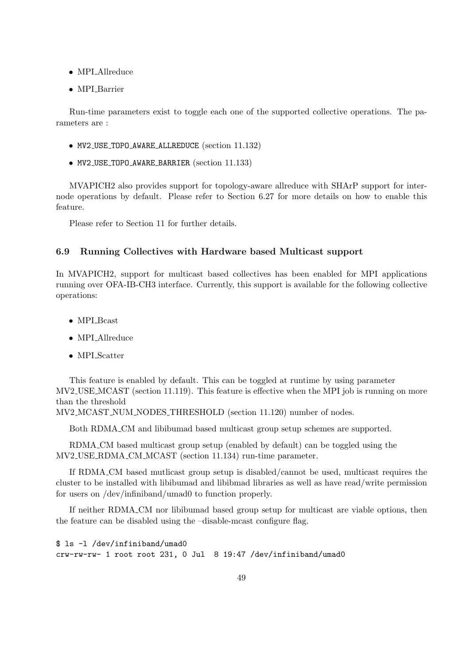- MPLAllreduce
- MPLBarrier

Run-time parameters exist to toggle each one of the supported collective operations. The parameters are :

- MV2 USE TOPO AWARE ALLREDUCE (section [11.132\)](#page-141-1)
- MV2 USE TOPO AWARE BARRIER (section [11.133\)](#page-141-2)

MVAPICH2 also provides support for topology-aware allreduce with SHArP support for internode operations by default. Please refer to Section [6.27](#page-81-0) for more details on how to enable this feature.

Please refer to Section [11](#page-108-0) for further details.

### 6.9 Running Collectives with Hardware based Multicast support

In MVAPICH2, support for multicast based collectives has been enabled for MPI applications running over OFA-IB-CH3 interface. Currently, this support is available for the following collective operations:

- MPI<sub>-Bcast</sub>
- MPI\_Allreduce
- MPI\_Scatter

This feature is enabled by default. This can be toggled at runtime by using parameter MV2 USE MCAST (section [11.119\)](#page-138-0). This feature is effective when the MPI job is running on more than the threshold

MV2 MCAST NUM NODES THRESHOLD (section [11.120\)](#page-138-1) number of nodes.

Both RDMA CM and libibumad based multicast group setup schemes are supported.

RDMA CM based multicast group setup (enabled by default) can be toggled using the MV2 USE RDMA CM MCAST (section [11.134\)](#page-142-0) run-time parameter.

If RDMA CM based mutlicast group setup is disabled/cannot be used, multicast requires the cluster to be installed with libibumad and libibmad libraries as well as have read/write permission for users on /dev/infiniband/umad0 to function properly.

If neither RDMA CM nor libibumad based group setup for multicast are viable options, then the feature can be disabled using the –disable-mcast configure flag.

\$ ls -l /dev/infiniband/umad0 crw-rw-rw- 1 root root 231, 0 Jul 8 19:47 /dev/infiniband/umad0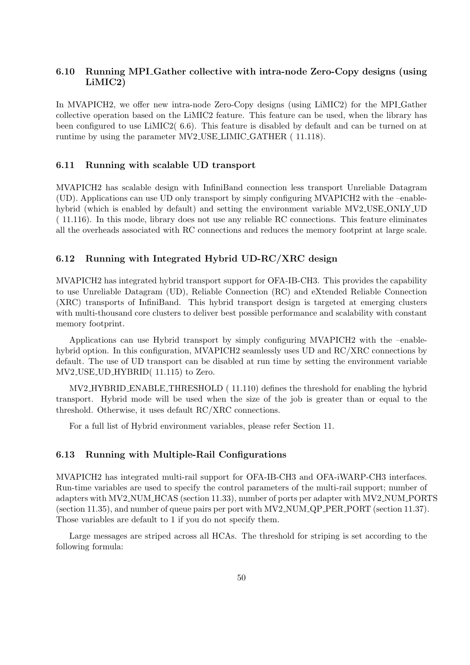## 6.10 Running MPI Gather collective with intra-node Zero-Copy designs (using LiMIC2)

In MVAPICH2, we offer new intra-node Zero-Copy designs (using LiMIC2) for the MPI Gather collective operation based on the LiMIC2 feature. This feature can be used, when the library has been configured to use LiMIC2( [6.6\)](#page-55-0). This feature is disabled by default and can be turned on at runtime by using the parameter MV2 USE LIMIC GATHER ( [11.118\)](#page-138-2).

### 6.11 Running with scalable UD transport

MVAPICH2 has scalable design with InfiniBand connection less transport Unreliable Datagram (UD). Applications can use UD only transport by simply configuring MVAPICH2 with the –enablehybrid (which is enabled by default) and setting the environment variable MV2 USE ONLY UD ( [11.116\)](#page-137-0). In this mode, library does not use any reliable RC connections. This feature eliminates all the overheads associated with RC connections and reduces the memory footprint at large scale.

### 6.12 Running with Integrated Hybrid UD-RC/XRC design

MVAPICH2 has integrated hybrid transport support for OFA-IB-CH3. This provides the capability to use Unreliable Datagram (UD), Reliable Connection (RC) and eXtended Reliable Connection (XRC) transports of InfiniBand. This hybrid transport design is targeted at emerging clusters with multi-thousand core clusters to deliver best possible performance and scalability with constant memory footprint.

Applications can use Hybrid transport by simply configuring MVAPICH2 with the –enablehybrid option. In this configuration, MVAPICH2 seamlessly uses UD and RC/XRC connections by default. The use of UD transport can be disabled at run time by setting the environment variable MV2 USE UD HYBRID( [11.115\)](#page-137-1) to Zero.

MV2 HYBRID ENABLE THRESHOLD ( [11.110\)](#page-136-0) defines the threshold for enabling the hybrid transport. Hybrid mode will be used when the size of the job is greater than or equal to the threshold. Otherwise, it uses default RC/XRC connections.

For a full list of Hybrid environment variables, please refer Section [11.](#page-108-0)

## 6.13 Running with Multiple-Rail Configurations

MVAPICH2 has integrated multi-rail support for OFA-IB-CH3 and OFA-iWARP-CH3 interfaces. Run-time variables are used to specify the control parameters of the multi-rail support; number of adapters with MV2 NUM HCAS (section [11.33\)](#page-117-0), number of ports per adapter with MV2 NUM PORTS (section [11.35\)](#page-117-1), and number of queue pairs per port with MV2 NUM QP PER PORT (section [11.37\)](#page-118-0). Those variables are default to 1 if you do not specify them.

Large messages are striped across all HCAs. The threshold for striping is set according to the following formula: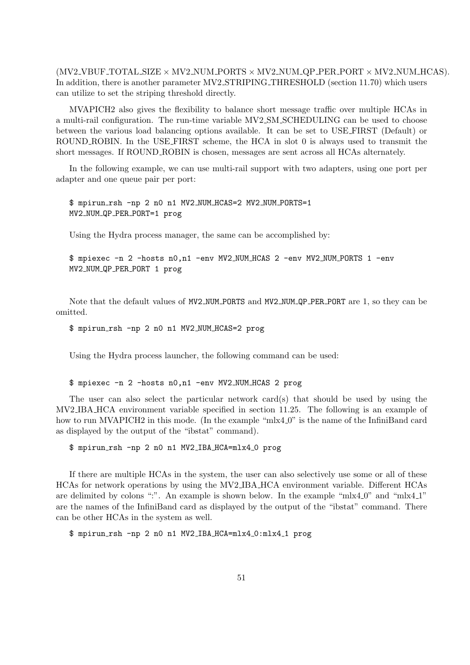$(MV2.VBUF_TOTAL_SIZE \times MV2-NUM_PORTS \times MV2-NUM_QP-PER-PORT \times MV2-NUM_HCAS).$ In addition, there is another parameter  $MV2\_STRIPING\_THRESHOLD$  (section [11.70\)](#page-126-1) which users can utilize to set the striping threshold directly.

MVAPICH2 also gives the flexibility to balance short message traffic over multiple HCAs in a multi-rail configuration. The run-time variable MV2 SM SCHEDULING can be used to choose between the various load balancing options available. It can be set to USE FIRST (Default) or ROUND ROBIN. In the USE FIRST scheme, the HCA in slot 0 is always used to transmit the short messages. If ROUND ROBIN is chosen, messages are sent across all HCAs alternately.

In the following example, we can use multi-rail support with two adapters, using one port per adapter and one queue pair per port:

\$ mpirun rsh -np 2 n0 n1 MV2 NUM HCAS=2 MV2 NUM PORTS=1 MV2 NUM QP PER PORT=1 prog

Using the Hydra process manager, the same can be accomplished by:

\$ mpiexec -n 2 -hosts n0,n1 -env MV2 NUM HCAS 2 -env MV2 NUM PORTS 1 -env MV2 NUM QP PER PORT 1 prog

Note that the default values of MV2 NUM PORTS and MV2 NUM QP PER PORT are 1, so they can be omitted.

\$ mpirun rsh -np 2 n0 n1 MV2 NUM HCAS=2 prog

Using the Hydra process launcher, the following command can be used:

\$ mpiexec -n 2 -hosts n0,n1 -env MV2 NUM HCAS 2 prog

The user can also select the particular network card(s) that should be used by using the MV2 IBA HCA environment variable specified in section [11.25.](#page-115-0) The following is an example of how to run MVAPICH2 in this mode. (In the example "mlx4\_0" is the name of the InfiniBand card as displayed by the output of the "ibstat" command).

\$ mpirun rsh -np 2 n0 n1 MV2 IBA HCA=mlx4 0 prog

If there are multiple HCAs in the system, the user can also selectively use some or all of these HCAs for network operations by using the MV2 IBA HCA environment variable. Different HCAs are delimited by colons ":". An example is shown below. In the example " $m\text{lx}4.0$ " and " $m\text{lx}4.1$ " are the names of the InfiniBand card as displayed by the output of the "ibstat" command. There can be other HCAs in the system as well.

\$ mpirun rsh -np 2 n0 n1 MV2 IBA HCA=mlx4 0:mlx4 1 prog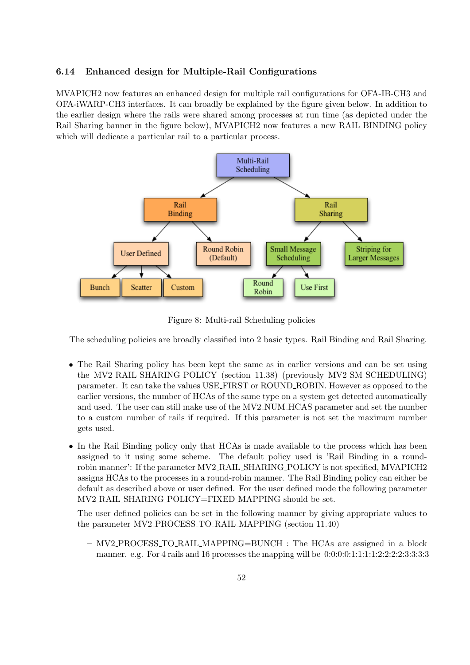## 6.14 Enhanced design for Multiple-Rail Configurations

MVAPICH2 now features an enhanced design for multiple rail configurations for OFA-IB-CH3 and OFA-iWARP-CH3 interfaces. It can broadly be explained by the figure given below. In addition to the earlier design where the rails were shared among processes at run time (as depicted under the Rail Sharing banner in the figure below), MVAPICH2 now features a new RAIL BINDING policy which will dedicate a particular rail to a particular process.



Figure 8: Multi-rail Scheduling policies

The scheduling policies are broadly classified into 2 basic types. Rail Binding and Rail Sharing.

- The Rail Sharing policy has been kept the same as in earlier versions and can be set using the MV2 RAIL SHARING POLICY (section [11.38\)](#page-118-1) (previously MV2 SM SCHEDULING) parameter. It can take the values USE FIRST or ROUND ROBIN. However as opposed to the earlier versions, the number of HCAs of the same type on a system get detected automatically and used. The user can still make use of the MV2 NUM HCAS parameter and set the number to a custom number of rails if required. If this parameter is not set the maximum number gets used.
- In the Rail Binding policy only that HCAs is made available to the process which has been assigned to it using some scheme. The default policy used is 'Rail Binding in a roundrobin manner': If the parameter MV2 RAIL SHARING POLICY is not specified, MVAPICH2 assigns HCAs to the processes in a round-robin manner. The Rail Binding policy can either be default as described above or user defined. For the user defined mode the following parameter MV2 RAIL SHARING POLICY=FIXED MAPPING should be set.

The user defined policies can be set in the following manner by giving appropriate values to the parameter MV2 PROCESS TO RAIL MAPPING (section [11.40\)](#page-118-2)

– MV2 PROCESS TO RAIL MAPPING=BUNCH : The HCAs are assigned in a block manner. e.g. For 4 rails and 16 processes the mapping will be 0:0:0:0:1:1:1:1:2:2:2:2:3:3:3:3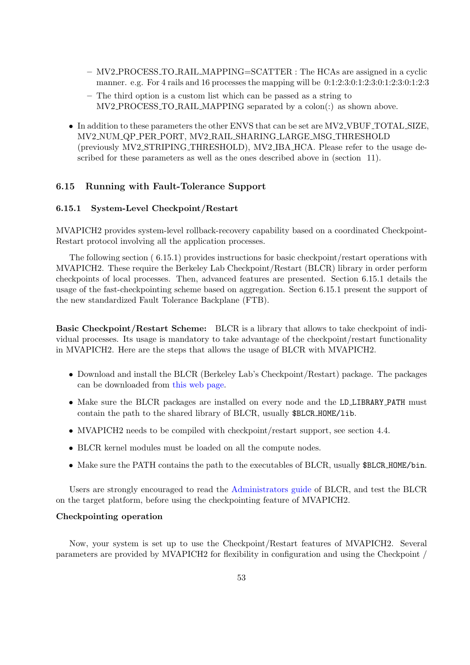- MV2 PROCESS TO RAIL MAPPING=SCATTER : The HCAs are assigned in a cyclic manner. e.g. For 4 rails and 16 processes the mapping will be 0:1:2:3:0:1:2:3:0:1:2:3:0:1:2:3
- The third option is a custom list which can be passed as a string to MV2 PROCESS TO RAIL MAPPING separated by a colon(:) as shown above.
- In addition to these parameters the other ENVS that can be set are MV2\_VBUF\_TOTAL\_SIZE, MV2 NUM QP PER PORT, MV2 RAIL SHARING LARGE MSG THRESHOLD (previously MV2 STRIPING THRESHOLD), MV2 IBA HCA. Please refer to the usage described for these parameters as well as the ones described above in (section [11\)](#page-108-0).

# 6.15 Running with Fault-Tolerance Support

#### <span id="page-61-1"></span>6.15.1 System-Level Checkpoint/Restart

MVAPICH2 provides system-level rollback-recovery capability based on a coordinated Checkpoint-Restart protocol involving all the application processes.

The following section ( [6.15.1\)](#page-61-0) provides instructions for basic checkpoint/restart operations with MVAPICH2. These require the Berkeley Lab Checkpoint/Restart (BLCR) library in order perform checkpoints of local processes. Then, advanced features are presented. Section [6.15.1](#page-64-0) details the usage of the fast-checkpointing scheme based on aggregation. Section [6.15.1](#page-64-1) present the support of the new standardized Fault Tolerance Backplane (FTB).

<span id="page-61-0"></span>Basic Checkpoint/Restart Scheme: BLCR is a library that allows to take checkpoint of individual processes. Its usage is mandatory to take advantage of the checkpoint/restart functionality in MVAPICH2. Here are the steps that allows the usage of BLCR with MVAPICH2.

- Download and install the BLCR (Berkeley Lab's Checkpoint/Restart) package. The packages can be downloaded from [this web page.](http://crd.lbl.gov/groups-depts/ftg/projects/current-projects/BLCR/berkeley-lab-checkpoint-restart-for-linux-blcr-downloads/)
- Make sure the BLCR packages are installed on every node and the LD\_LIBRARY\_PATH must contain the path to the shared library of BLCR, usually \$BLCR\_HOME/lib.
- MVAPICH2 needs to be compiled with checkpoint/restart support, see section [4.4.](#page-27-0)
- BLCR kernel modules must be loaded on all the compute nodes.
- Make sure the PATH contains the path to the executables of BLCR, usually \$BLCR\_HOME/bin.

Users are strongly encouraged to read the [Administrators guide](http://upc-bugs.lbl.gov/blcr/doc/html/BLCR_Admin_Guide.html) of BLCR, and test the BLCR on the target platform, before using the checkpointing feature of MVAPICH2.

## Checkpointing operation

Now, your system is set up to use the Checkpoint/Restart features of MVAPICH2. Several parameters are provided by MVAPICH2 for flexibility in configuration and using the Checkpoint /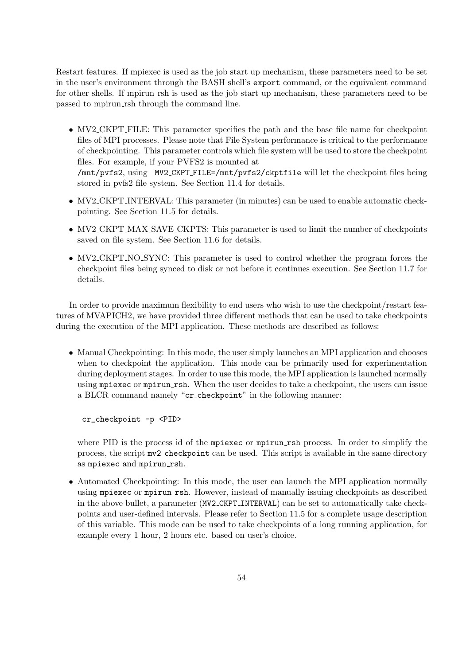Restart features. If mpiexec is used as the job start up mechanism, these parameters need to be set in the user's environment through the BASH shell's export command, or the equivalent command for other shells. If mpirun rsh is used as the job start up mechanism, these parameters need to be passed to mpirun rsh through the command line.

- MV2\_CKPT\_FILE: This parameter specifies the path and the base file name for checkpoint files of MPI processes. Please note that File System performance is critical to the performance of checkpointing. This parameter controls which file system will be used to store the checkpoint files. For example, if your PVFS2 is mounted at /mnt/pvfs2, using MV2 CKPT FILE=/mnt/pvfs2/ckptfile will let the checkpoint files being
- stored in pvfs2 file system. See Section [11.4](#page-108-1) for details. • MV2\_CKPT\_INTERVAL: This parameter (in minutes) can be used to enable automatic check-
- MV2\_CKPT\_MAX\_SAVE\_CKPTS: This parameter is used to limit the number of checkpoints saved on file system. See Section [11.6](#page-109-1) for details.
- MV2\_CKPT\_NO\_SYNC: This parameter is used to control whether the program forces the checkpoint files being synced to disk or not before it continues execution. See Section [11.7](#page-109-2) for details.

In order to provide maximum flexibility to end users who wish to use the checkpoint/restart features of MVAPICH2, we have provided three different methods that can be used to take checkpoints during the execution of the MPI application. These methods are described as follows:

• Manual Checkpointing: In this mode, the user simply launches an MPI application and chooses when to checkpoint the application. This mode can be primarily used for experimentation during deployment stages. In order to use this mode, the MPI application is launched normally using mpiexec or mpirun rsh. When the user decides to take a checkpoint, the users can issue a BLCR command namely "cr checkpoint" in the following manner:

cr\_checkpoint -p <PID>

pointing. See Section [11.5](#page-109-0) for details.

where PID is the process id of the mpiexec or mpirun rsh process. In order to simplify the process, the script mv2 checkpoint can be used. This script is available in the same directory as mpiexec and mpirun\_rsh.

• Automated Checkpointing: In this mode, the user can launch the MPI application normally using mpiexec or mpirun rsh. However, instead of manually issuing checkpoints as described in the above bullet, a parameter (MV2 CKPT INTERVAL) can be set to automatically take checkpoints and user-defined intervals. Please refer to Section [11.5](#page-109-0) for a complete usage description of this variable. This mode can be used to take checkpoints of a long running application, for example every 1 hour, 2 hours etc. based on user's choice.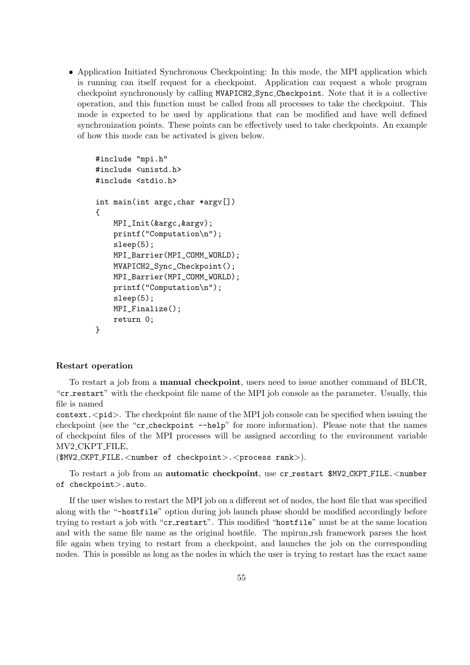• Application Initiated Synchronous Checkpointing: In this mode, the MPI application which is running can itself request for a checkpoint. Application can request a whole program checkpoint synchronously by calling MVAPICH2 Sync Checkpoint. Note that it is a collective operation, and this function must be called from all processes to take the checkpoint. This mode is expected to be used by applications that can be modified and have well defined synchronization points. These points can be effectively used to take checkpoints. An example of how this mode can be activated is given below.

```
#include "mpi.h"
#include <unistd.h>
#include <stdio.h>
int main(int argc,char *argv[])
{
   MPI_Init(&argc,&argv);
   printf("Computation\n");
    sleep(5);
   MPI_Barrier(MPI_COMM_WORLD);
   MVAPICH2_Sync_Checkpoint();
   MPI_Barrier(MPI_COMM_WORLD);
   printf("Computation\n");
    sleep(5);
   MPI_Finalize();
   return 0;
}
```
### Restart operation

To restart a job from a manual checkpoint, users need to issue another command of BLCR, "cr\_restart" with the checkpoint file name of the MPI job console as the parameter. Usually, this file is named

context.  $\langle \text{pid}\rangle$ . The checkpoint file name of the MPI job console can be specified when issuing the checkpoint (see the "cr\_checkpoint --help" for more information). Please note that the names of checkpoint files of the MPI processes will be assigned according to the environment variable MV2 CKPT FILE,

(\$MV2 CKPT FILE.<number of checkpoint>.<process rank>).

To restart a job from an **automatic checkpoint**, use cr\_restart \$MV2\_CKPT\_FILE.<number of checkpoint>.auto.

If the user wishes to restart the MPI job on a different set of nodes, the host file that was specified along with the "-hostfile" option during job launch phase should be modified accordingly before trying to restart a job with "cr restart". This modified "hostfile" must be at the same location and with the same file name as the original hostfile. The mpirun rsh framework parses the host file again when trying to restart from a checkpoint, and launches the job on the corresponding nodes. This is possible as long as the nodes in which the user is trying to restart has the exact same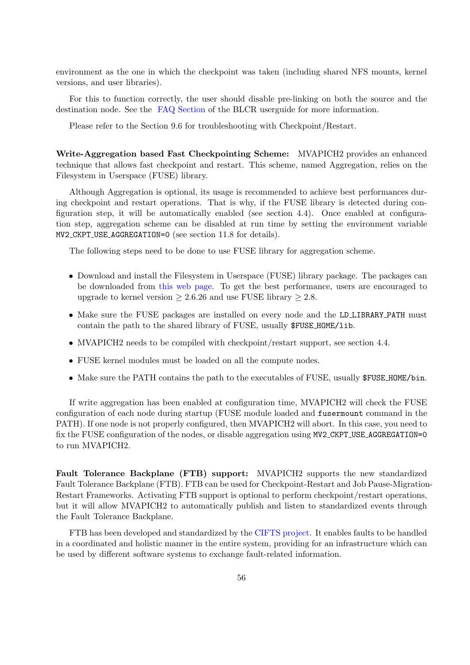environment as the one in which the checkpoint was taken (including shared NFS mounts, kernel versions, and user libraries).

For this to function correctly, the user should disable pre-linking on both the source and the destination node. See the [FAQ Section](https://upc-bugs.lbl.gov//blcr/doc/html/FAQ.html#prelink) of the BLCR userguide for more information.

Please refer to the Section [9.6](#page-104-0) for troubleshooting with Checkpoint/Restart.

<span id="page-64-0"></span>Write-Aggregation based Fast Checkpointing Scheme: MVAPICH2 provides an enhanced technique that allows fast checkpoint and restart. This scheme, named Aggregation, relies on the Filesystem in Userspace (FUSE) library.

Although Aggregation is optional, its usage is recommended to achieve best performances during checkpoint and restart operations. That is why, if the FUSE library is detected during configuration step, it will be automatically enabled (see section [4.4\)](#page-27-0). Once enabled at configuration step, aggregation scheme can be disabled at run time by setting the environment variable MV2 CKPT USE AGGREGATION=0 (see section [11.8](#page-110-0) for details).

The following steps need to be done to use FUSE library for aggregation scheme.

- Download and install the Filesystem in Userspace (FUSE) library package. The packages can be downloaded from [this web page.](http://fuse.sourceforge.net/) To get the best performance, users are encouraged to upgrade to kernel version  $\geq 2.6.26$  and use FUSE library  $\geq 2.8$ .
- Make sure the FUSE packages are installed on every node and the LD\_LIBRARY\_PATH must contain the path to the shared library of FUSE, usually \$FUSE HOME/lib.
- MVAPICH<sub>2</sub> needs to be compiled with checkpoint/restart support, see section [4.4.](#page-27-0)
- FUSE kernel modules must be loaded on all the compute nodes.
- Make sure the PATH contains the path to the executables of FUSE, usually \$FUSE\_HOME/bin.

If write aggregation has been enabled at configuration time, MVAPICH2 will check the FUSE configuration of each node during startup (FUSE module loaded and fusermount command in the PATH). If one node is not properly configured, then MVAPICH2 will abort. In this case, you need to fix the FUSE configuration of the nodes, or disable aggregation using MV2\_CKPT\_USE\_AGGREGATION=0 to run MVAPICH2.

<span id="page-64-1"></span>Fault Tolerance Backplane (FTB) support: MVAPICH2 supports the new standardized Fault Tolerance Backplane (FTB). FTB can be used for Checkpoint-Restart and Job Pause-Migration-Restart Frameworks. Activating FTB support is optional to perform checkpoint/restart operations, but it will allow MVAPICH2 to automatically publish and listen to standardized events through the Fault Tolerance Backplane.

FTB has been developed and standardized by the [CIFTS project.](http://www.mcs.anl.gov/research/cifts/) It enables faults to be handled in a coordinated and holistic manner in the entire system, providing for an infrastructure which can be used by different software systems to exchange fault-related information.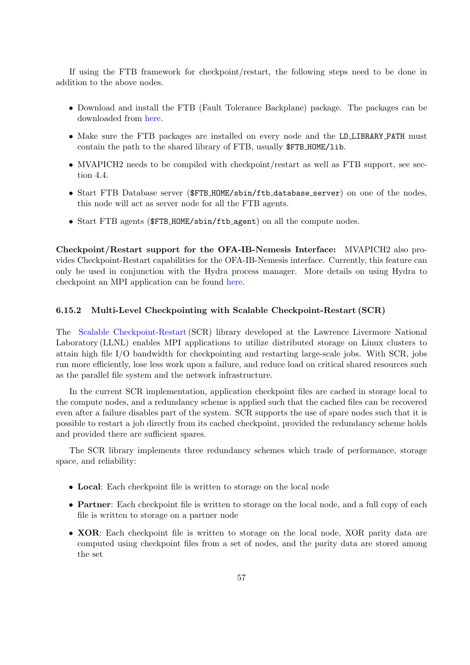If using the FTB framework for checkpoint/restart, the following steps need to be done in addition to the above nodes.

- Download and install the FTB (Fault Tolerance Backplane) package. The packages can be downloaded from [here.](https://github.com/codes-org/codes/releases)
- Make sure the FTB packages are installed on every node and the LD\_LIBRARY\_PATH must contain the path to the shared library of FTB, usually \$FTB HOME/lib.
- MVAPICH2 needs to be compiled with checkpoint/restart as well as FTB support, see section [4.4.](#page-27-0)
- Start FTB Database server (\$FTB HOME/sbin/ftb database server) on one of the nodes, this node will act as server node for all the FTB agents.
- Start FTB agents ( $\frac{F}{B}$ HOME/sbin/ftb\_agent) on all the compute nodes.

Checkpoint/Restart support for the OFA-IB-Nemesis Interface: MVAPICH2 also provides Checkpoint-Restart capabilities for the OFA-IB-Nemesis interface. Currently, this feature can only be used in conjunction with the Hydra process manager. More details on using Hydra to checkpoint an MPI application can be found [here.](http://wiki.mcs.anl.gov/mpich2/index.php/Using_the_Hydra_Process_Manager#Checkpoint.2FRestart_Support)

### 6.15.2 Multi-Level Checkpointing with Scalable Checkpoint-Restart (SCR)

The [Scalable Checkpoint-Restart](https://computing.llnl.gov/projects/scalable-checkpoint-restart-for-mpi)(SCR) library developed at the Lawrence Livermore National Laboratory (LLNL) enables MPI applications to utilize distributed storage on Linux clusters to attain high file I/O bandwidth for checkpointing and restarting large-scale jobs. With SCR, jobs run more efficiently, lose less work upon a failure, and reduce load on critical shared resources such as the parallel file system and the network infrastructure.

In the current SCR implementation, application checkpoint files are cached in storage local to the compute nodes, and a redundancy scheme is applied such that the cached files can be recovered even after a failure disables part of the system. SCR supports the use of spare nodes such that it is possible to restart a job directly from its cached checkpoint, provided the redundancy scheme holds and provided there are sufficient spares.

The SCR library implements three redundancy schemes which trade of performance, storage space, and reliability:

- Local: Each checkpoint file is written to storage on the local node
- Partner: Each checkpoint file is written to storage on the local node, and a full copy of each file is written to storage on a partner node
- XOR: Each checkpoint file is written to storage on the local node, XOR parity data are computed using checkpoint files from a set of nodes, and the parity data are stored among the set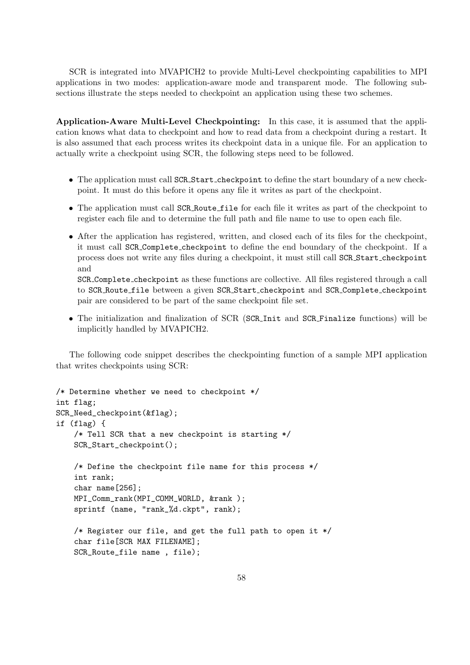SCR is integrated into MVAPICH2 to provide Multi-Level checkpointing capabilities to MPI applications in two modes: application-aware mode and transparent mode. The following subsections illustrate the steps needed to checkpoint an application using these two schemes.

Application-Aware Multi-Level Checkpointing: In this case, it is assumed that the application knows what data to checkpoint and how to read data from a checkpoint during a restart. It is also assumed that each process writes its checkpoint data in a unique file. For an application to actually write a checkpoint using SCR, the following steps need to be followed.

- The application must call SCR\_Start\_checkpoint to define the start boundary of a new checkpoint. It must do this before it opens any file it writes as part of the checkpoint.
- The application must call SCR Route file for each file it writes as part of the checkpoint to register each file and to determine the full path and file name to use to open each file.
- After the application has registered, written, and closed each of its files for the checkpoint, it must call SCR Complete checkpoint to define the end boundary of the checkpoint. If a process does not write any files during a checkpoint, it must still call SCR Start checkpoint and

SCR Complete checkpoint as these functions are collective. All files registered through a call to SCR Route file between a given SCR Start checkpoint and SCR Complete checkpoint pair are considered to be part of the same checkpoint file set.

• The initialization and finalization of SCR (SCR Init and SCR Finalize functions) will be implicitly handled by MVAPICH2.

The following code snippet describes the checkpointing function of a sample MPI application that writes checkpoints using SCR:

```
/* Determine whether we need to checkpoint */
int flag;
SCR_Need_checkpoint(&flag);
if (flag) {
    /* Tell SCR that a new checkpoint is starting */
    SCR_Start_checkpoint();
    /* Define the checkpoint file name for this process */
    int rank;
    char name[256];
    MPI_Comm_rank(MPI_COMM_WORLD, &rank );
    sprintf (name, "rank_%d.ckpt", rank);
    /* Register our file, and get the full path to open it */
    char file[SCR MAX FILENAME];
    SCR_Route_file name , file);
```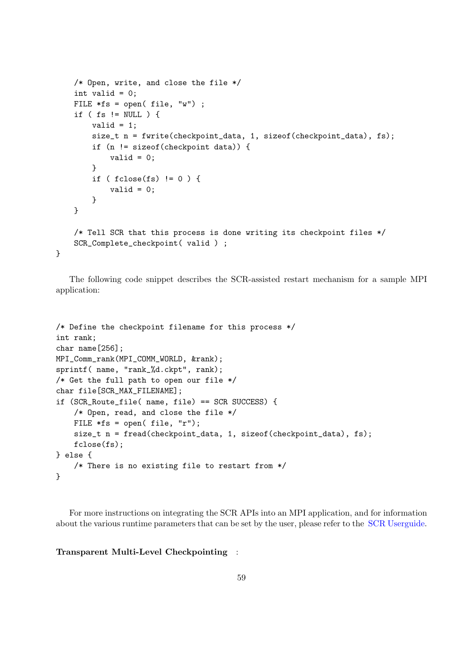```
/* Open, write, and close the file */
int valid = 0;
FILE *fs = open(file, "w");
if ( fs != NULL ) {
   valid = 1;
   size_t n = fwrite(checkpoint_data, 1, sizeof(checkpoint_data), fs);
    if (n != sizeof(checkpoint data)) {
        valid = 0;
    }
    if ( fclose(fs) != 0 ) {
        valid = 0;
   }
}
/* Tell SCR that this process is done writing its checkpoint files */
SCR_Complete_checkpoint( valid ) ;
```
The following code snippet describes the SCR-assisted restart mechanism for a sample MPI application:

```
/* Define the checkpoint filename for this process */
int rank;
char name[256];
MPI_Comm_rank(MPI_COMM_WORLD, &rank);
sprintf( name, "rank_%d.ckpt", rank);
/* Get the full path to open our file */
char file[SCR_MAX_FILENAME];
if (SCR_Route_file( name, file) == SCR SUCCESS) {
    /* Open, read, and close the file */
    FILE *fs = open(file, "r");size_t n = fread(checkpoint_data, 1, sizeof(checkpoint_data), fs);
    fclose(fs);
} else {
    /* There is no existing file to restart from */
}
```
For more instructions on integrating the SCR APIs into an MPI application, and for information about the various runtime parameters that can be set by the user, please refer to the [SCR Userguide.](http://sourceforge.net/p/scalablecr/code/ci/b26dc6ec2310a694e3b7a0a4f85a9e2e26ee21fb/tree/doc/scr_users_manual.pdf?format=raw)

Transparent Multi-Level Checkpointing :

}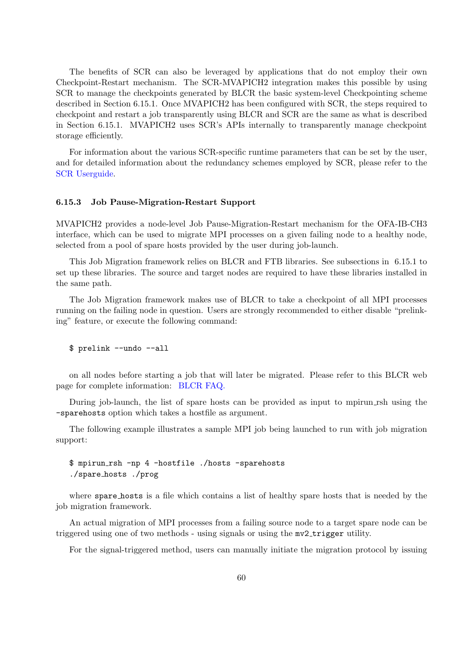The benefits of SCR can also be leveraged by applications that do not employ their own Checkpoint-Restart mechanism. The SCR-MVAPICH2 integration makes this possible by using SCR to manage the checkpoints generated by BLCR the basic system-level Checkpointing scheme described in Section [6.15.1.](#page-61-0) Once MVAPICH2 has been configured with SCR, the steps required to checkpoint and restart a job transparently using BLCR and SCR are the same as what is described in Section [6.15.1.](#page-61-0) MVAPICH2 uses SCR's APIs internally to transparently manage checkpoint storage efficiently.

For information about the various SCR-specific runtime parameters that can be set by the user, and for detailed information about the redundancy schemes employed by SCR, please refer to the [SCR Userguide.](http://sourceforge.net/p/scalablecr/code/ci/b26dc6ec2310a694e3b7a0a4f85a9e2e26ee21fb/tree/doc/scr_users_manual.pdf?format=raw)

#### 6.15.3 Job Pause-Migration-Restart Support

MVAPICH2 provides a node-level Job Pause-Migration-Restart mechanism for the OFA-IB-CH3 interface, which can be used to migrate MPI processes on a given failing node to a healthy node, selected from a pool of spare hosts provided by the user during job-launch.

This Job Migration framework relies on BLCR and FTB libraries. See subsections in [6.15.1](#page-61-1) to set up these libraries. The source and target nodes are required to have these libraries installed in the same path.

The Job Migration framework makes use of BLCR to take a checkpoint of all MPI processes running on the failing node in question. Users are strongly recommended to either disable "prelinking" feature, or execute the following command:

```
$ prelink --undo --all
```
on all nodes before starting a job that will later be migrated. Please refer to this BLCR web page for complete information: [BLCR FAQ.](https://upc-bugs.lbl.gov//blcr/doc/html/FAQ.html#prelink)

During job-launch, the list of spare hosts can be provided as input to mpirun rsh using the -sparehosts option which takes a hostfile as argument.

The following example illustrates a sample MPI job being launched to run with job migration support:

\$ mpirun rsh -np 4 -hostfile ./hosts -sparehosts ./spare hosts ./prog

where spare hosts is a file which contains a list of healthy spare hosts that is needed by the job migration framework.

An actual migration of MPI processes from a failing source node to a target spare node can be triggered using one of two methods - using signals or using the mv2 trigger utility.

For the signal-triggered method, users can manually initiate the migration protocol by issuing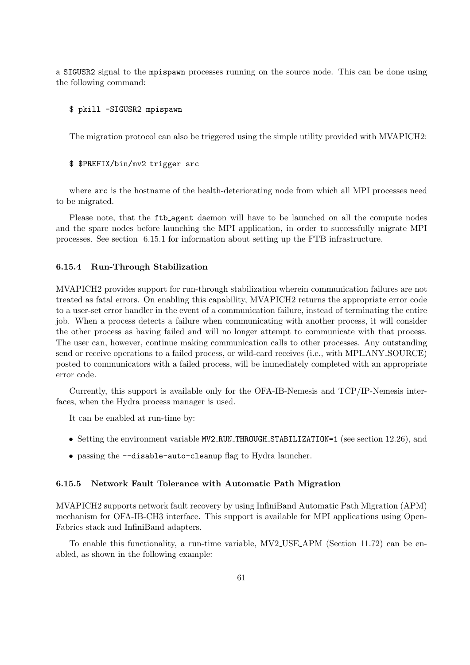a SIGUSR2 signal to the mpispawn processes running on the source node. This can be done using the following command:

### \$ pkill -SIGUSR2 mpispawn

The migration protocol can also be triggered using the simple utility provided with MVAPICH2:

#### \$ \$PREFIX/bin/mv2 trigger src

where  $src$  is the hostname of the health-deteriorating node from which all MPI processes need to be migrated.

Please note, that the  $ftb$ -agent daemon will have to be launched on all the compute nodes and the spare nodes before launching the MPI application, in order to successfully migrate MPI processes. See section [6.15.1](#page-64-1) for information about setting up the FTB infrastructure.

#### 6.15.4 Run-Through Stabilization

MVAPICH2 provides support for run-through stabilization wherein communication failures are not treated as fatal errors. On enabling this capability, MVAPICH2 returns the appropriate error code to a user-set error handler in the event of a communication failure, instead of terminating the entire job. When a process detects a failure when communicating with another process, it will consider the other process as having failed and will no longer attempt to communicate with that process. The user can, however, continue making communication calls to other processes. Any outstanding send or receive operations to a failed process, or wild-card receives (i.e., with MPI\_ANY\_SOURCE) posted to communicators with a failed process, will be immediately completed with an appropriate error code.

Currently, this support is available only for the OFA-IB-Nemesis and TCP/IP-Nemesis interfaces, when the Hydra process manager is used.

It can be enabled at run-time by:

- Setting the environment variable MV2\_RUN\_THROUGH\_STABILIZATION=1 (see section [12.26\)](#page-148-0), and
- passing the --disable-auto-cleanup flag to Hydra launcher.

#### 6.15.5 Network Fault Tolerance with Automatic Path Migration

MVAPICH2 supports network fault recovery by using InfiniBand Automatic Path Migration (APM) mechanism for OFA-IB-CH3 interface. This support is available for MPI applications using Open-Fabrics stack and InfiniBand adapters.

To enable this functionality, a run-time variable, MV2 USE APM (Section [11.72\)](#page-126-2) can be enabled, as shown in the following example: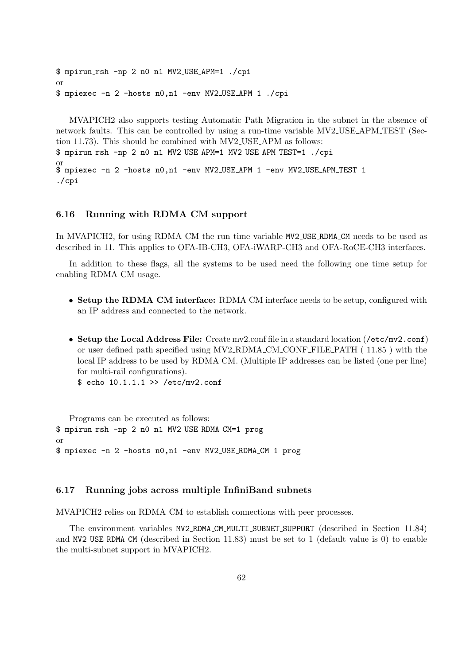```
$ mpirun rsh -np 2 n0 n1 MV2 USE APM=1 ./cpi
or
$ mpiexec -n 2 -hosts n0,n1 -env MV2 USE APM 1 ./cpi
```
MVAPICH2 also supports testing Automatic Path Migration in the subnet in the absence of network faults. This can be controlled by using a run-time variable MV2 USE APM TEST (Section [11.73\)](#page-127-0). This should be combined with MV2 USE APM as follows: \$ mpirun rsh -np 2 n0 n1 MV2 USE APM=1 MV2 USE APM TEST=1 ./cpi or \$ mpiexec -n 2 -hosts n0,n1 -env MV2 USE APM 1 -env MV2 USE APM TEST 1 ./cpi

### 6.16 Running with RDMA CM support

In MVAPICH2, for using RDMA CM the run time variable MV2\_USE\_RDMA\_CM needs to be used as described in [11.](#page-108-0) This applies to OFA-IB-CH3, OFA-iWARP-CH3 and OFA-RoCE-CH3 interfaces.

In addition to these flags, all the systems to be used need the following one time setup for enabling RDMA CM usage.

- Setup the RDMA CM interface: RDMA CM interface needs to be setup, configured with an IP address and connected to the network.
- Setup the Local Address File: Create mv2.conf file in a standard location (/etc/mv2.conf) or user defined path specified using MV2 RDMA CM CONF FILE PATH ( [11.85](#page-130-0) ) with the local IP address to be used by RDMA CM. (Multiple IP addresses can be listed (one per line) for multi-rail configurations).

\$ echo 10.1.1.1 >> /etc/mv2.conf

Programs can be executed as follows: \$ mpirun rsh -np 2 n0 n1 MV2 USE RDMA CM=1 prog or \$ mpiexec -n 2 -hosts n0,n1 -env MV2 USE RDMA CM 1 prog

## 6.17 Running jobs across multiple InfiniBand subnets

MVAPICH2 relies on RDMA CM to establish connections with peer processes.

The environment variables MV2 RDMA CM MULTI SUBNET SUPPORT (described in Section [11.84\)](#page-129-1) and MV2 USE RDMA CM (described in Section [11.83\)](#page-129-2) must be set to 1 (default value is 0) to enable the multi-subnet support in MVAPICH2.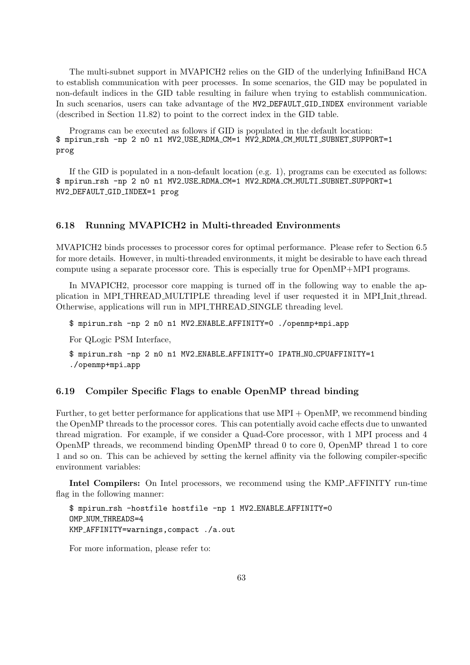The multi-subnet support in MVAPICH2 relies on the GID of the underlying InfiniBand HCA to establish communication with peer processes. In some scenarios, the GID may be populated in non-default indices in the GID table resulting in failure when trying to establish communication. In such scenarios, users can take advantage of the MV2 DEFAULT GID INDEX environment variable (described in Section [11.82\)](#page-129-0) to point to the correct index in the GID table.

Programs can be executed as follows if GID is populated in the default location: \$ mpirun rsh -np 2 n0 n1 MV2 USE RDMA CM=1 MV2 RDMA CM MULTI SUBNET SUPPORT=1 prog

If the GID is populated in a non-default location (e.g. 1), programs can be executed as follows: \$ mpirun rsh -np 2 n0 n1 MV2 USE RDMA CM=1 MV2 RDMA CM MULTI SUBNET SUPPORT=1 MV2 DEFAULT GID INDEX=1 prog

## 6.18 Running MVAPICH2 in Multi-threaded Environments

MVAPICH2 binds processes to processor cores for optimal performance. Please refer to Section [6.5](#page-51-0) for more details. However, in multi-threaded environments, it might be desirable to have each thread compute using a separate processor core. This is especially true for OpenMP+MPI programs.

In MVAPICH2, processor core mapping is turned off in the following way to enable the application in MPI THREAD MULTIPLE threading level if user requested it in MPI Init thread. Otherwise, applications will run in MPI THREAD SINGLE threading level.

\$ mpirun rsh -np 2 n0 n1 MV2 ENABLE AFFINITY=0 ./openmp+mpi app

For QLogic PSM Interface,

\$ mpirun rsh -np 2 n0 n1 MV2 ENABLE AFFINITY=0 IPATH NO CPUAFFINITY=1 ./openmp+mpi app

#### 6.19 Compiler Specific Flags to enable OpenMP thread binding

Further, to get better performance for applications that use MPI + OpenMP, we recommend binding the OpenMP threads to the processor cores. This can potentially avoid cache effects due to unwanted thread migration. For example, if we consider a Quad-Core processor, with 1 MPI process and 4 OpenMP threads, we recommend binding OpenMP thread 0 to core 0, OpenMP thread 1 to core 1 and so on. This can be achieved by setting the kernel affinity via the following compiler-specific environment variables:

Intel Compilers: On Intel processors, we recommend using the KMP AFFINITY run-time flag in the following manner:

\$ mpirun rsh -hostfile hostfile -np 1 MV2 ENABLE AFFINITY=0 OMP\_NUM\_THREADS=4 KMP AFFINITY=warnings,compact ./a.out

For more information, please refer to: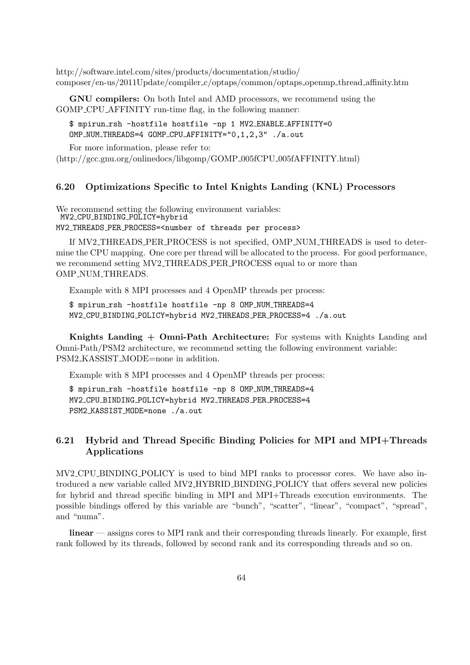http://software.intel.com/sites/products/documentation/studio/ composer/en-us/2011Update/compiler c/optaps/common/optaps openmp thread affinity.htm

GNU compilers: On both Intel and AMD processors, we recommend using the GOMP CPU AFFINITY run-time flag, in the following manner:

\$ mpirun rsh -hostfile hostfile -np 1 MV2 ENABLE AFFINITY=0 OMP NUM THREADS=4 GOMP CPU AFFINITY="0,1,2,3" ./a.out

For more information, please refer to:

(http://gcc.gnu.org/onlinedocs/libgomp/GOMP 005fCPU 005fAFFINITY.html)

# 6.20 Optimizations Specific to Intel Knights Landing (KNL) Processors

We recommend setting the following environment variables: MV2 CPU BINDING POLICY=hybrid MV2 THREADS PER PROCESS=<number of threads per process>

If MV2 THREADS PER PROCESS is not specified, OMP NUM THREADS is used to determine the CPU mapping. One core per thread will be allocated to the process. For good performance, we recommend setting MV2 THREADS PER PROCESS equal to or more than OMP NUM THREADS.

Example with 8 MPI processes and 4 OpenMP threads per process:

\$ mpirun rsh -hostfile hostfile -np 8 OMP NUM THREADS=4 MV2 CPU BINDING POLICY=hybrid MV2 THREADS PER PROCESS=4 ./a.out

Knights Landing + Omni-Path Architecture: For systems with Knights Landing and Omni-Path/PSM2 architecture, we recommend setting the following environment variable: PSM2 KASSIST MODE=none in addition.

Example with 8 MPI processes and 4 OpenMP threads per process:

\$ mpirun rsh -hostfile hostfile -np 8 OMP NUM THREADS=4 MV2 CPU BINDING POLICY=hybrid MV2 THREADS PER PROCESS=4 PSM2 KASSIST MODE=none ./a.out

# 6.21 Hybrid and Thread Specific Binding Policies for MPI and MPI+Threads Applications

MV2 CPU BINDING POLICY is used to bind MPI ranks to processor cores. We have also introduced a new variable called MV2 HYBRID BINDING POLICY that offers several new policies for hybrid and thread specific binding in MPI and MPI+Threads execution environments. The possible bindings offered by this variable are "bunch", "scatter", "linear", "compact", "spread", and "numa".

linear — assigns cores to MPI rank and their corresponding threads linearly. For example, first rank followed by its threads, followed by second rank and its corresponding threads and so on.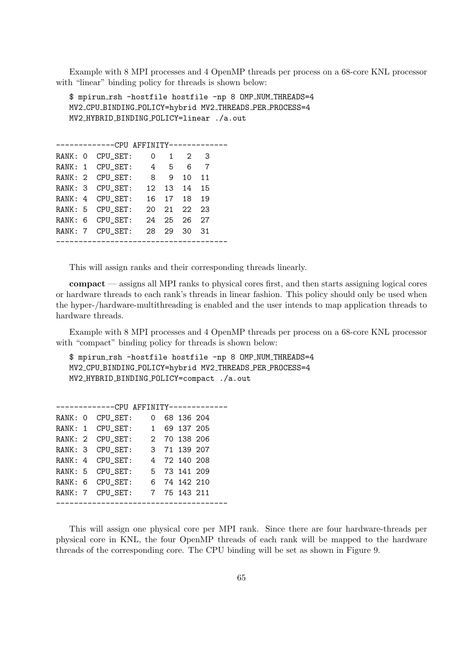Example with 8 MPI processes and 4 OpenMP threads per process on a 68-core KNL processor with "linear" binding policy for threads is shown below:

\$ mpirun rsh -hostfile hostfile -np 8 OMP NUM THREADS=4 MV2 CPU BINDING POLICY=hybrid MV2 THREADS PER PROCESS=4 MV2 HYBRID BINDING POLICY=linear ./a.out

|  |  | RANK: 0 CPU SET: | $\Omega$        | 1      | $2^{\circ}$ | 3  |  |
|--|--|------------------|-----------------|--------|-------------|----|--|
|  |  | RANK: 1 CPU SET: | $4\overline{ }$ | 5.     | 6           | -7 |  |
|  |  | RANK: 2 CPU SET: | 8               | 9      | 10          | 11 |  |
|  |  | RANK: 3 CPU SET: | 12 <sub>1</sub> | 13     | 14          | 15 |  |
|  |  | RANK: 4 CPU SET: | 16              |        | 17 18       | 19 |  |
|  |  | RANK: 5 CPU SET: | 20              | $21 -$ | $22 -$      | 23 |  |
|  |  | RANK: 6 CPU SET: | 24              | 25     | 26.         | 27 |  |
|  |  | RANK: 7 CPU SET: | 28.             | 29     | 30          | 31 |  |
|  |  |                  |                 |        |             |    |  |

This will assign ranks and their corresponding threads linearly.

compact — assigns all MPI ranks to physical cores first, and then starts assigning logical cores or hardware threads to each rank's threads in linear fashion. This policy should only be used when the hyper-/hardware-multithreading is enabled and the user intends to map application threads to hardware threads.

Example with 8 MPI processes and 4 OpenMP threads per process on a 68-core KNL processor with "compact" binding policy for threads is shown below:

\$ mpirun rsh -hostfile hostfile -np 8 OMP NUM THREADS=4 MV2 CPU BINDING POLICY=hybrid MV2 THREADS PER PROCESS=4 MV2 HYBRID BINDING POLICY=compact ./a.out

|  | RANK: 0 CPU SET: |  | 0 68 136 204 |  |
|--|------------------|--|--------------|--|
|  | RANK: 1 CPU SET: |  | 1 69 137 205 |  |
|  | RANK: 2 CPU SET: |  | 2 70 138 206 |  |
|  | RANK: 3 CPU SET: |  | 3 71 139 207 |  |
|  | RANK: 4 CPU SET: |  | 4 72 140 208 |  |
|  | RANK: 5 CPU SET: |  | 5 73 141 209 |  |
|  | RANK: 6 CPU_SET: |  | 6 74 142 210 |  |
|  | RANK: 7 CPU SET: |  | 7 75 143 211 |  |
|  |                  |  |              |  |

This will assign one physical core per MPI rank. Since there are four hardware-threads per physical core in KNL, the four OpenMP threads of each rank will be mapped to the hardware threads of the corresponding core. The CPU binding will be set as shown in Figure [9.](#page-74-0)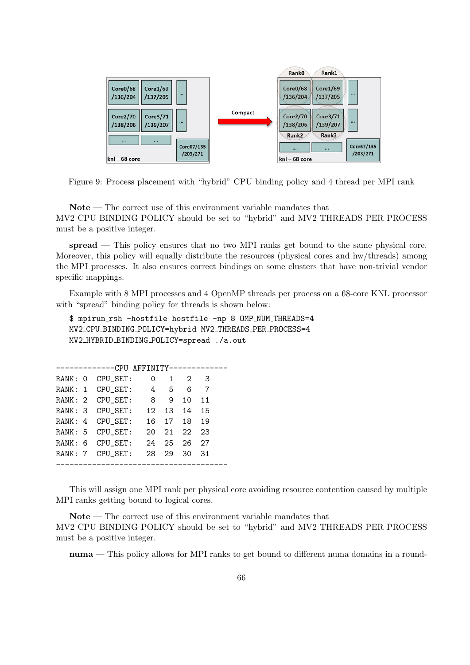

<span id="page-74-0"></span>Figure 9: Process placement with "hybrid" CPU binding policy and 4 thread per MPI rank

Note — The correct use of this environment variable mandates that MV2 CPU BINDING POLICY should be set to "hybrid" and MV2 THREADS PER PROCESS must be a positive integer.

spread — This policy ensures that no two MPI ranks get bound to the same physical core. Moreover, this policy will equally distribute the resources (physical cores and hw/threads) among the MPI processes. It also ensures correct bindings on some clusters that have non-trivial vendor specific mappings.

Example with 8 MPI processes and 4 OpenMP threads per process on a 68-core KNL processor with "spread" binding policy for threads is shown below:

```
$ mpirun rsh -hostfile hostfile -np 8 OMP NUM THREADS=4
MV2 CPU BINDING POLICY=hybrid MV2 THREADS PER PROCESS=4
MV2 HYBRID BINDING POLICY=spread ./a.out
```

|  | ------------CPU AFFINITY------------- |                 |                 |        |             |  |
|--|---------------------------------------|-----------------|-----------------|--------|-------------|--|
|  | RANK: 0 CPU SET:                      | 0               | $1 \quad$       |        | $2 \quad 3$ |  |
|  | RANK: 1 CPU SET:                      | $4 \quad$       | $5\overline{)}$ | 6      | - 7         |  |
|  | RANK: 2 CPU SET: 8                    |                 | 9               | 10     | 11          |  |
|  | RANK: 3 CPU SET:                      | 12 <sup>1</sup> |                 | 13 14  | 15          |  |
|  | RANK: 4 CPU SET:                      | 16 -            |                 | 17 18  | 19          |  |
|  | RANK: 5 CPU_SET:                      | 20              | $21 -$          | $22 -$ | 23          |  |
|  | RANK: 6 CPU SET:                      | 24              | 25              | 26.    | 27          |  |
|  | RANK: 7 CPU_SET:                      | 28.             | 29              | 30 I   | 31          |  |
|  |                                       |                 |                 |        |             |  |

This will assign one MPI rank per physical core avoiding resource contention caused by multiple MPI ranks getting bound to logical cores.

Note — The correct use of this environment variable mandates that MV2 CPU BINDING POLICY should be set to "hybrid" and MV2 THREADS PER PROCESS must be a positive integer.

numa — This policy allows for MPI ranks to get bound to different numa domains in a round-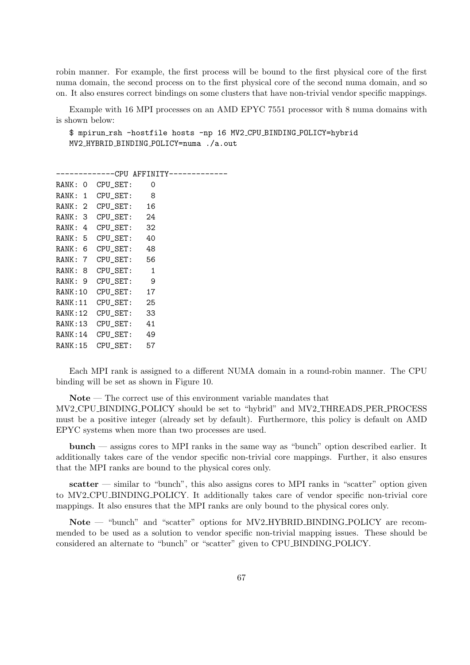robin manner. For example, the first process will be bound to the first physical core of the first numa domain, the second process on to the first physical core of the second numa domain, and so on. It also ensures correct bindings on some clusters that have non-trivial vendor specific mappings.

Example with 16 MPI processes on an AMD EPYC 7551 processor with 8 numa domains with is shown below:

\$ mpirun rsh -hostfile hosts -np 16 MV2 CPU BINDING POLICY=hybrid MV2 HYBRID BINDING POLICY=numa ./a.out

-------------CPU AFFINITY-------------RANK: 0 CPU\_SET: 0 RANK: 1 CPU\_SET: 8 RANK: 2 CPU\_SET: 16 RANK: 3 CPU\_SET: 24 RANK: 4 CPU\_SET: 32 RANK: 5 CPU\_SET: 40 RANK: 6 CPU\_SET: 48 RANK: 7 CPU\_SET: 56 RANK: 8 CPU\_SET: 1 RANK: 9 CPU\_SET: 9 RANK:10 CPU\_SET: 17 RANK:11 CPU\_SET: 25 RANK:12 CPU\_SET: 33 RANK:13 CPU\_SET: 41 RANK:14 CPU\_SET: 49 RANK:15 CPU\_SET: 57

Each MPI rank is assigned to a different NUMA domain in a round-robin manner. The CPU binding will be set as shown in Figure [10.](#page-76-0)

Note — The correct use of this environment variable mandates that MV2 CPU BINDING POLICY should be set to "hybrid" and MV2 THREADS PER PROCESS must be a positive integer (already set by default). Furthermore, this policy is default on AMD EPYC systems when more than two processes are used.

bunch — assigns cores to MPI ranks in the same way as "bunch" option described earlier. It additionally takes care of the vendor specific non-trivial core mappings. Further, it also ensures that the MPI ranks are bound to the physical cores only.

 $\textbf{scatter}$  — similar to "bunch", this also assigns cores to MPI ranks in "scatter" option given to MV2 CPU BINDING POLICY. It additionally takes care of vendor specific non-trivial core mappings. It also ensures that the MPI ranks are only bound to the physical cores only.

Note — "bunch" and "scatter" options for MV2 HYBRID BINDING POLICY are recommended to be used as a solution to vendor specific non-trivial mapping issues. These should be considered an alternate to "bunch" or "scatter" given to CPU BINDING POLICY.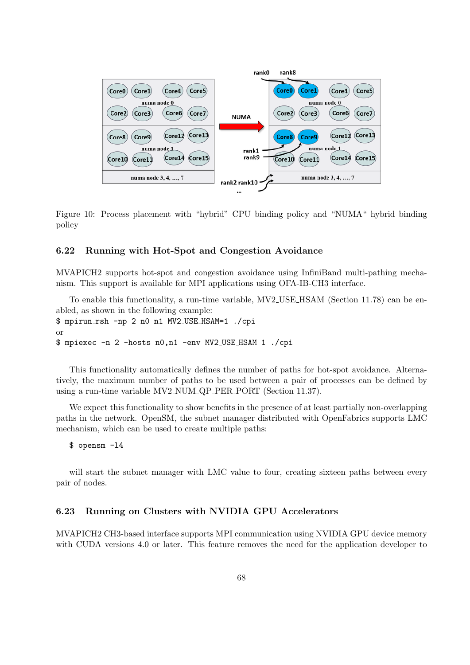

<span id="page-76-0"></span>Figure 10: Process placement with "hybrid" CPU binding policy and "NUMA" hybrid binding policy

# 6.22 Running with Hot-Spot and Congestion Avoidance

MVAPICH2 supports hot-spot and congestion avoidance using InfiniBand multi-pathing mechanism. This support is available for MPI applications using OFA-IB-CH3 interface.

To enable this functionality, a run-time variable, MV2 USE HSAM (Section [11.78\)](#page-128-0) can be enabled, as shown in the following example: \$ mpirun rsh -np 2 n0 n1 MV2 USE HSAM=1 ./cpi or \$ mpiexec -n 2 -hosts n0,n1 -env MV2 USE HSAM 1 ./cpi

This functionality automatically defines the number of paths for hot-spot avoidance. Alternatively, the maximum number of paths to be used between a pair of processes can be defined by using a run-time variable MV2 NUM QP PER PORT (Section [11.37\)](#page-118-0).

We expect this functionality to show benefits in the presence of at least partially non-overlapping paths in the network. OpenSM, the subnet manager distributed with OpenFabrics supports LMC mechanism, which can be used to create multiple paths:

\$ opensm -l4

will start the subnet manager with LMC value to four, creating sixteen paths between every pair of nodes.

#### 6.23 Running on Clusters with NVIDIA GPU Accelerators

MVAPICH2 CH3-based interface supports MPI communication using NVIDIA GPU device memory with CUDA versions 4.0 or later. This feature removes the need for the application developer to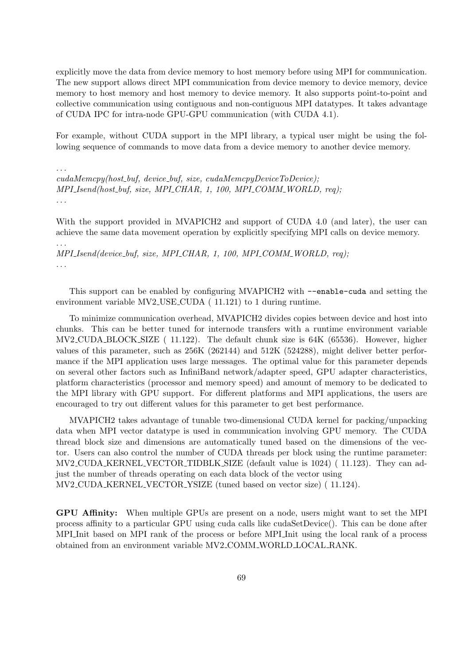explicitly move the data from device memory to host memory before using MPI for communication. The new support allows direct MPI communication from device memory to device memory, device memory to host memory and host memory to device memory. It also supports point-to-point and collective communication using contiguous and non-contiguous MPI datatypes. It takes advantage of CUDA IPC for intra-node GPU-GPU communication (with CUDA 4.1).

For example, without CUDA support in the MPI library, a typical user might be using the following sequence of commands to move data from a device memory to another device memory.

. . .

. . .

 $cudaMemory(host_buf, device_buf, size, cudaMemoryDeviceToDevice);$ MPI\_Isend(host\_buf, size, MPI\_CHAR, 1, 100, MPI\_COMM\_WORLD, req); . . .

With the support provided in MVAPICH<sub>2</sub> and support of CUDA 4.0 (and later), the user can achieve the same data movement operation by explicitly specifying MPI calls on device memory.

MPI\_Isend(device\_buf, size, MPI\_CHAR, 1, 100, MPI\_COMM\_WORLD, req); . . .

This support can be enabled by configuring MVAPICH2 with --enable-cuda and setting the environment variable MV2 USE CUDA ( [11.121\)](#page-138-0) to 1 during runtime.

To minimize communication overhead, MVAPICH2 divides copies between device and host into chunks. This can be better tuned for internode transfers with a runtime environment variable MV2 CUDA BLOCK SIZE ( [11.122\)](#page-139-0). The default chunk size is 64K (65536). However, higher values of this parameter, such as 256K (262144) and 512K (524288), might deliver better performance if the MPI application uses large messages. The optimal value for this parameter depends on several other factors such as InfiniBand network/adapter speed, GPU adapter characteristics, platform characteristics (processor and memory speed) and amount of memory to be dedicated to the MPI library with GPU support. For different platforms and MPI applications, the users are encouraged to try out different values for this parameter to get best performance.

MVAPICH2 takes advantage of tunable two-dimensional CUDA kernel for packing/unpacking data when MPI vector datatype is used in communication involving GPU memory. The CUDA thread block size and dimensions are automatically tuned based on the dimensions of the vector. Users can also control the number of CUDA threads per block using the runtime parameter: MV2 CUDA KERNEL VECTOR TIDBLK SIZE (default value is 1024) ( [11.123\)](#page-139-1). They can adjust the number of threads operating on each data block of the vector using

MV2 CUDA KERNEL VECTOR YSIZE (tuned based on vector size) ( [11.124\)](#page-139-2).

GPU Affinity: When multiple GPUs are present on a node, users might want to set the MPI process affinity to a particular GPU using cuda calls like cudaSetDevice(). This can be done after MPI Init based on MPI rank of the process or before MPI Init using the local rank of a process obtained from an environment variable MV2 COMM WORLD LOCAL RANK.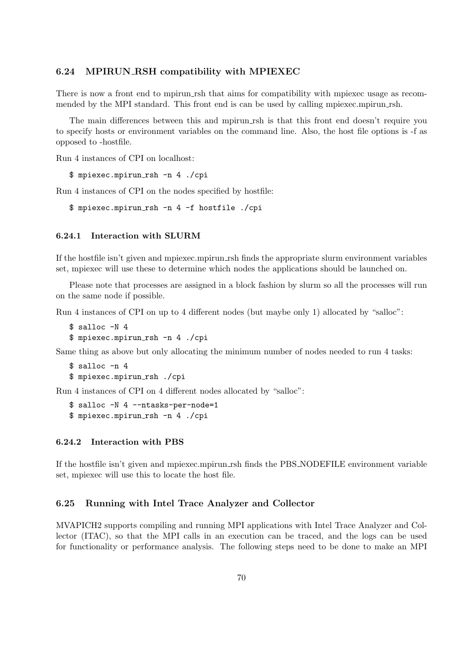#### 6.24 MPIRUN RSH compatibility with MPIEXEC

There is now a front end to mpirun rsh that aims for compatibility with mpiexec usage as recommended by the MPI standard. This front end is can be used by calling mpiexec.mpirun rsh.

The main differences between this and mpirun rsh is that this front end doesn't require you to specify hosts or environment variables on the command line. Also, the host file options is -f as opposed to -hostfile.

Run 4 instances of CPI on localhost:

\$ mpiexec.mpirun rsh -n 4 ./cpi

Run 4 instances of CPI on the nodes specified by hostfile:

```
$ mpiexec.mpirun rsh -n 4 -f hostfile ./cpi
```
#### 6.24.1 Interaction with SLURM

If the hostfile isn't given and mpiexec.mpirun\_rsh finds the appropriate slurm environment variables set, mpiexec will use these to determine which nodes the applications should be launched on.

Please note that processes are assigned in a block fashion by slurm so all the processes will run on the same node if possible.

Run 4 instances of CPI on up to 4 different nodes (but maybe only 1) allocated by "salloc":

```
$ salloc -N 4
$ mpiexec.mpirun rsh -n 4 ./cpi
```
Same thing as above but only allocating the minimum number of nodes needed to run 4 tasks:

```
$ salloc -n 4
$ mpiexec.mpirun rsh ./cpi
```
Run 4 instances of CPI on 4 different nodes allocated by "salloc":

```
$ salloc -N 4 --ntasks-per-node=1
$ mpiexec.mpirun rsh -n 4 ./cpi
```
#### 6.24.2 Interaction with PBS

If the hostfile isn't given and mpiexec.mpirun rsh finds the PBS NODEFILE environment variable set, mpiexec will use this to locate the host file.

#### 6.25 Running with Intel Trace Analyzer and Collector

MVAPICH2 supports compiling and running MPI applications with Intel Trace Analyzer and Collector (ITAC), so that the MPI calls in an execution can be traced, and the logs can be used for functionality or performance analysis. The following steps need to be done to make an MPI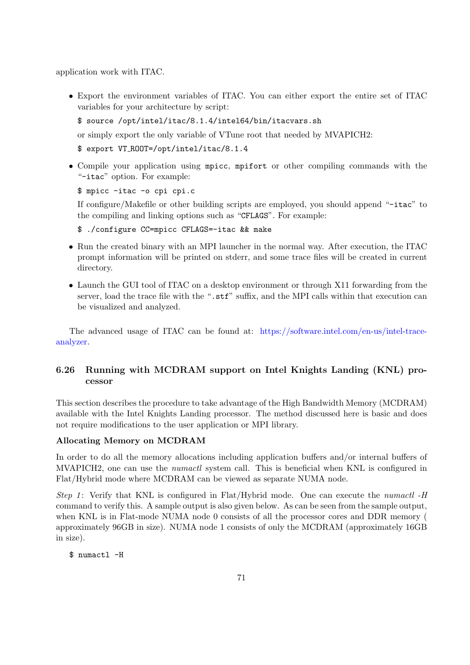application work with ITAC.

• Export the environment variables of ITAC. You can either export the entire set of ITAC variables for your architecture by script:

```
$ source /opt/intel/itac/8.1.4/intel64/bin/itacvars.sh
```
or simply export the only variable of VTune root that needed by MVAPICH2:

```
$ export VT ROOT=/opt/intel/itac/8.1.4
```
• Compile your application using mpicc, mpifort or other compiling commands with the "-itac" option. For example:

\$ mpicc -itac -o cpi cpi.c

If configure/Makefile or other building scripts are employed, you should append "-itac" to the compiling and linking options such as "CFLAGS". For example:

\$ ./configure CC=mpicc CFLAGS=-itac && make

- Run the created binary with an MPI launcher in the normal way. After execution, the ITAC prompt information will be printed on stderr, and some trace files will be created in current directory.
- Launch the GUI tool of ITAC on a desktop environment or through X11 forwarding from the server, load the trace file with the ".stf" suffix, and the MPI calls within that execution can be visualized and analyzed.

The advanced usage of ITAC can be found at: [https://software.intel.com/en-us/intel-trace](https://software.intel.com/en-us/intel-trace-analyzer)[analyzer.](https://software.intel.com/en-us/intel-trace-analyzer)

# 6.26 Running with MCDRAM support on Intel Knights Landing (KNL) processor

This section describes the procedure to take advantage of the High Bandwidth Memory (MCDRAM) available with the Intel Knights Landing processor. The method discussed here is basic and does not require modifications to the user application or MPI library.

#### Allocating Memory on MCDRAM

In order to do all the memory allocations including application buffers and/or internal buffers of MVAPICH2, one can use the numactl system call. This is beneficial when KNL is configured in Flat/Hybrid mode where MCDRAM can be viewed as separate NUMA node.

Step 1: Verify that KNL is configured in Flat/Hybrid mode. One can execute the numactl  $-H$ command to verify this. A sample output is also given below. As can be seen from the sample output, when KNL is in Flat-mode NUMA node 0 consists of all the processor cores and DDR memory ( approximately 96GB in size). NUMA node 1 consists of only the MCDRAM (approximately 16GB in size).

\$ numactl -H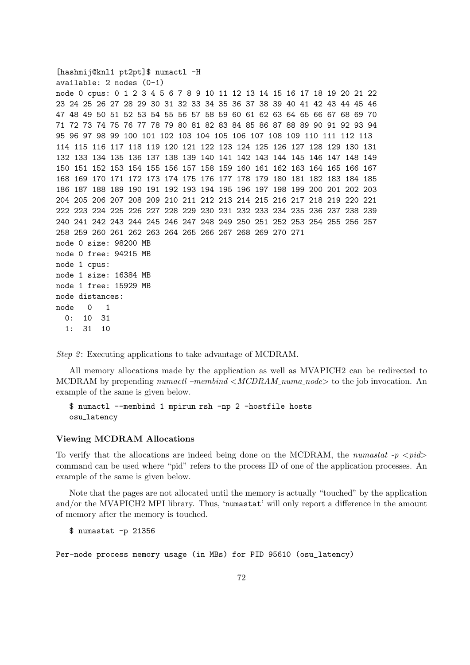```
[hashmij@knl1 pt2pt]$ numactl -H
available: 2 nodes (0-1)
node 0 cpus: 0 1 2 3 4 5 6 7 8 9 10 11 12 13 14 15 16 17 18 19 20 21 22
23 24 25 26 27 28 29 30 31 32 33 34 35 36 37 38 39 40 41 42 43 44 45 46
47 48 49 50 51 52 53 54 55 56 57 58 59 60 61 62 63 64 65 66 67 68 69 70
71 72 73 74 75 76 77 78 79 80 81 82 83 84 85 86 87 88 89 90 91 92 93 94
95 96 97 98 99 100 101 102 103 104 105 106 107 108 109 110 111 112 113
114 115 116 117 118 119 120 121 122 123 124 125 126 127 128 129 130 131
132 133 134 135 136 137 138 139 140 141 142 143 144 145 146 147 148 149
150 151 152 153 154 155 156 157 158 159 160 161 162 163 164 165 166 167
168 169 170 171 172 173 174 175 176 177 178 179 180 181 182 183 184 185
186 187 188 189 190 191 192 193 194 195 196 197 198 199 200 201 202 203
204 205 206 207 208 209 210 211 212 213 214 215 216 217 218 219 220 221
222 223 224 225 226 227 228 229 230 231 232 233 234 235 236 237 238 239
240 241 242 243 244 245 246 247 248 249 250 251 252 253 254 255 256 257
258 259 260 261 262 263 264 265 266 267 268 269 270 271
node 0 size: 98200 MB
node 0 free: 94215 MB
node 1 cpus:
node 1 size: 16384 MB
node 1 free: 15929 MB
node distances:
node 0 1
  0: 10.311: 31 10
```
Step 2: Executing applications to take advantage of MCDRAM.

All memory allocations made by the application as well as MVAPICH2 can be redirected to MCDRAM by prepending numactl –membind  $\langle MCDRAM_numa_node \rangle$  to the job invocation. An example of the same is given below.

\$ numactl --membind 1 mpirun rsh -np 2 -hostfile hosts osu latency

#### Viewing MCDRAM Allocations

To verify that the allocations are indeed being done on the MCDRAM, the numastat  $-p < p \cdot id$ command can be used where "pid" refers to the process ID of one of the application processes. An example of the same is given below.

Note that the pages are not allocated until the memory is actually "touched" by the application and/or the MVAPICH2 MPI library. Thus, 'numastat' will only report a difference in the amount of memory after the memory is touched.

\$ numastat -p 21356

Per-node process memory usage (in MBs) for PID 95610 (osu\_latency)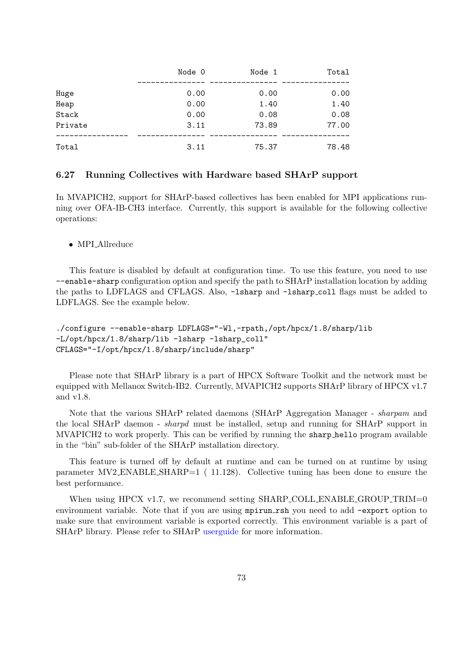|         | Node 0 | Node 1 | Total |
|---------|--------|--------|-------|
| Huge    | 0.00   | 0.00   | 0.00  |
| Heap    | 0.00   | 1.40   | 1.40  |
| Stack   | 0.00   | 0.08   | 0.08  |
| Private | 3.11   | 73.89  | 77.00 |
| Total   | 3.11   | 75.37  | 78.48 |

#### 6.27 Running Collectives with Hardware based SHArP support

In MVAPICH2, support for SHArP-based collectives has been enabled for MPI applications running over OFA-IB-CH3 interface. Currently, this support is available for the following collective operations:

• MPI\_Allreduce

This feature is disabled by default at configuration time. To use this feature, you need to use --enable-sharp configuration option and specify the path to SHArP installation location by adding the paths to LDFLAGS and CFLAGS. Also, -lsharp and -lsharp coll flags must be added to LDFLAGS. See the example below.

```
./configure --enable-sharp LDFLAGS="-Wl,-rpath,/opt/hpcx/1.8/sharp/lib
-L/opt/hpcx/1.8/sharp/lib -lsharp -lsharp_coll"
CFLAGS="-I/opt/hpcx/1.8/sharp/include/sharp"
```
Please note that SHArP library is a part of HPCX Software Toolkit and the network must be equipped with Mellanox Switch-IB2. Currently, MVAPICH2 supports SHArP library of HPCX v1.7 and v1.8.

Note that the various SHArP related daemons (SHArP Aggregation Manager - sharpam and the local SHArP daemon - sharpd must be installed, setup and running for SHArP support in MVAPICH2 to work properly. This can be verified by running the sharp hello program available in the "bin" sub-folder of the SHArP installation directory.

This feature is turned off by default at runtime and can be turned on at runtime by using parameter MV2 ENABLE SHARP=1 ( [11.128\)](#page-140-0). Collective tuning has been done to ensure the best performance.

When using HPCX v1.7, we recommend setting SHARP\_COLL\_ENABLE\_GROUP\_TRIM=0 environment variable. Note that if you are using mpirun rsh you need to add -export option to make sure that environment variable is exported correctly. This environment variable is a part of SHArP library. Please refer to SHArP [userguide](http://www.mellanox.com/related-docs/prod_acceleration_software/Mellanox_SHARP_SW_Deployment_Guide_v1.7.1.pdf) for more information.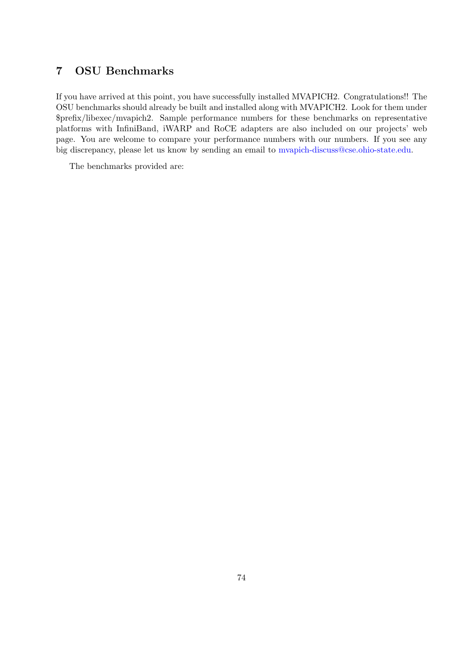# 7 OSU Benchmarks

If you have arrived at this point, you have successfully installed MVAPICH2. Congratulations!! The OSU benchmarks should already be built and installed along with MVAPICH2. Look for them under \$prefix/libexec/mvapich2. Sample performance numbers for these benchmarks on representative platforms with InfiniBand, iWARP and RoCE adapters are also included on our projects' web page. You are welcome to compare your performance numbers with our numbers. If you see any big discrepancy, please let us know by sending an email to [mvapich-discuss@cse.ohio-state.edu.](mailto:mvapich-discuss@cse.ohio-state.edu)

The benchmarks provided are: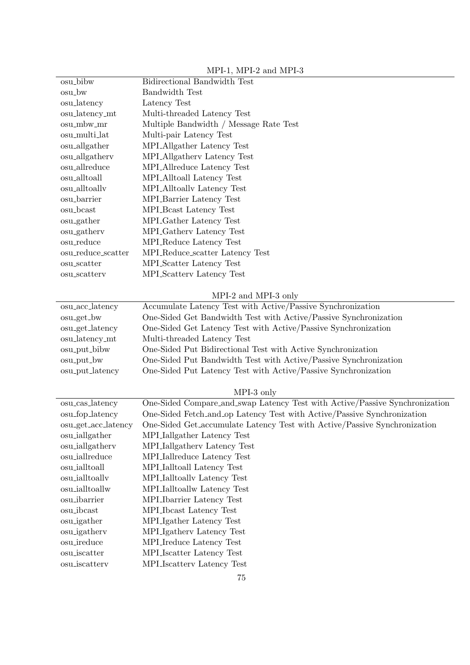| osu_bibw                | Bidirectional Bandwidth Test                                                |
|-------------------------|-----------------------------------------------------------------------------|
| osu_bw                  | Bandwidth Test                                                              |
| osu_latency             | Latency Test                                                                |
| osu_latency_mt          | Multi-threaded Latency Test                                                 |
| osu_mbw_mr              | Multiple Bandwidth / Message Rate Test                                      |
| osu_multi_lat           | Multi-pair Latency Test                                                     |
| osu_allgather           | MPLAllgather Latency Test                                                   |
| osu_allgatherv          | MPLAllgathery Latency Test                                                  |
| osu_allreduce           | MPLAllreduce Latency Test                                                   |
| osu_alltoall            | MPI_Alltoall Latency Test                                                   |
| $_{\rm osu\_alltoally}$ | MPLAlltoally Latency Test                                                   |
| osu_barrier             | MPI_Barrier Latency Test                                                    |
| osu_bcast               | MPLBcast Latency Test                                                       |
| osu_gather              | MPI <sub>-Gather</sub> Latency Test                                         |
| osu_gathery             | MPL Gathery Latency Test                                                    |
| osu_reduce              | MPLReduce Latency Test                                                      |
| osu_reduce_scatter      | MPI_Reduce_scatter Latency Test                                             |
| osu_scatter             | MPLScatter Latency Test                                                     |
| osu_scatterv            | MPLScattery Latency Test                                                    |
|                         |                                                                             |
|                         | MPI-2 and MPI-3 only                                                        |
| osu_acc_latency         | Accumulate Latency Test with Active/Passive Synchronization                 |
| osu_get_bw              | One-Sided Get Bandwidth Test with Active/Passive Synchronization            |
| osu_get_latency         | One-Sided Get Latency Test with Active/Passive Synchronization              |
| osu_latency_mt          | Multi-threaded Latency Test                                                 |
| osu_put_bibw            | One-Sided Put Bidirectional Test with Active Synchronization                |
| osu_put_bw              | One-Sided Put Bandwidth Test with Active/Passive Synchronization            |
| osu_put_latency         | One-Sided Put Latency Test with Active/Passive Synchronization              |
|                         |                                                                             |
|                         | MPI-3 only                                                                  |
| osu_cas_latency         | One-Sided Compare_and_swap Latency Test with Active/Passive Synchronization |
| osu_fop_latency         | One-Sided Fetch_and_op Latency Test with Active/Passive Synchronization     |
| osu_get_acc_latency     | One-Sided Get_accumulate Latency Test with Active/Passive Synchronization   |
| osu_iallgather          | MPLIallgather Latency Test                                                  |
| osu_iallgatherv         | MPLIallgathery Latency Test                                                 |
| osu_iallreduce          | MPI Iallreduce Latency Test                                                 |
| osu_ialltoall           | MPI_Ialltoall Latency Test                                                  |
| osu_ialltoallv          | MPI Ialltoally Latency Test                                                 |
| osu_ialltoallw          | MPI <sub>-Ialltoallw</sub> Latency Test                                     |
| osu_ibarrier            | MPLIbarrier Latency Test                                                    |
| osu_ibcast              | MPLIbcast Latency Test                                                      |
| osu_igather             | MPLIgather Latency Test                                                     |
| osu_igathery            | MPLIgathery Latency Test                                                    |
| osu_ireduce             | MPL Ireduce Latency Test                                                    |
| osu_iscatter            | MPI_Iscatter Latency Test                                                   |
| osu_iscatterv           | MPLIscattery Latency Test                                                   |
|                         |                                                                             |

MPI-1, MPI-2 and MPI-3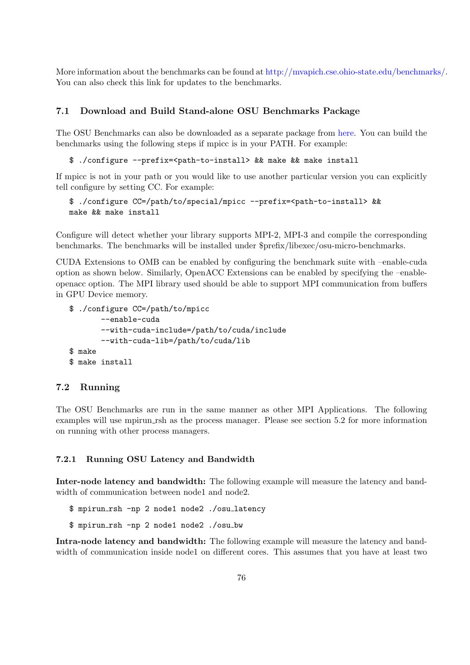More information about the benchmarks can be found at [http://mvapich.cse.ohio-state.edu/benchmarks/.](http://mvapich.cse.ohio-state.edu/benchmarks/) You can also check this link for updates to the benchmarks.

## 7.1 Download and Build Stand-alone OSU Benchmarks Package

The OSU Benchmarks can also be downloaded as a separate package from [here.](http://mvapich.cse.ohio-state.edu/benchmarks/) You can build the benchmarks using the following steps if mpicc is in your PATH. For example:

\$ ./configure --prefix=<path-to-install> && make && make install

If mpicc is not in your path or you would like to use another particular version you can explicitly tell configure by setting CC. For example:

```
$ ./configure CC=/path/to/special/mpicc --prefix=<path-to-install> &&
make && make install
```
Configure will detect whether your library supports MPI-2, MPI-3 and compile the corresponding benchmarks. The benchmarks will be installed under \$prefix/libexec/osu-micro-benchmarks.

CUDA Extensions to OMB can be enabled by configuring the benchmark suite with –enable-cuda option as shown below. Similarly, OpenACC Extensions can be enabled by specifying the –enableopenacc option. The MPI library used should be able to support MPI communication from buffers in GPU Device memory.

```
$ ./configure CC=/path/to/mpicc
       --enable-cuda
       --with-cuda-include=/path/to/cuda/include
       --with-cuda-lib=/path/to/cuda/lib
$ make
$ make install
```
# 7.2 Running

The OSU Benchmarks are run in the same manner as other MPI Applications. The following examples will use mpirun rsh as the process manager. Please see section [5.2](#page-39-0) for more information on running with other process managers.

#### 7.2.1 Running OSU Latency and Bandwidth

Inter-node latency and bandwidth: The following example will measure the latency and bandwidth of communication between node1 and node2.

\$ mpirun rsh -np 2 node1 node2 ./osu latency

\$ mpirun rsh -np 2 node1 node2 ./osu bw

Intra-node latency and bandwidth: The following example will measure the latency and bandwidth of communication inside node1 on different cores. This assumes that you have at least two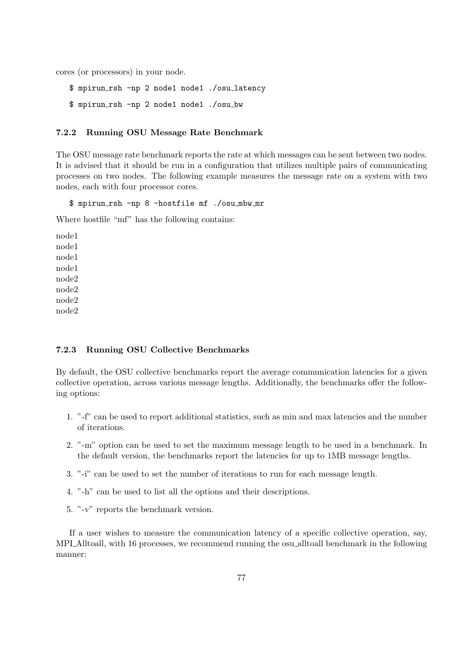cores (or processors) in your node.

\$ mpirun rsh -np 2 node1 node1 ./osu latency \$ mpirun rsh -np 2 node1 node1 ./osu bw

#### 7.2.2 Running OSU Message Rate Benchmark

The OSU message rate benchmark reports the rate at which messages can be sent between two nodes. It is advised that it should be run in a configuration that utilizes multiple pairs of communicating processes on two nodes. The following example measures the message rate on a system with two nodes, each with four processor cores.

\$ mpirun rsh -np 8 -hostfile mf ./osu mbw mr

Where hostfile "mf" has the following contains:

node1 node1 node1 node1 node2 node2 node2 node2

## 7.2.3 Running OSU Collective Benchmarks

By default, the OSU collective benchmarks report the average communication latencies for a given collective operation, across various message lengths. Additionally, the benchmarks offer the following options:

- 1. "-f" can be used to report additional statistics, such as min and max latencies and the number of iterations.
- 2. "-m" option can be used to set the maximum message length to be used in a benchmark. In the default version, the benchmarks report the latencies for up to 1MB message lengths.
- 3. "-i" can be used to set the number of iterations to run for each message length.
- 4. "-h" can be used to list all the options and their descriptions.
- 5. "-v" reports the benchmark version.

If a user wishes to measure the communication latency of a specific collective operation, say, MPI Alltoall, with 16 processes, we recommend running the osu alltoall benchmark in the following manner: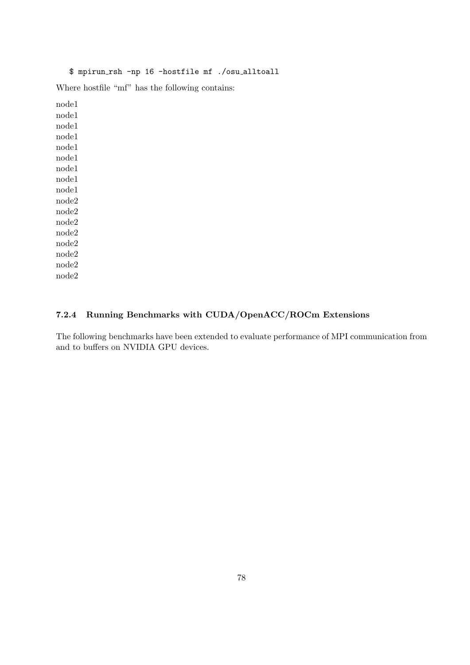# \$ mpirun rsh -np 16 -hostfile mf ./osu alltoall

Where hostfile "mf" has the following contains:

node1 node1 node1 node1 node1 node1 node1 node1 node1 node2 node2 node2 node2 node2 node2 node2 node2

# 7.2.4 Running Benchmarks with CUDA/OpenACC/ROCm Extensions

The following benchmarks have been extended to evaluate performance of MPI communication from and to buffers on NVIDIA GPU devices.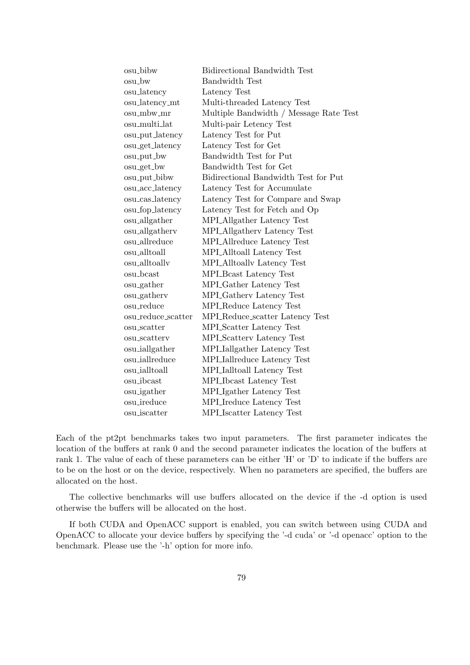| osu_bibw           | <b>Bidirectional Bandwidth Test</b>    |
|--------------------|----------------------------------------|
| osu_bw             | <b>Bandwidth Test</b>                  |
| osu_latency        | Latency Test                           |
| osu_latency_mt     | Multi-threaded Latency Test            |
| osu_mbw_mr         | Multiple Bandwidth / Message Rate Test |
| osu_multi_lat      | Multi-pair Letency Test                |
| osu_put_latency    | Latency Test for Put                   |
| osu_get_latency    | Latency Test for Get                   |
| osu_put_bw         | Bandwidth Test for Put                 |
| osu_get_bw         | Bandwidth Test for Get                 |
| osu_put_bibw       | Bidirectional Bandwidth Test for Put   |
| osu_acc_latency    | Latency Test for Accumulate            |
| osu_cas_latency    | Latency Test for Compare and Swap      |
| osu_fop_latency    | Latency Test for Fetch and Op          |
| osu_allgather      | MPLAllgather Latency Test              |
| osu_allgatherv     | MPLAllgathery Latency Test             |
| osu_allreduce      | MPLAllreduce Latency Test              |
| osu_alltoall       | MPLAlltoall Latency Test               |
| osu_alltoallv      | <b>MPLAlltoally Latency Test</b>       |
| $osu\_beast$       | MPI_Beast Latency Test                 |
| osu_gather         | MPI <sub>-Gather</sub> Latency Test    |
| osu_gatherv        | MPL Gathery Latency Test               |
| osu_reduce         | MPL Reduce Latency Test                |
| osu_reduce_scatter | MPLReduce_scatter Latency Test         |
| $osu\_scatter$     | <b>MPL</b> Scatter Latency Test        |
| osu_scatterv       | MPL Scattery Latency Test              |
| osu_iallgather     | MPLIallgather Latency Test             |
| osu_iallreduce     | MPLIallreduce Latency Test             |
| osu_ialltoall      | MPI_Ialltoall Latency Test             |
| osu_ibcast         | MPL Ibcast Latency Test                |
| osu_igather        | MPLIgather Latency Test                |
| osu_ireduce        | MPLIreduce Latency Test                |
| $osu$ _iscatter    | MPI_Iscatter Latency Test              |

Each of the pt2pt benchmarks takes two input parameters. The first parameter indicates the location of the buffers at rank 0 and the second parameter indicates the location of the buffers at rank 1. The value of each of these parameters can be either 'H' or 'D' to indicate if the buffers are to be on the host or on the device, respectively. When no parameters are specified, the buffers are allocated on the host.

The collective benchmarks will use buffers allocated on the device if the -d option is used otherwise the buffers will be allocated on the host.

If both CUDA and OpenACC support is enabled, you can switch between using CUDA and OpenACC to allocate your device buffers by specifying the '-d cuda' or '-d openacc' option to the benchmark. Please use the '-h' option for more info.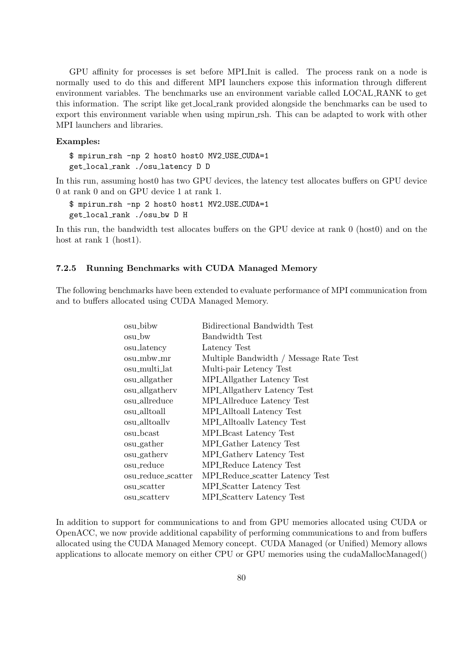GPU affinity for processes is set before MPI Init is called. The process rank on a node is normally used to do this and different MPI launchers expose this information through different environment variables. The benchmarks use an environment variable called LOCAL RANK to get this information. The script like get local rank provided alongside the benchmarks can be used to export this environment variable when using mpirun rsh. This can be adapted to work with other MPI launchers and libraries.

#### Examples:

\$ mpirun rsh -np 2 host0 host0 MV2 USE CUDA=1 get local rank ./osu latency D D

In this run, assuming host0 has two GPU devices, the latency test allocates buffers on GPU device 0 at rank 0 and on GPU device 1 at rank 1.

\$ mpirun rsh -np 2 host0 host1 MV2 USE CUDA=1 get local rank ./osu bw D H

In this run, the bandwidth test allocates buffers on the GPU device at rank 0 (host0) and on the host at rank 1 (host1).

#### 7.2.5 Running Benchmarks with CUDA Managed Memory

The following benchmarks have been extended to evaluate performance of MPI communication from and to buffers allocated using CUDA Managed Memory.

| Bidirectional Bandwidth Test           |
|----------------------------------------|
| Bandwidth Test                         |
| Latency Test                           |
| Multiple Bandwidth / Message Rate Test |
| Multi-pair Letency Test                |
| MPLAllgather Latency Test              |
| MPI_Allgathery Latency Test            |
| MPI_Allreduce Latency Test             |
| MPLAlltoall Latency Test               |
| MPLAlltoally Latency Test              |
| MPL Beast Latency Test                 |
| MPL Gather Latency Test                |
| MPI_Gathery Latency Test               |
| MPI_Reduce Latency Test                |
| MPL Reduce_scatter Latency Test        |
| <b>MPL</b> Scatter Latency Test        |
| MPL Scattery Latency Test              |
|                                        |

In addition to support for communications to and from GPU memories allocated using CUDA or OpenACC, we now provide additional capability of performing communications to and from buffers allocated using the CUDA Managed Memory concept. CUDA Managed (or Unified) Memory allows applications to allocate memory on either CPU or GPU memories using the cudaMallocManaged()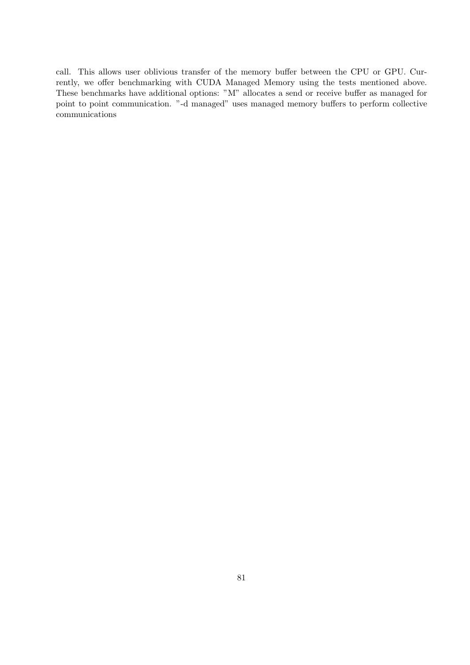call. This allows user oblivious transfer of the memory buffer between the CPU or GPU. Currently, we offer benchmarking with CUDA Managed Memory using the tests mentioned above. These benchmarks have additional options: "M" allocates a send or receive buffer as managed for point to point communication. "-d managed" uses managed memory buffers to perform collective communications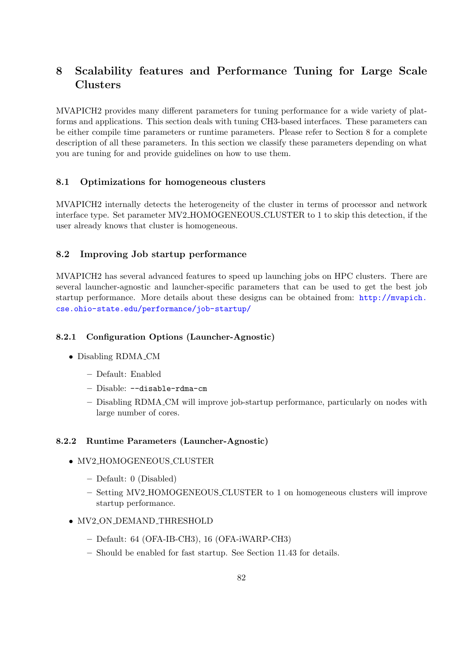# <span id="page-90-0"></span>8 Scalability features and Performance Tuning for Large Scale Clusters

MVAPICH2 provides many different parameters for tuning performance for a wide variety of platforms and applications. This section deals with tuning CH3-based interfaces. These parameters can be either compile time parameters or runtime parameters. Please refer to Section [8](#page-90-0) for a complete description of all these parameters. In this section we classify these parameters depending on what you are tuning for and provide guidelines on how to use them.

# 8.1 Optimizations for homogeneous clusters

MVAPICH2 internally detects the heterogeneity of the cluster in terms of processor and network interface type. Set parameter MV2 HOMOGENEOUS CLUSTER to 1 to skip this detection, if the user already knows that cluster is homogeneous.

# 8.2 Improving Job startup performance

MVAPICH2 has several advanced features to speed up launching jobs on HPC clusters. There are several launcher-agnostic and launcher-specific parameters that can be used to get the best job startup performance. More details about these designs can be obtained from: [http://mvapich.](http://mvapich.cse.ohio-state.edu/performance/job-startup/) [cse.ohio-state.edu/performance/job-startup/](http://mvapich.cse.ohio-state.edu/performance/job-startup/)

# 8.2.1 Configuration Options (Launcher-Agnostic)

- Disabling RDMA\_CM
	- Default: Enabled
	- Disable: --disable-rdma-cm
	- Disabling RDMA CM will improve job-startup performance, particularly on nodes with large number of cores.

#### 8.2.2 Runtime Parameters (Launcher-Agnostic)

- MV2\_HOMOGENEOUS\_CLUSTER
	- Default: 0 (Disabled)
	- Setting MV2 HOMOGENEOUS CLUSTER to 1 on homogeneous clusters will improve startup performance.
- MV2\_ON\_DEMAND\_THRESHOLD
	- Default: 64 (OFA-IB-CH3), 16 (OFA-iWARP-CH3)
	- Should be enabled for fast startup. See Section [11.43](#page-119-0) for details.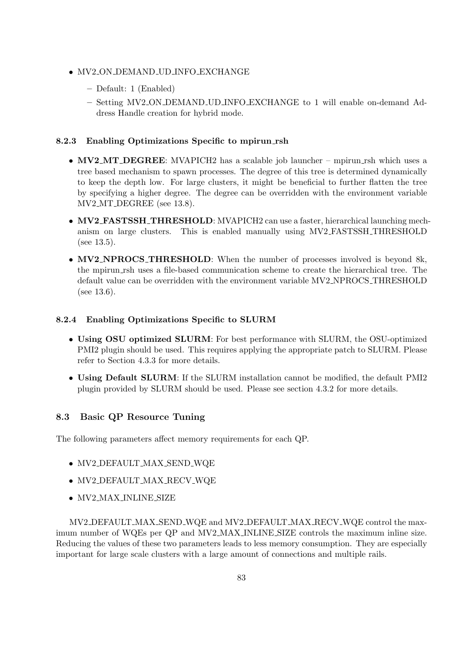- MV2 ON DEMAND UD INFO EXCHANGE
	- Default: 1 (Enabled)
	- Setting MV2 ON DEMAND UD INFO EXCHANGE to 1 will enable on-demand Address Handle creation for hybrid mode.

# 8.2.3 Enabling Optimizations Specific to mpirun rsh

- MV2\_MT\_DEGREE: MVAPICH2 has a scalable job launcher mpirun\_rsh which uses a tree based mechanism to spawn processes. The degree of this tree is determined dynamically to keep the depth low. For large clusters, it might be beneficial to further flatten the tree by specifying a higher degree. The degree can be overridden with the environment variable MV2 MT DEGREE (see [13.8\)](#page-150-0).
- MV2 FASTSSH\_THRESHOLD: MVAPICH2 can use a faster, hierarchical launching mechanism on large clusters. This is enabled manually using MV2 FASTSSH THRESHOLD (see [13.5\)](#page-149-0).
- MV2\_NPROCS\_THRESHOLD: When the number of processes involved is beyond 8k, the mpirun rsh uses a file-based communication scheme to create the hierarchical tree. The default value can be overridden with the environment variable MV2 NPROCS THRESHOLD (see [13.6\)](#page-150-1).

# 8.2.4 Enabling Optimizations Specific to SLURM

- Using OSU optimized SLURM: For best performance with SLURM, the OSU-optimized PMI2 plugin should be used. This requires applying the appropriate patch to SLURM. Please refer to Section [4.3.3](#page-26-0) for more details.
- Using Default SLURM: If the SLURM installation cannot be modified, the default PMI2 plugin provided by SLURM should be used. Please see section [4.3.2](#page-26-1) for more details.

# 8.3 Basic QP Resource Tuning

The following parameters affect memory requirements for each QP.

- MV2 DEFAULT MAX SEND WQE
- MV2\_DEFAULT\_MAX\_RECV\_WQE
- MV2 MAX INLINE SIZE

MV2 DEFAULT MAX SEND WQE and MV2 DEFAULT MAX RECV WQE control the maximum number of WQEs per QP and MV2 MAX INLINE SIZE controls the maximum inline size. Reducing the values of these two parameters leads to less memory consumption. They are especially important for large scale clusters with a large amount of connections and multiple rails.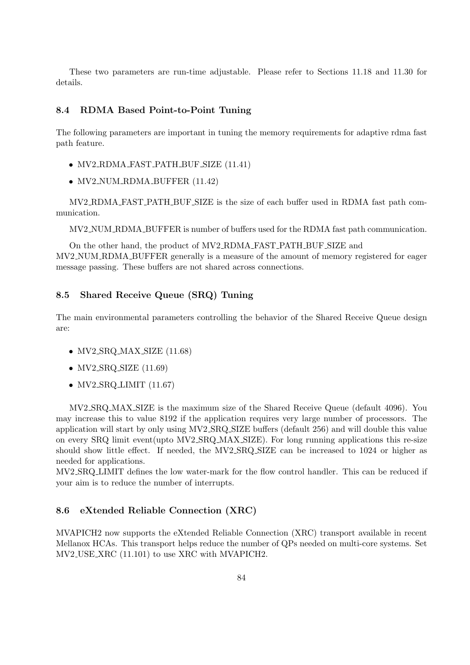These two parameters are run-time adjustable. Please refer to Sections [11.18](#page-113-0) and [11.30](#page-116-0) for details.

#### 8.4 RDMA Based Point-to-Point Tuning

The following parameters are important in tuning the memory requirements for adaptive rdma fast path feature.

- MV2 RDMA FAST PATH BUF SIZE [\(11.41\)](#page-119-1)
- MV2\_NUM\_RDMA\_BUFFER  $(11.42)$

MV2 RDMA FAST PATH BUF SIZE is the size of each buffer used in RDMA fast path communication.

MV2 NUM RDMA BUFFER is number of buffers used for the RDMA fast path communication.

On the other hand, the product of MV2 RDMA FAST PATH BUF SIZE and MV2 NUM RDMA BUFFER generally is a measure of the amount of memory registered for eager message passing. These buffers are not shared across connections.

# 8.5 Shared Receive Queue (SRQ) Tuning

The main environmental parameters controlling the behavior of the Shared Receive Queue design are:

- $MV2_S RQ_MAX_SIZE$  [\(11.68\)](#page-125-0)
- $MV2_SRO_SIZE$  [\(11.69\)](#page-126-0)
- $MV2_S RQ_LIMIT$  [\(11.67\)](#page-125-1)

MV2 SRQ MAX SIZE is the maximum size of the Shared Receive Queue (default 4096). You may increase this to value 8192 if the application requires very large number of processors. The application will start by only using MV2 SRQ SIZE buffers (default 256) and will double this value on every SRQ limit event(upto MV2 SRQ MAX SIZE). For long running applications this re-size should show little effect. If needed, the MV2 SRQ SIZE can be increased to 1024 or higher as needed for applications.

MV2 SRQ LIMIT defines the low water-mark for the flow control handler. This can be reduced if your aim is to reduce the number of interrupts.

### 8.6 eXtended Reliable Connection (XRC)

MVAPICH2 now supports the eXtended Reliable Connection (XRC) transport available in recent Mellanox HCAs. This transport helps reduce the number of QPs needed on multi-core systems. Set MV2 USE XRC [\(11.101\)](#page-133-0) to use XRC with MVAPICH2.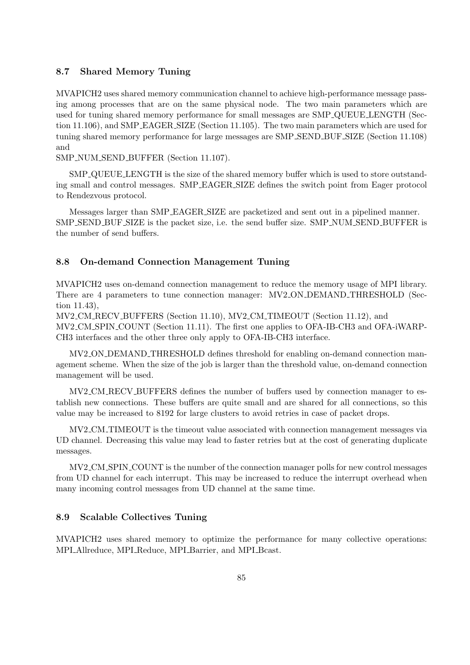#### 8.7 Shared Memory Tuning

MVAPICH2 uses shared memory communication channel to achieve high-performance message passing among processes that are on the same physical node. The two main parameters which are used for tuning shared memory performance for small messages are SMP QUEUE LENGTH (Section [11.106\)](#page-135-0), and SMP EAGER SIZE (Section [11.105\)](#page-134-0). The two main parameters which are used for tuning shared memory performance for large messages are SMP SEND BUF SIZE (Section [11.108\)](#page-135-1) and

SMP NUM SEND BUFFER (Section [11.107\)](#page-135-2).

SMP QUEUE LENGTH is the size of the shared memory buffer which is used to store outstanding small and control messages. SMP EAGER SIZE defines the switch point from Eager protocol to Rendezvous protocol.

Messages larger than SMP EAGER SIZE are packetized and sent out in a pipelined manner. SMP SEND BUF SIZE is the packet size, i.e. the send buffer size. SMP NUM SEND BUFFER is the number of send buffers.

#### 8.8 On-demand Connection Management Tuning

MVAPICH2 uses on-demand connection management to reduce the memory usage of MPI library. There are 4 parameters to tune connection manager: MV2 ON DEMAND THRESHOLD (Section [11.43\)](#page-119-0),

MV2 CM RECV BUFFERS (Section [11.10\)](#page-110-0), MV2 CM TIMEOUT (Section [11.12\)](#page-111-0), and MV2 CM SPIN COUNT (Section [11.11\)](#page-110-1). The first one applies to OFA-IB-CH3 and OFA-iWARP-CH3 interfaces and the other three only apply to OFA-IB-CH3 interface.

MV2 ON DEMAND THRESHOLD defines threshold for enabling on-demand connection management scheme. When the size of the job is larger than the threshold value, on-demand connection management will be used.

MV2 CM RECV BUFFERS defines the number of buffers used by connection manager to establish new connections. These buffers are quite small and are shared for all connections, so this value may be increased to 8192 for large clusters to avoid retries in case of packet drops.

MV2 CM TIMEOUT is the timeout value associated with connection management messages via UD channel. Decreasing this value may lead to faster retries but at the cost of generating duplicate messages.

MV2 CM SPIN COUNT is the number of the connection manager polls for new control messages from UD channel for each interrupt. This may be increased to reduce the interrupt overhead when many incoming control messages from UD channel at the same time.

# 8.9 Scalable Collectives Tuning

MVAPICH2 uses shared memory to optimize the performance for many collective operations: MPI Allreduce, MPI Reduce, MPI Barrier, and MPI Bcast.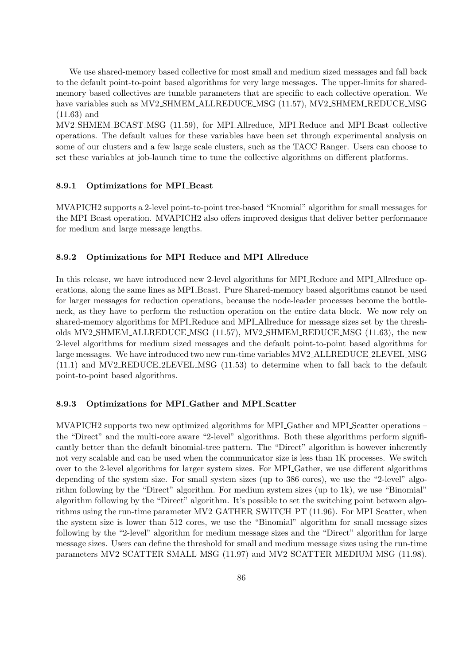We use shared-memory based collective for most small and medium sized messages and fall back to the default point-to-point based algorithms for very large messages. The upper-limits for sharedmemory based collectives are tunable parameters that are specific to each collective operation. We have variables such as MV2\_SHMEM\_ALLREDUCE\_MSG [\(11.57\)](#page-123-0), MV2\_SHMEM\_REDUCE\_MSG [\(11.63\)](#page-124-0) and

MV2 SHMEM BCAST MSG [\(11.59\)](#page-123-1), for MPI Allreduce, MPI Reduce and MPI Bcast collective operations. The default values for these variables have been set through experimental analysis on some of our clusters and a few large scale clusters, such as the TACC Ranger. Users can choose to set these variables at job-launch time to tune the collective algorithms on different platforms.

#### 8.9.1 Optimizations for MPI Bcast

MVAPICH2 supports a 2-level point-to-point tree-based "Knomial" algorithm for small messages for the MPI Bcast operation. MVAPICH2 also offers improved designs that deliver better performance for medium and large message lengths.

#### 8.9.2 Optimizations for MPI Reduce and MPI Allreduce

In this release, we have introduced new 2-level algorithms for MPI Reduce and MPI Allreduce operations, along the same lines as MPI Bcast. Pure Shared-memory based algorithms cannot be used for larger messages for reduction operations, because the node-leader processes become the bottleneck, as they have to perform the reduction operation on the entire data block. We now rely on shared-memory algorithms for MPI Reduce and MPI Allreduce for message sizes set by the thresholds MV2 SHMEM ALLREDUCE MSG [\(11.57\)](#page-123-0), MV2 SHMEM REDUCE MSG [\(11.63\)](#page-124-0), the new 2-level algorithms for medium sized messages and the default point-to-point based algorithms for large messages. We have introduced two new run-time variables MV2 ALLREDUCE 2LEVEL MSG [\(11.1\)](#page-108-0) and MV2 REDUCE 2LEVEL MSG [\(11.53\)](#page-122-0) to determine when to fall back to the default point-to-point based algorithms.

#### 8.9.3 Optimizations for MPI Gather and MPI Scatter

MVAPICH2 supports two new optimized algorithms for MPI Gather and MPI Scatter operations – the "Direct" and the multi-core aware "2-level" algorithms. Both these algorithms perform significantly better than the default binomial-tree pattern. The "Direct" algorithm is however inherently not very scalable and can be used when the communicator size is less than 1K processes. We switch over to the 2-level algorithms for larger system sizes. For MPI Gather, we use different algorithms depending of the system size. For small system sizes (up to 386 cores), we use the "2-level" algorithm following by the "Direct" algorithm. For medium system sizes (up to 1k), we use "Binomial" algorithm following by the "Direct" algorithm. It's possible to set the switching point between algo-rithms using the run-time parameter MV2\_GATHER\_SWITCH\_PT [\(11.96\)](#page-132-0). For MPI\_Scatter, when the system size is lower than 512 cores, we use the "Binomial" algorithm for small message sizes following by the "2-level" algorithm for medium message sizes and the "Direct" algorithm for large message sizes. Users can define the threshold for small and medium message sizes using the run-time parameters MV2 SCATTER SMALL MSG [\(11.97\)](#page-132-1) and MV2 SCATTER MEDIUM MSG [\(11.98\)](#page-133-1).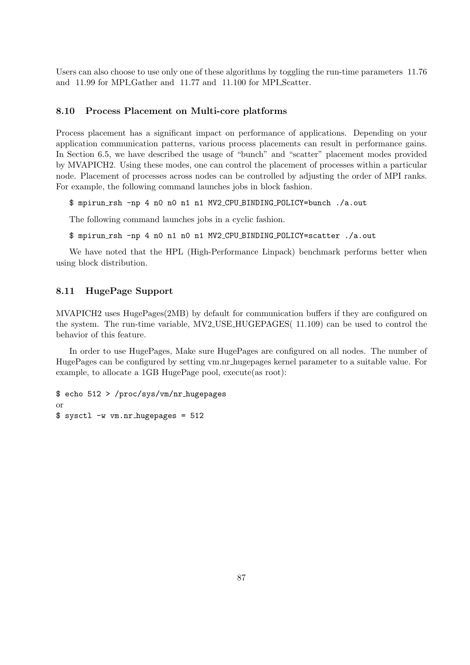Users can also choose to use only one of these algorithms by toggling the run-time parameters [11.76](#page-127-0) and [11.99](#page-133-2) for MPI Gather and [11.77](#page-128-1) and [11.100](#page-133-3) for MPI Scatter.

#### 8.10 Process Placement on Multi-core platforms

Process placement has a significant impact on performance of applications. Depending on your application communication patterns, various process placements can result in performance gains. In Section [6.5,](#page-51-0) we have described the usage of "bunch" and "scatter" placement modes provided by MVAPICH2. Using these modes, one can control the placement of processes within a particular node. Placement of processes across nodes can be controlled by adjusting the order of MPI ranks. For example, the following command launches jobs in block fashion.

\$ mpirun rsh -np 4 n0 n0 n1 n1 MV2 CPU BINDING POLICY=bunch ./a.out

The following command launches jobs in a cyclic fashion.

\$ mpirun rsh -np 4 n0 n1 n0 n1 MV2 CPU BINDING POLICY=scatter ./a.out

We have noted that the HPL (High-Performance Linpack) benchmark performs better when using block distribution.

# 8.11 HugePage Support

MVAPICH2 uses HugePages(2MB) by default for communication buffers if they are configured on the system. The run-time variable, MV2 USE HUGEPAGES( [11.109\)](#page-135-3) can be used to control the behavior of this feature.

In order to use HugePages, Make sure HugePages are configured on all nodes. The number of HugePages can be configured by setting vm.nr hugepages kernel parameter to a suitable value. For example, to allocate a 1GB HugePage pool, execute(as root):

\$ echo 512 > /proc/sys/vm/nr hugepages or \$ sysctl -w vm.nr hugepages = 512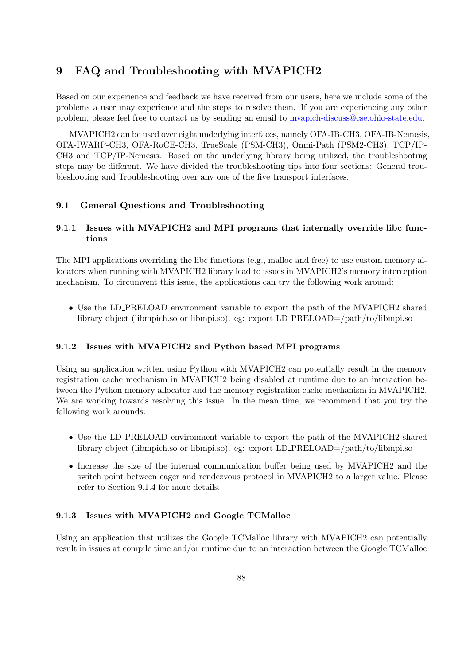# 9 FAQ and Troubleshooting with MVAPICH2

Based on our experience and feedback we have received from our users, here we include some of the problems a user may experience and the steps to resolve them. If you are experiencing any other problem, please feel free to contact us by sending an email to [mvapich-discuss@cse.ohio-state.edu.](mailto:mvapich-discuss@cse.ohio-state.edu)

MVAPICH2 can be used over eight underlying interfaces, namely OFA-IB-CH3, OFA-IB-Nemesis, OFA-IWARP-CH3, OFA-RoCE-CH3, TrueScale (PSM-CH3), Omni-Path (PSM2-CH3), TCP/IP-CH3 and TCP/IP-Nemesis. Based on the underlying library being utilized, the troubleshooting steps may be different. We have divided the troubleshooting tips into four sections: General troubleshooting and Troubleshooting over any one of the five transport interfaces.

# 9.1 General Questions and Troubleshooting

# 9.1.1 Issues with MVAPICH2 and MPI programs that internally override libc functions

The MPI applications overriding the libc functions (e.g., malloc and free) to use custom memory allocators when running with MVAPICH2 library lead to issues in MVAPICH2's memory interception mechanism. To circumvent this issue, the applications can try the following work around:

• Use the LD PRELOAD environment variable to export the path of the MVAPICH2 shared library object (libmpich.so or libmpi.so). eg: export LD PRELOAD=/path/to/libmpi.so

#### 9.1.2 Issues with MVAPICH2 and Python based MPI programs

Using an application written using Python with MVAPICH2 can potentially result in the memory registration cache mechanism in MVAPICH2 being disabled at runtime due to an interaction between the Python memory allocator and the memory registration cache mechanism in MVAPICH2. We are working towards resolving this issue. In the mean time, we recommend that you try the following work arounds:

- Use the LD PRELOAD environment variable to export the path of the MVAPICH2 shared library object (libmpich.so or libmpi.so). eg: export LD PRELOAD=/path/to/libmpi.so
- Increase the size of the internal communication buffer being used by MVAPICH2 and the switch point between eager and rendezvous protocol in MVAPICH2 to a larger value. Please refer to Section [9.1.4](#page-97-0) for more details.

#### 9.1.3 Issues with MVAPICH2 and Google TCMalloc

Using an application that utilizes the Google TCMalloc library with MVAPICH2 can potentially result in issues at compile time and/or runtime due to an interaction between the Google TCMalloc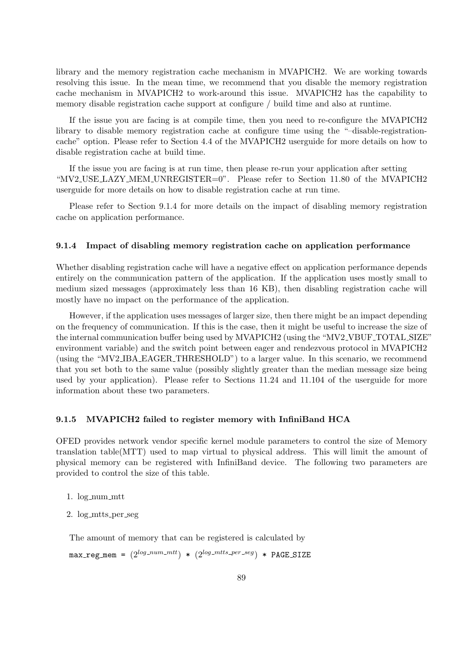library and the memory registration cache mechanism in MVAPICH2. We are working towards resolving this issue. In the mean time, we recommend that you disable the memory registration cache mechanism in MVAPICH2 to work-around this issue. MVAPICH2 has the capability to memory disable registration cache support at configure / build time and also at runtime.

If the issue you are facing is at compile time, then you need to re-configure the MVAPICH2 library to disable memory registration cache at configure time using the "–disable-registrationcache" option. Please refer to Section [4.4](#page-27-0) of the MVAPICH2 userguide for more details on how to disable registration cache at build time.

If the issue you are facing is at run time, then please re-run your application after setting "MV2 USE LAZY MEM UNREGISTER=0". Please refer to Section [11.80](#page-128-2) of the MVAPICH2 userguide for more details on how to disable registration cache at run time.

Please refer to Section [9.1.4](#page-97-0) for more details on the impact of disabling memory registration cache on application performance.

#### <span id="page-97-0"></span>9.1.4 Impact of disabling memory registration cache on application performance

Whether disabling registration cache will have a negative effect on application performance depends entirely on the communication pattern of the application. If the application uses mostly small to medium sized messages (approximately less than 16 KB), then disabling registration cache will mostly have no impact on the performance of the application.

However, if the application uses messages of larger size, then there might be an impact depending on the frequency of communication. If this is the case, then it might be useful to increase the size of the internal communication buffer being used by MVAPICH2 (using the "MV2 VBUF TOTAL SIZE" environment variable) and the switch point between eager and rendezvous protocol in MVAPICH2 (using the "MV2 IBA EAGER THRESHOLD") to a larger value. In this scenario, we recommend that you set both to the same value (possibly slightly greater than the median message size being used by your application). Please refer to Sections [11.24](#page-114-0) and [11.104](#page-134-1) of the userguide for more information about these two parameters.

#### 9.1.5 MVAPICH2 failed to register memory with InfiniBand HCA

OFED provides network vendor specific kernel module parameters to control the size of Memory translation table(MTT) used to map virtual to physical address. This will limit the amount of physical memory can be registered with InfiniBand device. The following two parameters are provided to control the size of this table.

- 1. log num mtt
- 2. log mtts per seg

The amount of memory that can be registered is calculated by

 $max\_reg\_mem = (2^{log\_num\_mtt})$  \*  $(2^{log\_mtts\_per\_seg})$  \* PAGE\_SIZE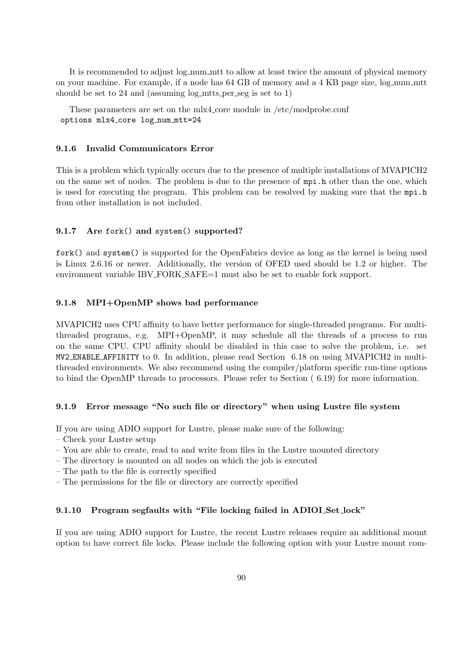It is recommended to adjust  $log_{\text{num-m}}$ tt to allow at least twice the amount of physical memory on your machine. For example, if a node has 64 GB of memory and a 4 KB page size, log num mtt should be set to 24 and (assuming log mtts per seg is set to 1)

These parameters are set on the mlx4 core module in /etc/modprobe.conf options mlx4 core log num mtt=24

#### 9.1.6 Invalid Communicators Error

This is a problem which typically occurs due to the presence of multiple installations of MVAPICH2 on the same set of nodes. The problem is due to the presence of mpi.h other than the one, which is used for executing the program. This problem can be resolved by making sure that the mpi.h from other installation is not included.

#### 9.1.7 Are fork() and system() supported?

fork() and system() is supported for the OpenFabrics device as long as the kernel is being used is Linux 2.6.16 or newer. Additionally, the version of OFED used should be 1.2 or higher. The environment variable IBV\_FORK\_SAFE=1 must also be set to enable fork support.

#### 9.1.8 MPI+OpenMP shows bad performance

MVAPICH2 uses CPU affinity to have better performance for single-threaded programs. For multithreaded programs, e.g. MPI+OpenMP, it may schedule all the threads of a process to run on the same CPU. CPU affinity should be disabled in this case to solve the problem, i.e. set MV2 ENABLE AFFINITY to 0. In addition, please read Section [6.18](#page-71-0) on using MVAPICH2 in multithreaded environments. We also recommend using the compiler/platform specific run-time options to bind the OpenMP threads to processors. Please refer to Section ( [6.19\)](#page-71-1) for more information.

#### 9.1.9 Error message "No such file or directory" when using Lustre file system

If you are using ADIO support for Lustre, please make sure of the following:

- Check your Lustre setup
- You are able to create, read to and write from files in the Lustre mounted directory
- The directory is mounted on all nodes on which the job is executed
- The path to the file is correctly specified
- The permissions for the file or directory are correctly specified

#### 9.1.10 Program segfaults with "File locking failed in ADIOI Set lock"

If you are using ADIO support for Lustre, the recent Lustre releases require an additional mount option to have correct file locks. Please include the following option with your Lustre mount com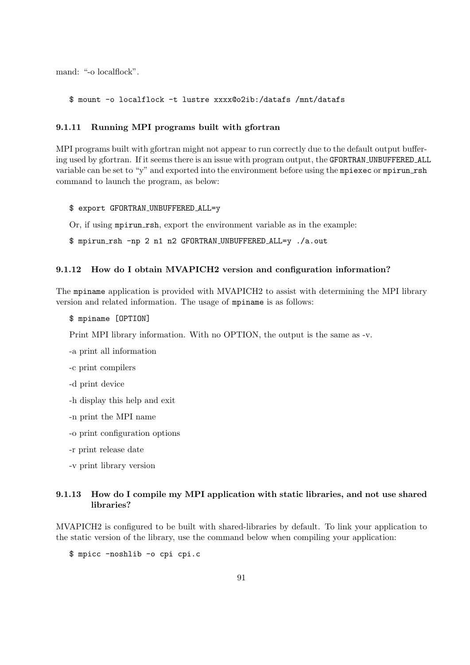mand: "-o localflock".

\$ mount -o localflock -t lustre xxxx@o2ib:/datafs /mnt/datafs

#### 9.1.11 Running MPI programs built with gfortran

MPI programs built with gfortran might not appear to run correctly due to the default output buffering used by gfortran. If it seems there is an issue with program output, the GFORTRAN UNBUFFERED ALL variable can be set to "y" and exported into the environment before using the mpiexec or mpirun rsh command to launch the program, as below:

\$ export GFORTRAN UNBUFFERED ALL=y

Or, if using mpirun\_rsh, export the environment variable as in the example:

\$ mpirun rsh -np 2 n1 n2 GFORTRAN UNBUFFERED ALL=y ./a.out

#### 9.1.12 How do I obtain MVAPICH2 version and configuration information?

The mpiname application is provided with MVAPICH2 to assist with determining the MPI library version and related information. The usage of mpiname is as follows:

\$ mpiname [OPTION]

Print MPI library information. With no OPTION, the output is the same as -v.

- -a print all information
- -c print compilers
- -d print device
- -h display this help and exit
- -n print the MPI name
- -o print configuration options
- -r print release date
- -v print library version

# 9.1.13 How do I compile my MPI application with static libraries, and not use shared libraries?

MVAPICH2 is configured to be built with shared-libraries by default. To link your application to the static version of the library, use the command below when compiling your application:

\$ mpicc -noshlib -o cpi cpi.c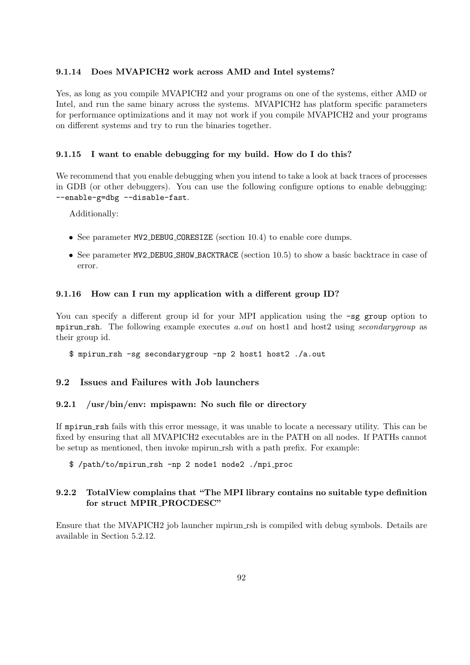#### 9.1.14 Does MVAPICH2 work across AMD and Intel systems?

Yes, as long as you compile MVAPICH2 and your programs on one of the systems, either AMD or Intel, and run the same binary across the systems. MVAPICH2 has platform specific parameters for performance optimizations and it may not work if you compile MVAPICH2 and your programs on different systems and try to run the binaries together.

# 9.1.15 I want to enable debugging for my build. How do I do this?

We recommend that you enable debugging when you intend to take a look at back traces of processes in GDB (or other debuggers). You can use the following configure options to enable debugging: --enable-g=dbg --disable-fast.

Additionally:

- See parameter MV2 DEBUG CORESIZE (section [10.4\)](#page-106-0) to enable core dumps.
- See parameter MV2 DEBUG SHOW BACKTRACE (section [10.5\)](#page-107-0) to show a basic backtrace in case of error.

#### 9.1.16 How can I run my application with a different group ID?

You can specify a different group id for your MPI application using the  $-$ sg group option to mpirun rsh. The following example executes a.out on host1 and host2 using secondary group as their group id.

\$ mpirun rsh -sg secondarygroup -np 2 host1 host2 ./a.out

# 9.2 Issues and Failures with Job launchers

#### 9.2.1 /usr/bin/env: mpispawn: No such file or directory

If mpirun rsh fails with this error message, it was unable to locate a necessary utility. This can be fixed by ensuring that all MVAPICH2 executables are in the PATH on all nodes. If PATHs cannot be setup as mentioned, then invoke mpirun rsh with a path prefix. For example:

\$ /path/to/mpirun rsh -np 2 node1 node2 ./mpi proc

# 9.2.2 TotalView complains that "The MPI library contains no suitable type definition for struct MPIR PROCDESC"

Ensure that the MVAPICH2 job launcher mpirun rsh is compiled with debug symbols. Details are available in Section [5.2.12.](#page-46-0)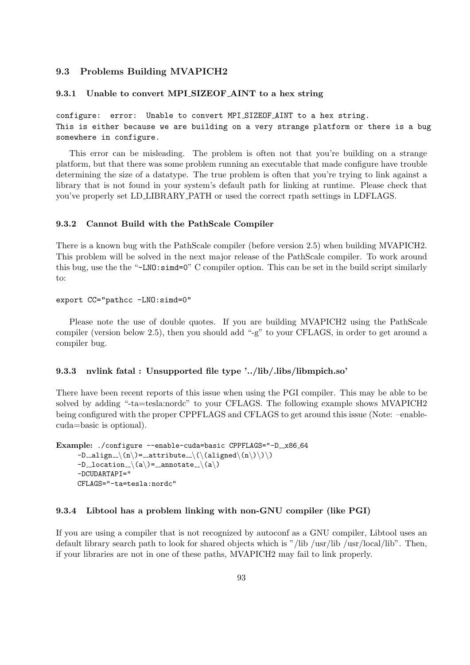#### 9.3 Problems Building MVAPICH2

#### 9.3.1 Unable to convert MPI SIZEOF AINT to a hex string

configure: error: Unable to convert MPI SIZEOF AINT to a hex string. This is either because we are building on a very strange platform or there is a bug somewhere in configure.

This error can be misleading. The problem is often not that you're building on a strange platform, but that there was some problem running an executable that made configure have trouble determining the size of a datatype. The true problem is often that you're trying to link against a library that is not found in your system's default path for linking at runtime. Please check that you've properly set LD LIBRARY PATH or used the correct rpath settings in LDFLAGS.

#### 9.3.2 Cannot Build with the PathScale Compiler

There is a known bug with the PathScale compiler (before version 2.5) when building MVAPICH2. This problem will be solved in the next major release of the PathScale compiler. To work around this bug, use the the "-LNO:simd=0" C compiler option. This can be set in the build script similarly to:

```
export CC="pathcc -LNO:simd=0"
```
Please note the use of double quotes. If you are building MVAPICH2 using the PathScale compiler (version below 2.5), then you should add "-g" to your CFLAGS, in order to get around a compiler bug.

#### 9.3.3 nvlink fatal : Unsupported file type '../lib/.libs/libmpich.so'

There have been recent reports of this issue when using the PGI compiler. This may be able to be solved by adding "-ta=tesla:nordc" to your CFLAGS. The following example shows MVAPICH2 being configured with the proper CPPFLAGS and CFLAGS to get around this issue (Note: –enablecuda=basic is optional).

```
Example: ./configure --enable-cuda=basic CPPFLAGS="-D_x86_64
      -D_align \(n\) = _attribute \(\(aligned\(n\)\)\)
      -D<sub>-1</sub>ocation<sub>--</sub>\langle(a\rangle) = __annotate<sub>--</sub>\langle(a\rangle)
      -DCUDARTAPI="
      CFLAGS="-ta=tesla:nordc"
```
#### 9.3.4 Libtool has a problem linking with non-GNU compiler (like PGI)

If you are using a compiler that is not recognized by autoconf as a GNU compiler, Libtool uses an default library search path to look for shared objects which is "/lib /usr/lib /usr/local/lib". Then, if your libraries are not in one of these paths, MVAPICH2 may fail to link properly.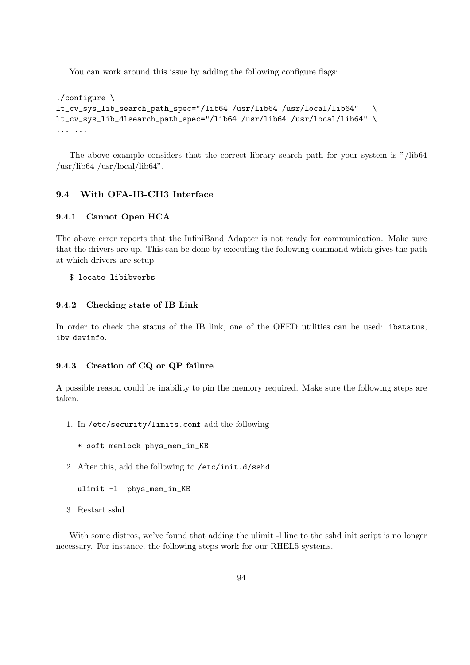You can work around this issue by adding the following configure flags:

```
./configure \
lt_cv_sys_lib_search_path_spec="/lib64 /usr/lib64 /usr/local/lib64" \
lt_cv_sys_lib_dlsearch_path_spec="/lib64 /usr/lib64 /usr/local/lib64" \
... ...
```
The above example considers that the correct library search path for your system is "/lib64  $\frac{\text{w}}{\text{w}}$ /lib $64 \frac{\text{w}}{\text{w}}$ /local/lib $64$ ".

# 9.4 With OFA-IB-CH3 Interface

#### 9.4.1 Cannot Open HCA

The above error reports that the InfiniBand Adapter is not ready for communication. Make sure that the drivers are up. This can be done by executing the following command which gives the path at which drivers are setup.

#### \$ locate libibverbs

#### 9.4.2 Checking state of IB Link

In order to check the status of the IB link, one of the OFED utilities can be used: ibstatus, ibv devinfo.

#### 9.4.3 Creation of CQ or QP failure

A possible reason could be inability to pin the memory required. Make sure the following steps are taken.

- 1. In /etc/security/limits.conf add the following
	- \* soft memlock phys\_mem\_in\_KB
- 2. After this, add the following to /etc/init.d/sshd

```
ulimit -l phys_mem_in_KB
```
3. Restart sshd

With some distros, we've found that adding the ulimit  $-1$  line to the sshd init script is no longer necessary. For instance, the following steps work for our RHEL5 systems.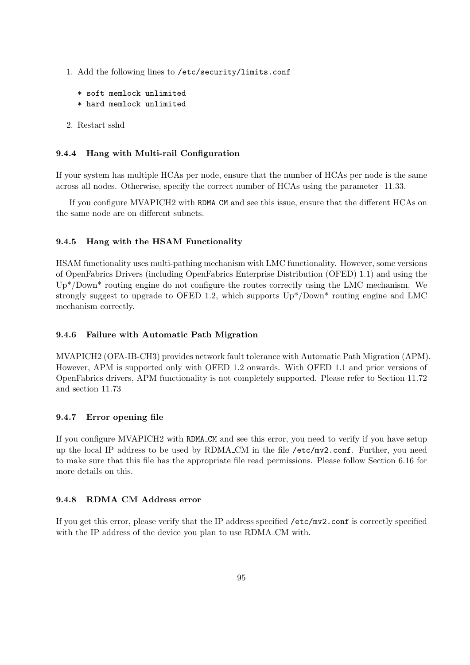- 1. Add the following lines to /etc/security/limits.conf
	- \* soft memlock unlimited \* hard memlock unlimited
- 
- 2. Restart sshd

# 9.4.4 Hang with Multi-rail Configuration

If your system has multiple HCAs per node, ensure that the number of HCAs per node is the same across all nodes. Otherwise, specify the correct number of HCAs using the parameter [11.33.](#page-117-0)

If you configure MVAPICH2 with RDMA CM and see this issue, ensure that the different HCAs on the same node are on different subnets.

# 9.4.5 Hang with the HSAM Functionality

HSAM functionality uses multi-pathing mechanism with LMC functionality. However, some versions of OpenFabrics Drivers (including OpenFabrics Enterprise Distribution (OFED) 1.1) and using the Up\*/Down\* routing engine do not configure the routes correctly using the LMC mechanism. We strongly suggest to upgrade to OFED 1.2, which supports  $Up<sup>*</sup> / Down<sup>*</sup>$  routing engine and LMC mechanism correctly.

# 9.4.6 Failure with Automatic Path Migration

MVAPICH2 (OFA-IB-CH3) provides network fault tolerance with Automatic Path Migration (APM). However, APM is supported only with OFED 1.2 onwards. With OFED 1.1 and prior versions of OpenFabrics drivers, APM functionality is not completely supported. Please refer to Section [11.72](#page-126-1) and section [11.73](#page-127-1)

# 9.4.7 Error opening file

If you configure MVAPICH2 with RDMA CM and see this error, you need to verify if you have setup up the local IP address to be used by RDMA CM in the file /etc/mv2.conf. Further, you need to make sure that this file has the appropriate file read permissions. Please follow Section [6.16](#page-70-0) for more details on this.

# 9.4.8 RDMA CM Address error

If you get this error, please verify that the IP address specified /etc/mv2.conf is correctly specified with the IP address of the device you plan to use RDMA\_CM with.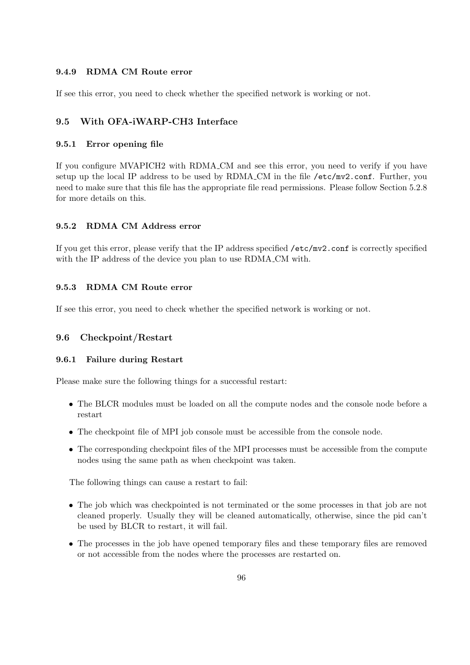#### 9.4.9 RDMA CM Route error

If see this error, you need to check whether the specified network is working or not.

#### 9.5 With OFA-iWARP-CH3 Interface

#### 9.5.1 Error opening file

If you configure MVAPICH2 with RDMA CM and see this error, you need to verify if you have setup up the local IP address to be used by RDMA CM in the file /etc/mv2.conf. Further, you need to make sure that this file has the appropriate file read permissions. Please follow Section [5.2.8](#page-44-0) for more details on this.

#### 9.5.2 RDMA CM Address error

If you get this error, please verify that the IP address specified /etc/mv2.conf is correctly specified with the IP address of the device you plan to use RDMA\_CM with.

#### 9.5.3 RDMA CM Route error

If see this error, you need to check whether the specified network is working or not.

#### 9.6 Checkpoint/Restart

#### 9.6.1 Failure during Restart

Please make sure the following things for a successful restart:

- The BLCR modules must be loaded on all the compute nodes and the console node before a restart
- The checkpoint file of MPI job console must be accessible from the console node.
- The corresponding checkpoint files of the MPI processes must be accessible from the compute nodes using the same path as when checkpoint was taken.

The following things can cause a restart to fail:

- The job which was checkpointed is not terminated or the some processes in that job are not cleaned properly. Usually they will be cleaned automatically, otherwise, since the pid can't be used by BLCR to restart, it will fail.
- The processes in the job have opened temporary files and these temporary files are removed or not accessible from the nodes where the processes are restarted on.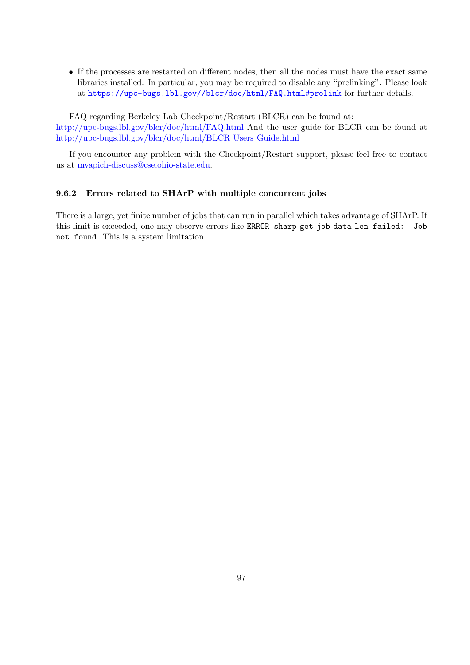• If the processes are restarted on different nodes, then all the nodes must have the exact same libraries installed. In particular, you may be required to disable any "prelinking". Please look at <https://upc-bugs.lbl.gov//blcr/doc/html/FAQ.html#prelink> for further details.

FAQ regarding Berkeley Lab Checkpoint/Restart (BLCR) can be found at: <http://upc-bugs.lbl.gov/blcr/doc/html/FAQ.html> And the user guide for BLCR can be found at [http://upc-bugs.lbl.gov/blcr/doc/html/BLCR](http://upc-bugs.lbl.gov/blcr/doc/html/BLCR_Users_Guide.html) Users Guide.html

If you encounter any problem with the Checkpoint/Restart support, please feel free to contact us at [mvapich-discuss@cse.ohio-state.edu.](mailto:mvapich-discuss@cse.ohio-state.edu)

### 9.6.2 Errors related to SHArP with multiple concurrent jobs

There is a large, yet finite number of jobs that can run in parallel which takes advantage of SHArP. If this limit is exceeded, one may observe errors like ERROR sharp get job data len failed: Job not found. This is a system limitation.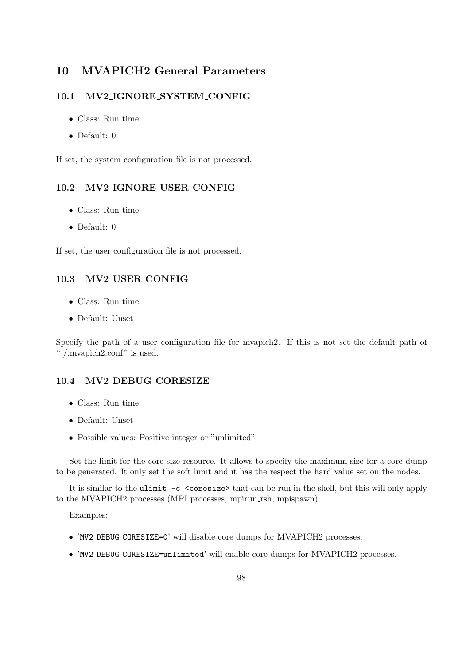# 10 MVAPICH2 General Parameters

# 10.1 MV2 IGNORE SYSTEM CONFIG

- Class: Run time
- Default:  $0$

If set, the system configuration file is not processed.

# 10.2 MV2 IGNORE USER CONFIG

- Class: Run time
- Default: 0

If set, the user configuration file is not processed.

#### 10.3 MV2 USER CONFIG

- Class: Run time
- Default: Unset

Specify the path of a user configuration file for mvapich2. If this is not set the default path of " /.mvapich2.conf" is used.

#### <span id="page-106-0"></span>10.4 MV2 DEBUG CORESIZE

- Class: Run time
- Default: Unset
- Possible values: Positive integer or "unlimited"

Set the limit for the core size resource. It allows to specify the maximum size for a core dump to be generated. It only set the soft limit and it has the respect the hard value set on the nodes.

It is similar to the ulimit -c <coresize> that can be run in the shell, but this will only apply to the MVAPICH2 processes (MPI processes, mpirun rsh, mpispawn).

Examples:

- 'MV2 DEBUG CORESIZE=0' will disable core dumps for MVAPICH2 processes.
- 'MV2 DEBUG CORESIZE=unlimited' will enable core dumps for MVAPICH2 processes.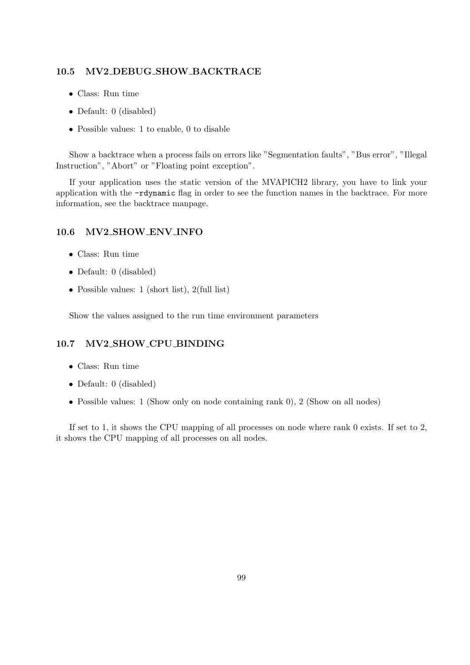#### <span id="page-107-0"></span>10.5 MV2 DEBUG SHOW BACKTRACE

- Class: Run time
- Default: 0 (disabled)
- Possible values: 1 to enable, 0 to disable

Show a backtrace when a process fails on errors like "Segmentation faults", "Bus error", "Illegal Instruction", "Abort" or "Floating point exception".

If your application uses the static version of the MVAPICH2 library, you have to link your application with the -rdynamic flag in order to see the function names in the backtrace. For more information, see the backtrace manpage.

# 10.6 MV2 SHOW ENV INFO

- Class: Run time
- Default: 0 (disabled)
- Possible values: 1 (short list), 2(full list)

Show the values assigned to the run time environment parameters

# 10.7 MV2 SHOW CPU BINDING

- Class: Run time
- Default: 0 (disabled)
- Possible values: 1 (Show only on node containing rank 0), 2 (Show on all nodes)

If set to 1, it shows the CPU mapping of all processes on node where rank 0 exists. If set to 2, it shows the CPU mapping of all processes on all nodes.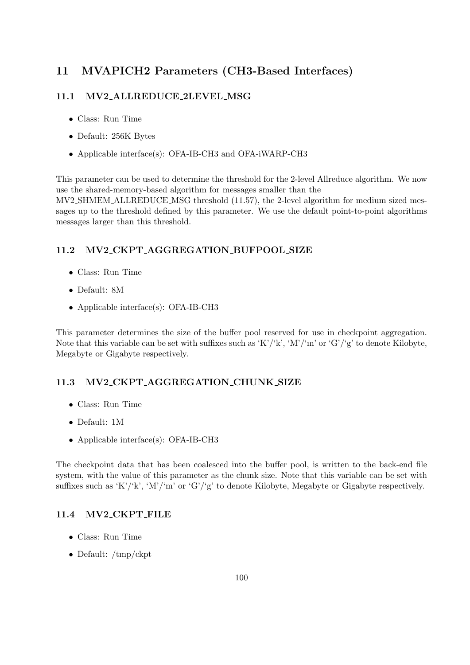# 11 MVAPICH2 Parameters (CH3-Based Interfaces)

### 11.1 MV2 ALLREDUCE 2LEVEL MSG

- Class: Run Time
- Default: 256K Bytes
- Applicable interface(s): OFA-IB-CH3 and OFA-iWARP-CH3

This parameter can be used to determine the threshold for the 2-level Allreduce algorithm. We now use the shared-memory-based algorithm for messages smaller than the MV2 SHMEM ALLREDUCE MSG threshold [\(11.57\)](#page-123-0), the 2-level algorithm for medium sized messages up to the threshold defined by this parameter. We use the default point-to-point algorithms messages larger than this threshold.

### 11.2 MV2 CKPT AGGREGATION BUFPOOL SIZE

- Class: Run Time
- Default: 8M
- Applicable interface(s): OFA-IB-CH3

This parameter determines the size of the buffer pool reserved for use in checkpoint aggregation. Note that this variable can be set with suffixes such as 'K'/'k', 'M'/'m' or 'G'/'g' to denote Kilobyte, Megabyte or Gigabyte respectively.

### 11.3 MV2 CKPT AGGREGATION CHUNK SIZE

- Class: Run Time
- Default: 1M
- Applicable interface(s): OFA-IB-CH3

The checkpoint data that has been coalesced into the buffer pool, is written to the back-end file system, with the value of this parameter as the chunk size. Note that this variable can be set with suffixes such as 'K'/'k', 'M'/'m' or 'G'/'g' to denote Kilobyte, Megabyte or Gigabyte respectively.

### 11.4 MV2 CKPT FILE

- Class: Run Time
- Default: /tmp/ckpt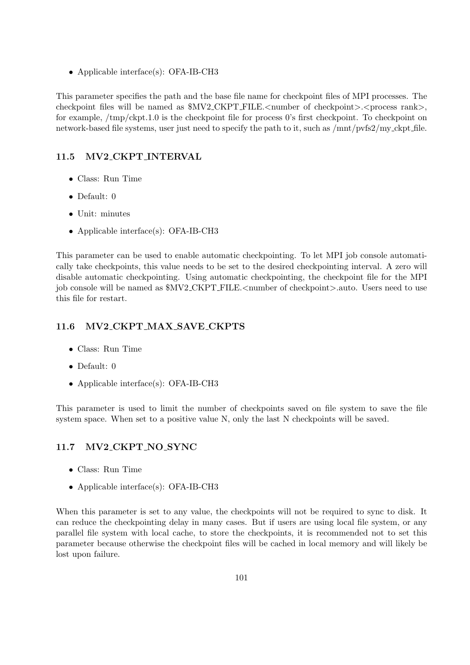• Applicable interface(s): OFA-IB-CH3

This parameter specifies the path and the base file name for checkpoint files of MPI processes. The checkpoint files will be named as  $MV2$ -CKPT-FILE.<number of checkpoint>.<process rank>, for example, /tmp/ckpt.1.0 is the checkpoint file for process 0's first checkpoint. To checkpoint on network-based file systems, user just need to specify the path to it, such as /mnt/pvfs2/my ckpt file.

# 11.5 MV2 CKPT INTERVAL

- Class: Run Time
- Default: 0
- Unit: minutes
- Applicable interface(s): OFA-IB-CH3

This parameter can be used to enable automatic checkpointing. To let MPI job console automatically take checkpoints, this value needs to be set to the desired checkpointing interval. A zero will disable automatic checkpointing. Using automatic checkpointing, the checkpoint file for the MPI job console will be named as  $MV2$ -CKPT-FILE.<number of checkpoint>.auto. Users need to use this file for restart.

# 11.6 MV2 CKPT MAX SAVE CKPTS

- Class: Run Time
- Default: 0
- Applicable interface(s): OFA-IB-CH3

This parameter is used to limit the number of checkpoints saved on file system to save the file system space. When set to a positive value N, only the last N checkpoints will be saved.

# 11.7 MV2 CKPT NO SYNC

- Class: Run Time
- Applicable interface(s): OFA-IB-CH3

When this parameter is set to any value, the checkpoints will not be required to sync to disk. It can reduce the checkpointing delay in many cases. But if users are using local file system, or any parallel file system with local cache, to store the checkpoints, it is recommended not to set this parameter because otherwise the checkpoint files will be cached in local memory and will likely be lost upon failure.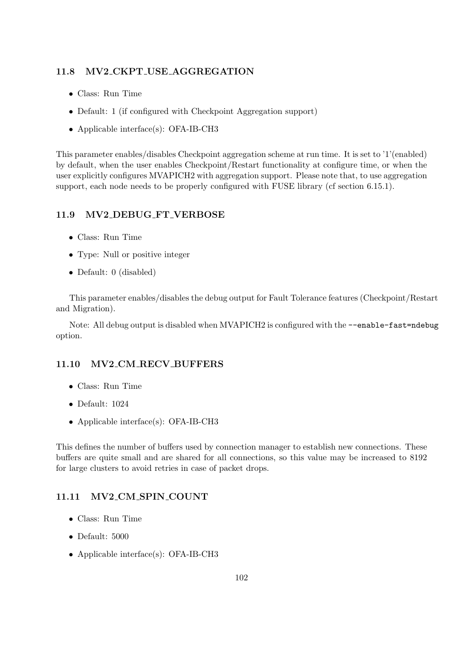#### 11.8 MV2 CKPT USE AGGREGATION

- Class: Run Time
- Default: 1 (if configured with Checkpoint Aggregation support)
- Applicable interface(s): OFA-IB-CH3

This parameter enables/disables Checkpoint aggregation scheme at run time. It is set to '1'(enabled) by default, when the user enables Checkpoint/Restart functionality at configure time, or when the user explicitly configures MVAPICH2 with aggregation support. Please note that, to use aggregation support, each node needs to be properly configured with FUSE library (cf section [6.15.1\)](#page-64-0).

### 11.9 MV2 DEBUG FT VERBOSE

- Class: Run Time
- Type: Null or positive integer
- Default: 0 (disabled)

This parameter enables/disables the debug output for Fault Tolerance features (Checkpoint/Restart and Migration).

Note: All debug output is disabled when MVAPICH2 is configured with the --enable-fast=ndebug option.

#### 11.10 MV2 CM RECV BUFFERS

- Class: Run Time
- Default: 1024
- Applicable interface(s): OFA-IB-CH3

This defines the number of buffers used by connection manager to establish new connections. These buffers are quite small and are shared for all connections, so this value may be increased to 8192 for large clusters to avoid retries in case of packet drops.

#### 11.11 MV2 CM SPIN COUNT

- Class: Run Time
- Default: 5000
- Applicable interface(s): OFA-IB-CH3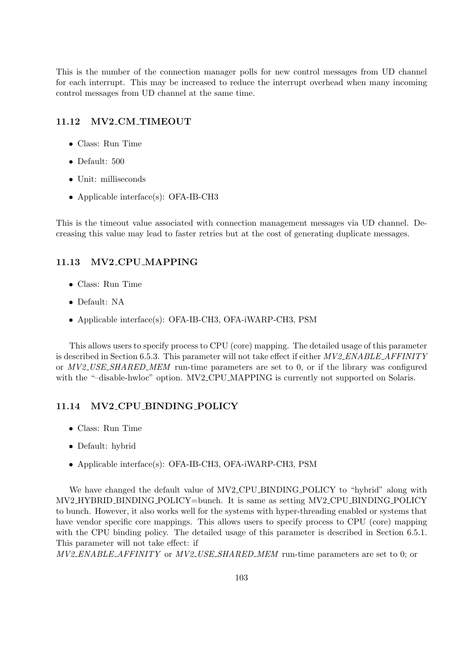This is the number of the connection manager polls for new control messages from UD channel for each interrupt. This may be increased to reduce the interrupt overhead when many incoming control messages from UD channel at the same time.

#### 11.12 MV2 CM TIMEOUT

- Class: Run Time
- Default: 500
- Unit: milliseconds
- Applicable interface(s): OFA-IB-CH3

This is the timeout value associated with connection management messages via UD channel. Decreasing this value may lead to faster retries but at the cost of generating duplicate messages.

#### 11.13 MV2 CPU MAPPING

- Class: Run Time
- Default: NA
- Applicable interface(s): OFA-IB-CH3, OFA-iWARP-CH3, PSM

This allows users to specify process to CPU (core) mapping. The detailed usage of this parameter is described in Section [6.5.3.](#page-54-0) This parameter will not take effect if either  $MV2$  ENABLE AFFINITY or MV2 USE SHARED MEM run-time parameters are set to 0, or if the library was configured with the "-disable-hwloc" option. MV2\_CPU\_MAPPING is currently not supported on Solaris.

### 11.14 MV2 CPU BINDING POLICY

- Class: Run Time
- Default: hybrid
- Applicable interface(s): OFA-IB-CH3, OFA-iWARP-CH3, PSM

We have changed the default value of MV2 CPU BINDING POLICY to "hybrid" along with MV2 HYBRID BINDING POLICY=bunch. It is same as setting MV2 CPU BINDING POLICY to bunch. However, it also works well for the systems with hyper-threading enabled or systems that have vendor specific core mappings. This allows users to specify process to CPU (core) mapping with the CPU binding policy. The detailed usage of this parameter is described in Section [6.5.1.](#page-51-0) This parameter will not take effect: if

MV2 ENABLE AFFINITY or MV2 USE SHARED MEM run-time parameters are set to 0; or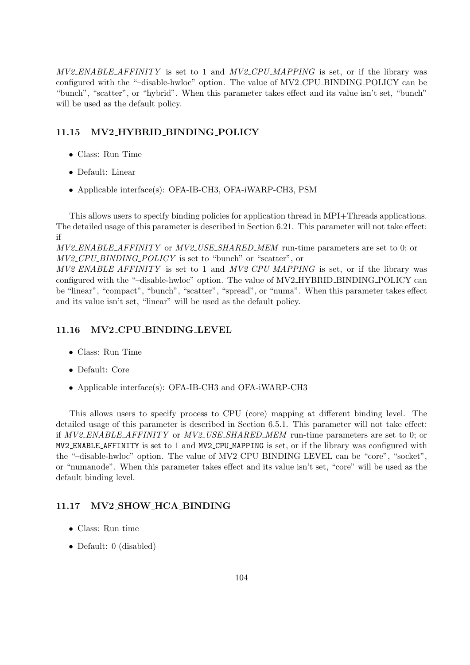$MV2$  ENABLE AFFINITY is set to 1 and  $MV2$  CPU MAPPING is set, or if the library was configured with the "–disable-hwloc" option. The value of MV2 CPU BINDING POLICY can be "bunch", "scatter", or "hybrid". When this parameter takes effect and its value isn't set, "bunch" will be used as the default policy.

## 11.15 MV2 HYBRID BINDING POLICY

- Class: Run Time
- Default: Linear
- Applicable interface(s): OFA-IB-CH3, OFA-iWARP-CH3, PSM

This allows users to specify binding policies for application thread in MPI+Threads applications. The detailed usage of this parameter is described in Section [6.21.](#page-72-0) This parameter will not take effect: if

MV2 ENABLE AFFINITY or MV2 USE SHARED MEM run-time parameters are set to 0; or MV2\_CPU\_BINDING\_POLICY is set to "bunch" or "scatter", or

 $MV2$  ENABLE AFFINITY is set to 1 and  $MV2$  CPU MAPPING is set, or if the library was configured with the "-disable-hwloc" option. The value of MV2\_HYBRID\_BINDING\_POLICY can be "linear", "compact", "bunch", "scatter", "spread", or "numa". When this parameter takes effect and its value isn't set, "linear" will be used as the default policy.

#### 11.16 MV2 CPU BINDING LEVEL

- Class: Run Time
- Default: Core
- Applicable interface(s): OFA-IB-CH3 and OFA-iWARP-CH3

This allows users to specify process to CPU (core) mapping at different binding level. The detailed usage of this parameter is described in Section [6.5.1.](#page-51-0) This parameter will not take effect: if MV2\_ENABLE\_AFFINITY or MV2\_USE\_SHARED\_MEM run-time parameters are set to 0; or MV2 ENABLE AFFINITY is set to 1 and MV2 CPU MAPPING is set, or if the library was configured with the "–disable-hwloc" option. The value of MV2 CPU BINDING LEVEL can be "core", "socket", or "numanode". When this parameter takes effect and its value isn't set, "core" will be used as the default binding level.

### 11.17 MV2 SHOW HCA BINDING

- Class: Run time
- Default: 0 (disabled)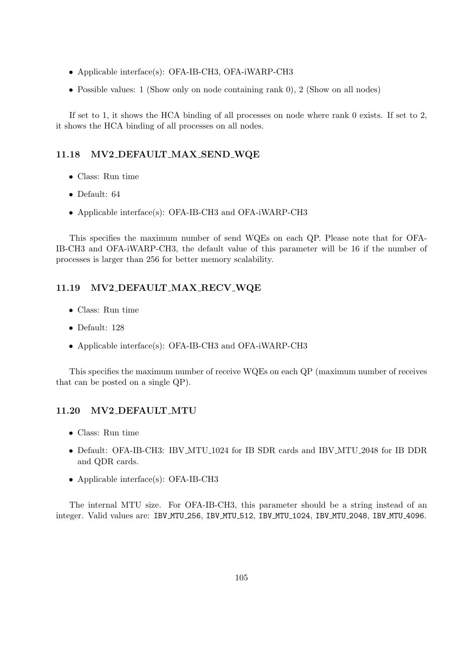- Applicable interface(s): OFA-IB-CH3, OFA-iWARP-CH3
- Possible values: 1 (Show only on node containing rank 0), 2 (Show on all nodes)

If set to 1, it shows the HCA binding of all processes on node where rank 0 exists. If set to 2, it shows the HCA binding of all processes on all nodes.

#### 11.18 MV2 DEFAULT MAX SEND WQE

- Class: Run time
- Default: 64
- Applicable interface(s): OFA-IB-CH3 and OFA-iWARP-CH3

This specifies the maximum number of send WQEs on each QP. Please note that for OFA-IB-CH3 and OFA-iWARP-CH3, the default value of this parameter will be 16 if the number of processes is larger than 256 for better memory scalability.

#### 11.19 MV2 DEFAULT MAX RECV WQE

- Class: Run time
- Default: 128
- Applicable interface(s): OFA-IB-CH3 and OFA-iWARP-CH3

This specifies the maximum number of receive WQEs on each QP (maximum number of receives that can be posted on a single QP).

### 11.20 MV2 DEFAULT MTU

- Class: Run time
- Default: OFA-IB-CH3: IBV MTU 1024 for IB SDR cards and IBV MTU 2048 for IB DDR and QDR cards.
- Applicable interface(s): OFA-IB-CH3

The internal MTU size. For OFA-IB-CH3, this parameter should be a string instead of an integer. Valid values are: IBV MTU 256, IBV MTU 512, IBV MTU 1024, IBV MTU 2048, IBV MTU 4096.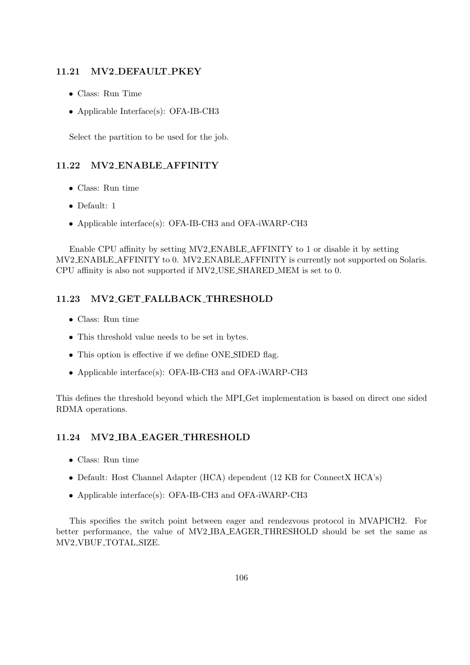#### 11.21 MV2 DEFAULT PKEY

- Class: Run Time
- Applicable Interface(s): OFA-IB-CH3

Select the partition to be used for the job.

## 11.22 MV2 ENABLE AFFINITY

- Class: Run time
- Default: 1
- Applicable interface(s): OFA-IB-CH3 and OFA-iWARP-CH3

Enable CPU affinity by setting MV2 ENABLE AFFINITY to 1 or disable it by setting MV2 ENABLE AFFINITY to 0. MV2 ENABLE AFFINITY is currently not supported on Solaris. CPU affinity is also not supported if MV2 USE SHARED MEM is set to 0.

### 11.23 MV2 GET FALLBACK THRESHOLD

- Class: Run time
- This threshold value needs to be set in bytes.
- This option is effective if we define ONE SIDED flag.
- Applicable interface(s): OFA-IB-CH3 and OFA-iWARP-CH3

This defines the threshold beyond which the MPI Get implementation is based on direct one sided RDMA operations.

## 11.24 MV2 IBA EAGER THRESHOLD

- Class: Run time
- Default: Host Channel Adapter (HCA) dependent (12 KB for ConnectX HCA's)
- Applicable interface(s): OFA-IB-CH3 and OFA-iWARP-CH3

This specifies the switch point between eager and rendezvous protocol in MVAPICH2. For better performance, the value of MV2 IBA EAGER THRESHOLD should be set the same as MV2 VBUF TOTAL SIZE.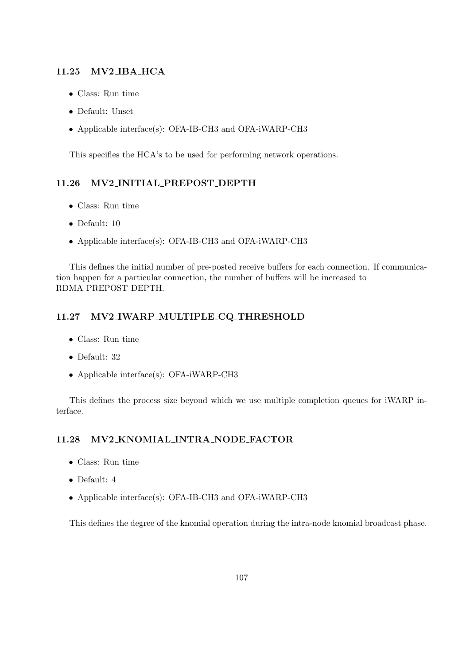#### 11.25 MV2 IBA HCA

- Class: Run time
- Default: Unset
- Applicable interface(s): OFA-IB-CH3 and OFA-iWARP-CH3

This specifies the HCA's to be used for performing network operations.

#### 11.26 MV2 INITIAL PREPOST DEPTH

- Class: Run time
- Default: 10
- Applicable interface(s): OFA-IB-CH3 and OFA-iWARP-CH3

This defines the initial number of pre-posted receive buffers for each connection. If communication happen for a particular connection, the number of buffers will be increased to RDMA PREPOST DEPTH.

### 11.27 MV2 IWARP MULTIPLE CQ THRESHOLD

- Class: Run time
- Default: 32
- Applicable interface(s): OFA-iWARP-CH3

This defines the process size beyond which we use multiple completion queues for iWARP interface.

## 11.28 MV2 KNOMIAL INTRA NODE FACTOR

- Class: Run time
- Default: 4
- Applicable interface(s): OFA-IB-CH3 and OFA-iWARP-CH3

This defines the degree of the knomial operation during the intra-node knomial broadcast phase.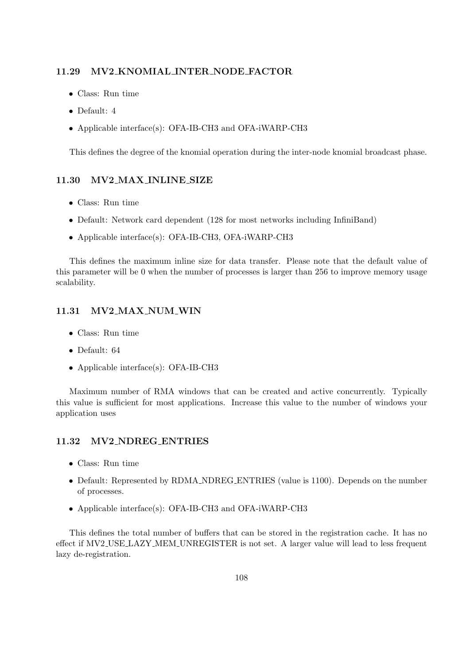#### 11.29 MV2 KNOMIAL INTER NODE FACTOR

- Class: Run time
- Default: 4
- Applicable interface(s): OFA-IB-CH3 and OFA-iWARP-CH3

This defines the degree of the knomial operation during the inter-node knomial broadcast phase.

## 11.30 MV2 MAX INLINE SIZE

- Class: Run time
- Default: Network card dependent (128 for most networks including InfiniBand)
- Applicable interface(s): OFA-IB-CH3, OFA-iWARP-CH3

This defines the maximum inline size for data transfer. Please note that the default value of this parameter will be 0 when the number of processes is larger than 256 to improve memory usage scalability.

### 11.31 MV2 MAX NUM WIN

- Class: Run time
- Default: 64
- Applicable interface(s): OFA-IB-CH3

Maximum number of RMA windows that can be created and active concurrently. Typically this value is sufficient for most applications. Increase this value to the number of windows your application uses

#### 11.32 MV2 NDREG ENTRIES

- Class: Run time
- Default: Represented by RDMA NDREG ENTRIES (value is 1100). Depends on the number of processes.
- Applicable interface(s): OFA-IB-CH3 and OFA-iWARP-CH3

This defines the total number of buffers that can be stored in the registration cache. It has no effect if MV2 USE LAZY MEM UNREGISTER is not set. A larger value will lead to less frequent lazy de-registration.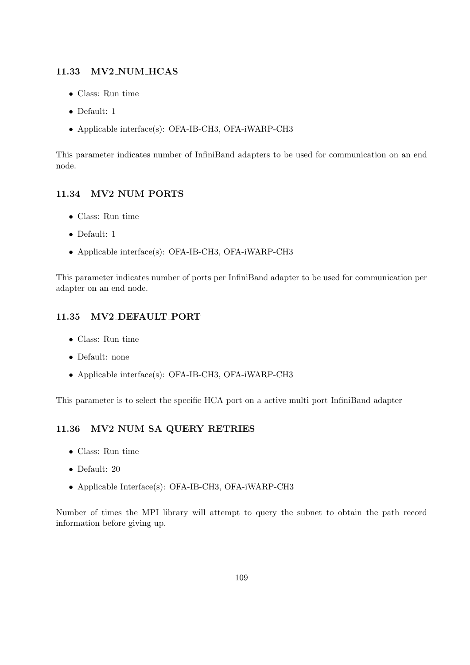## 11.33 MV2 NUM HCAS

- Class: Run time
- Default: 1
- Applicable interface(s): OFA-IB-CH3, OFA-iWARP-CH3

This parameter indicates number of InfiniBand adapters to be used for communication on an end node.

## 11.34 MV2 NUM PORTS

- Class: Run time
- Default: 1
- Applicable interface(s): OFA-IB-CH3, OFA-iWARP-CH3

This parameter indicates number of ports per InfiniBand adapter to be used for communication per adapter on an end node.

## 11.35 MV2 DEFAULT PORT

- Class: Run time
- Default: none
- Applicable interface(s): OFA-IB-CH3, OFA-iWARP-CH3

This parameter is to select the specific HCA port on a active multi port InfiniBand adapter

## 11.36 MV2 NUM SA QUERY RETRIES

- Class: Run time
- Default: 20
- Applicable Interface(s): OFA-IB-CH3, OFA-iWARP-CH3

Number of times the MPI library will attempt to query the subnet to obtain the path record information before giving up.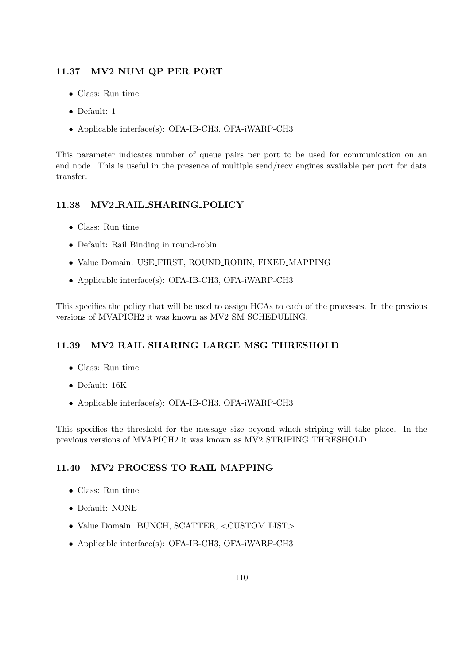## 11.37 MV2 NUM QP PER PORT

- Class: Run time
- Default: 1
- Applicable interface(s): OFA-IB-CH3, OFA-iWARP-CH3

This parameter indicates number of queue pairs per port to be used for communication on an end node. This is useful in the presence of multiple send/recv engines available per port for data transfer.

## 11.38 MV2 RAIL SHARING POLICY

- Class: Run time
- Default: Rail Binding in round-robin
- Value Domain: USE FIRST, ROUND ROBIN, FIXED MAPPING
- Applicable interface(s): OFA-IB-CH3, OFA-iWARP-CH3

This specifies the policy that will be used to assign HCAs to each of the processes. In the previous versions of MVAPICH2 it was known as MV2 SM SCHEDULING.

# 11.39 MV2 RAIL SHARING LARGE MSG THRESHOLD

- Class: Run time
- Default: 16K
- Applicable interface(s): OFA-IB-CH3, OFA-iWARP-CH3

This specifies the threshold for the message size beyond which striping will take place. In the previous versions of MVAPICH2 it was known as MV2 STRIPING THRESHOLD

# 11.40 MV2 PROCESS TO RAIL MAPPING

- Class: Run time
- Default: NONE
- Value Domain: BUNCH, SCATTER, <CUSTOM LIST>
- Applicable interface(s): OFA-IB-CH3, OFA-iWARP-CH3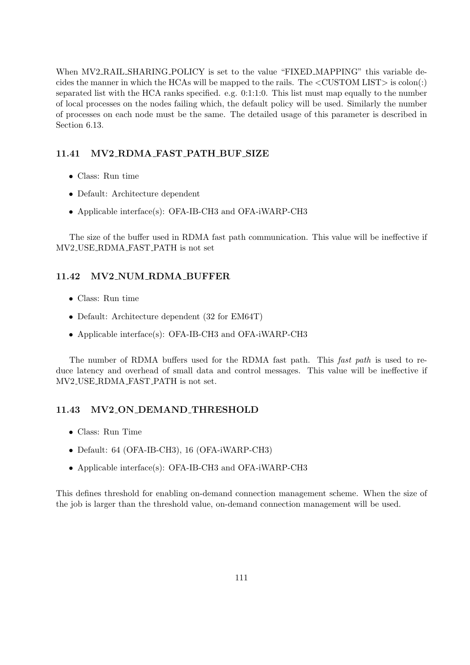When MV2 RAIL SHARING POLICY is set to the value "FIXED MAPPING" this variable decides the manner in which the HCAs will be mapped to the rails. The  $\langle$ CUSTOM LIST $\rangle$  is colon(:) separated list with the HCA ranks specified. e.g. 0:1:1:0. This list must map equally to the number of local processes on the nodes failing which, the default policy will be used. Similarly the number of processes on each node must be the same. The detailed usage of this parameter is described in Section [6.13.](#page-58-0)

#### 11.41 MV2 RDMA FAST PATH BUF SIZE

- Class: Run time
- Default: Architecture dependent
- Applicable interface(s): OFA-IB-CH3 and OFA-iWARP-CH3

The size of the buffer used in RDMA fast path communication. This value will be ineffective if MV2 USE RDMA FAST PATH is not set

#### 11.42 MV2 NUM RDMA BUFFER

- Class: Run time
- Default: Architecture dependent (32 for EM64T)
- Applicable interface(s): OFA-IB-CH3 and OFA-iWARP-CH3

The number of RDMA buffers used for the RDMA fast path. This fast path is used to reduce latency and overhead of small data and control messages. This value will be ineffective if MV2 USE RDMA FAST PATH is not set.

### 11.43 MV2 ON DEMAND THRESHOLD

- Class: Run Time
- Default: 64 (OFA-IB-CH3), 16 (OFA-iWARP-CH3)
- Applicable interface(s): OFA-IB-CH3 and OFA-iWARP-CH3

This defines threshold for enabling on-demand connection management scheme. When the size of the job is larger than the threshold value, on-demand connection management will be used.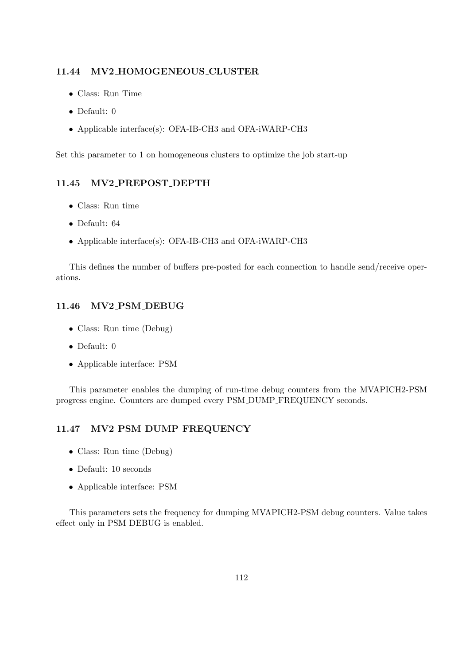#### 11.44 MV2 HOMOGENEOUS CLUSTER

- Class: Run Time
- Default: 0
- Applicable interface(s): OFA-IB-CH3 and OFA-iWARP-CH3

Set this parameter to 1 on homogeneous clusters to optimize the job start-up

#### 11.45 MV2 PREPOST DEPTH

- Class: Run time
- Default: 64
- Applicable interface(s): OFA-IB-CH3 and OFA-iWARP-CH3

This defines the number of buffers pre-posted for each connection to handle send/receive operations.

#### 11.46 MV2 PSM DEBUG

- Class: Run time (Debug)
- Default: 0
- Applicable interface: PSM

This parameter enables the dumping of run-time debug counters from the MVAPICH2-PSM progress engine. Counters are dumped every PSM DUMP FREQUENCY seconds.

#### 11.47 MV2 PSM DUMP FREQUENCY

- Class: Run time (Debug)
- Default: 10 seconds
- Applicable interface: PSM

This parameters sets the frequency for dumping MVAPICH2-PSM debug counters. Value takes effect only in PSM DEBUG is enabled.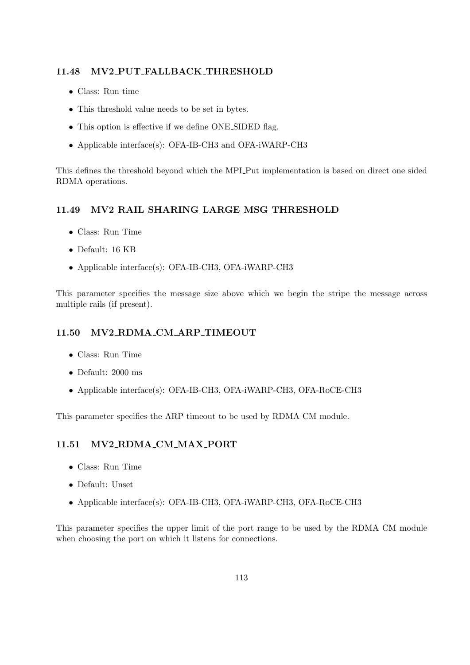#### 11.48 MV2 PUT FALLBACK THRESHOLD

- Class: Run time
- This threshold value needs to be set in bytes.
- This option is effective if we define ONE\_SIDED flag.
- Applicable interface(s): OFA-IB-CH3 and OFA-iWARP-CH3

This defines the threshold beyond which the MPI Put implementation is based on direct one sided RDMA operations.

#### 11.49 MV2 RAIL SHARING LARGE MSG THRESHOLD

- Class: Run Time
- Default: 16 KB
- Applicable interface(s): OFA-IB-CH3, OFA-iWARP-CH3

This parameter specifies the message size above which we begin the stripe the message across multiple rails (if present).

#### 11.50 MV2 RDMA CM ARP TIMEOUT

- Class: Run Time
- Default: 2000 ms
- Applicable interface(s): OFA-IB-CH3, OFA-iWARP-CH3, OFA-RoCE-CH3

This parameter specifies the ARP timeout to be used by RDMA CM module.

### 11.51 MV2 RDMA CM MAX PORT

- Class: Run Time
- Default: Unset
- Applicable interface(s): OFA-IB-CH3, OFA-iWARP-CH3, OFA-RoCE-CH3

This parameter specifies the upper limit of the port range to be used by the RDMA CM module when choosing the port on which it listens for connections.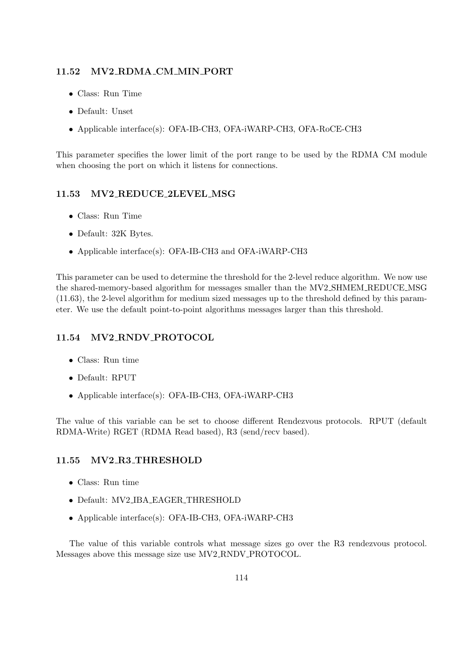### 11.52 MV2 RDMA CM MIN PORT

- Class: Run Time
- Default: Unset
- Applicable interface(s): OFA-IB-CH3, OFA-iWARP-CH3, OFA-RoCE-CH3

This parameter specifies the lower limit of the port range to be used by the RDMA CM module when choosing the port on which it listens for connections.

## 11.53 MV2 REDUCE 2LEVEL MSG

- Class: Run Time
- Default: 32K Bytes.
- Applicable interface(s): OFA-IB-CH3 and OFA-iWARP-CH3

This parameter can be used to determine the threshold for the 2-level reduce algorithm. We now use the shared-memory-based algorithm for messages smaller than the MV2 SHMEM REDUCE MSG [\(11.63\)](#page-124-0), the 2-level algorithm for medium sized messages up to the threshold defined by this parameter. We use the default point-to-point algorithms messages larger than this threshold.

### 11.54 MV2 RNDV PROTOCOL

- Class: Run time
- Default: RPUT
- Applicable interface(s): OFA-IB-CH3, OFA-iWARP-CH3

The value of this variable can be set to choose different Rendezvous protocols. RPUT (default RDMA-Write) RGET (RDMA Read based), R3 (send/recv based).

#### 11.55 MV2 R3 THRESHOLD

- Class: Run time
- Default: MV2 IBA EAGER THRESHOLD
- Applicable interface(s): OFA-IB-CH3, OFA-iWARP-CH3

The value of this variable controls what message sizes go over the R3 rendezvous protocol. Messages above this message size use MV2 RNDV PROTOCOL.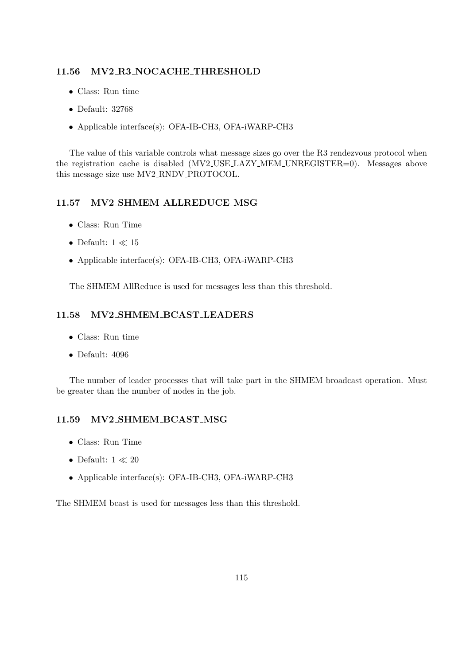### 11.56 MV2 R3 NOCACHE THRESHOLD

- Class: Run time
- Default: 32768
- Applicable interface(s): OFA-IB-CH3, OFA-iWARP-CH3

The value of this variable controls what message sizes go over the R3 rendezvous protocol when the registration cache is disabled (MV2\_USE\_LAZY\_MEM\_UNREGISTER=0). Messages above this message size use MV2 RNDV PROTOCOL.

### <span id="page-123-0"></span>11.57 MV2 SHMEM ALLREDUCE MSG

- Class: Run Time
- $\bullet\,$  Default:  $1\ll 15$
- Applicable interface(s): OFA-IB-CH3, OFA-iWARP-CH3

The SHMEM AllReduce is used for messages less than this threshold.

#### 11.58 MV2 SHMEM BCAST LEADERS

- Class: Run time
- Default: 4096

The number of leader processes that will take part in the SHMEM broadcast operation. Must be greater than the number of nodes in the job.

## 11.59 MV2 SHMEM BCAST MSG

- Class: Run Time
- $\bullet$  Default:  $1 \ll 20$
- Applicable interface(s): OFA-IB-CH3, OFA-iWARP-CH3

The SHMEM bcast is used for messages less than this threshold.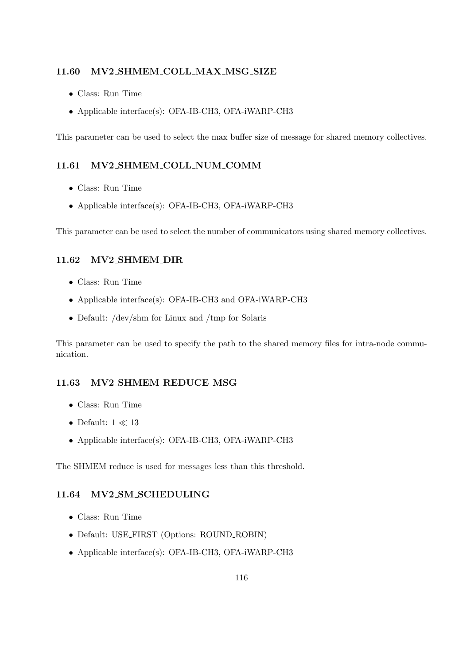#### 11.60 MV2 SHMEM COLL MAX MSG SIZE

- Class: Run Time
- Applicable interface(s): OFA-IB-CH3, OFA-iWARP-CH3

This parameter can be used to select the max buffer size of message for shared memory collectives.

### 11.61 MV2 SHMEM COLL NUM COMM

- Class: Run Time
- Applicable interface(s): OFA-IB-CH3, OFA-iWARP-CH3

This parameter can be used to select the number of communicators using shared memory collectives.

#### 11.62 MV2 SHMEM DIR

- Class: Run Time
- Applicable interface(s): OFA-IB-CH3 and OFA-iWARP-CH3
- Default: /dev/shm for Linux and /tmp for Solaris

This parameter can be used to specify the path to the shared memory files for intra-node communication.

#### <span id="page-124-0"></span>11.63 MV2 SHMEM REDUCE MSG

- Class: Run Time
- $\bullet\,$  Default:  $1\ll 13$
- Applicable interface(s): OFA-IB-CH3, OFA-iWARP-CH3

The SHMEM reduce is used for messages less than this threshold.

#### 11.64 MV2 SM SCHEDULING

- Class: Run Time
- Default: USE FIRST (Options: ROUND ROBIN)
- Applicable interface(s): OFA-IB-CH3, OFA-iWARP-CH3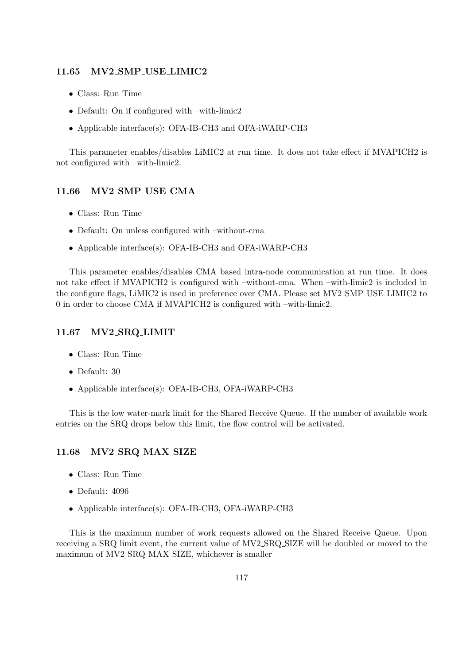#### 11.65 MV2 SMP USE LIMIC2

- Class: Run Time
- Default: On if configured with –with-limic2
- Applicable interface(s): OFA-IB-CH3 and OFA-iWARP-CH3

This parameter enables/disables LiMIC2 at run time. It does not take effect if MVAPICH2 is not configured with –with-limic2.

#### 11.66 MV2 SMP USE CMA

- Class: Run Time
- Default: On unless configured with –without-cma
- Applicable interface(s): OFA-IB-CH3 and OFA-iWARP-CH3

This parameter enables/disables CMA based intra-node communication at run time. It does not take effect if MVAPICH2 is configured with –without-cma. When –with-limic2 is included in the configure flags, LiMIC2 is used in preference over CMA. Please set MV2 SMP USE LIMIC2 to 0 in order to choose CMA if MVAPICH2 is configured with –with-limic2.

### 11.67 MV2 SRQ LIMIT

- Class: Run Time
- Default: 30
- Applicable interface(s): OFA-IB-CH3, OFA-iWARP-CH3

This is the low water-mark limit for the Shared Receive Queue. If the number of available work entries on the SRQ drops below this limit, the flow control will be activated.

#### 11.68 MV2 SRQ MAX SIZE

- Class: Run Time
- Default: 4096
- Applicable interface(s): OFA-IB-CH3, OFA-iWARP-CH3

This is the maximum number of work requests allowed on the Shared Receive Queue. Upon receiving a SRQ limit event, the current value of MV2 SRQ SIZE will be doubled or moved to the maximum of MV2 SRQ MAX SIZE, whichever is smaller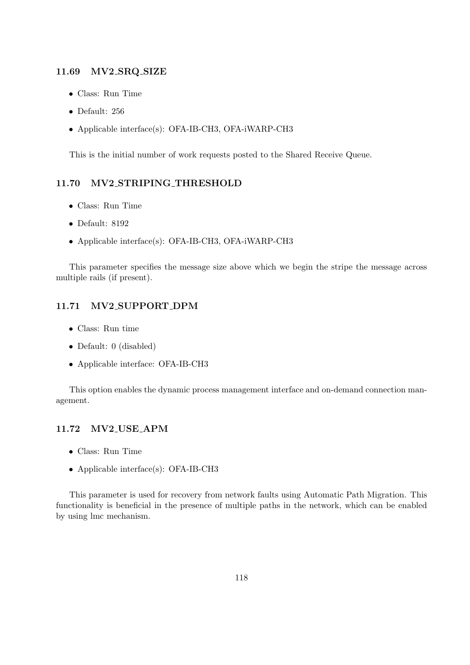#### 11.69 MV2 SRQ SIZE

- Class: Run Time
- Default: 256
- Applicable interface(s): OFA-IB-CH3, OFA-iWARP-CH3

This is the initial number of work requests posted to the Shared Receive Queue.

#### 11.70 MV2 STRIPING THRESHOLD

- Class: Run Time
- Default: 8192
- Applicable interface(s): OFA-IB-CH3, OFA-iWARP-CH3

This parameter specifies the message size above which we begin the stripe the message across multiple rails (if present).

### 11.71 MV2 SUPPORT DPM

- Class: Run time
- Default: 0 (disabled)
- Applicable interface: OFA-IB-CH3

This option enables the dynamic process management interface and on-demand connection management.

## 11.72 MV2 USE APM

- Class: Run Time
- Applicable interface(s): OFA-IB-CH3

This parameter is used for recovery from network faults using Automatic Path Migration. This functionality is beneficial in the presence of multiple paths in the network, which can be enabled by using lmc mechanism.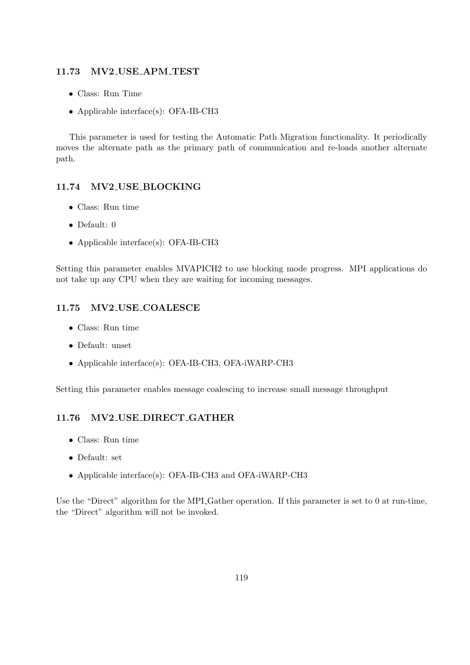#### 11.73 MV2 USE APM TEST

- Class: Run Time
- Applicable interface(s): OFA-IB-CH3

This parameter is used for testing the Automatic Path Migration functionality. It periodically moves the alternate path as the primary path of communication and re-loads another alternate path.

## 11.74 MV2 USE BLOCKING

- Class: Run time
- Default: 0
- Applicable interface(s): OFA-IB-CH3

Setting this parameter enables MVAPICH2 to use blocking mode progress. MPI applications do not take up any CPU when they are waiting for incoming messages.

#### 11.75 MV2 USE COALESCE

- Class: Run time
- Default: unset
- Applicable interface(s): OFA-IB-CH3, OFA-iWARP-CH3

Setting this parameter enables message coalescing to increase small message throughput

#### 11.76 MV2 USE DIRECT GATHER

- Class: Run time
- Default: set
- Applicable interface(s): OFA-IB-CH3 and OFA-iWARP-CH3

Use the "Direct" algorithm for the MPI Gather operation. If this parameter is set to 0 at run-time, the "Direct" algorithm will not be invoked.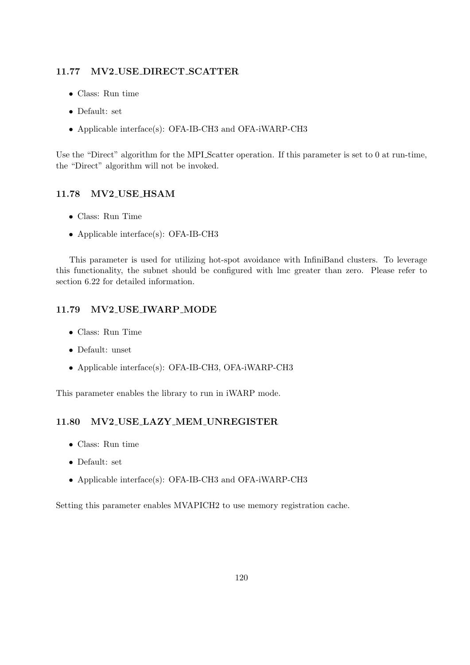### 11.77 MV2 USE DIRECT SCATTER

- Class: Run time
- Default: set
- Applicable interface(s): OFA-IB-CH3 and OFA-iWARP-CH3

Use the "Direct" algorithm for the MPI Scatter operation. If this parameter is set to 0 at run-time, the "Direct" algorithm will not be invoked.

## 11.78 MV2 USE HSAM

- Class: Run Time
- Applicable interface(s): OFA-IB-CH3

This parameter is used for utilizing hot-spot avoidance with InfiniBand clusters. To leverage this functionality, the subnet should be configured with lmc greater than zero. Please refer to section [6.22](#page-76-0) for detailed information.

#### 11.79 MV2 USE IWARP MODE

- Class: Run Time
- Default: unset
- Applicable interface(s): OFA-IB-CH3, OFA-iWARP-CH3

This parameter enables the library to run in iWARP mode.

## 11.80 MV2 USE LAZY MEM UNREGISTER

- Class: Run time
- Default: set
- Applicable interface(s): OFA-IB-CH3 and OFA-iWARP-CH3

Setting this parameter enables MVAPICH2 to use memory registration cache.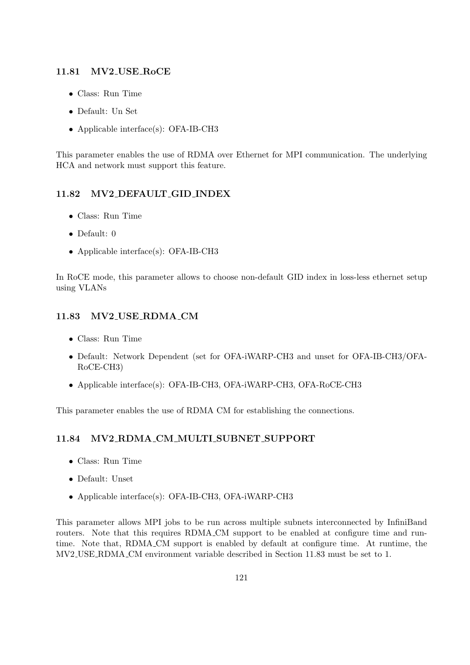### 11.81 MV2 USE RoCE

- Class: Run Time
- Default: Un Set
- Applicable interface(s): OFA-IB-CH3

This parameter enables the use of RDMA over Ethernet for MPI communication. The underlying HCA and network must support this feature.

## 11.82 MV2 DEFAULT GID INDEX

- Class: Run Time
- Default: 0
- Applicable interface(s): OFA-IB-CH3

In RoCE mode, this parameter allows to choose non-default GID index in loss-less ethernet setup using VLANs

## <span id="page-129-0"></span>11.83 MV2 USE RDMA CM

- Class: Run Time
- Default: Network Dependent (set for OFA-iWARP-CH3 and unset for OFA-IB-CH3/OFA-RoCE-CH3)
- Applicable interface(s): OFA-IB-CH3, OFA-iWARP-CH3, OFA-RoCE-CH3

This parameter enables the use of RDMA CM for establishing the connections.

### 11.84 MV2 RDMA CM MULTI SUBNET SUPPORT

- Class: Run Time
- Default: Unset
- Applicable interface(s): OFA-IB-CH3, OFA-iWARP-CH3

This parameter allows MPI jobs to be run across multiple subnets interconnected by InfiniBand routers. Note that this requires RDMA\_CM support to be enabled at configure time and runtime. Note that, RDMA CM support is enabled by default at configure time. At runtime, the MV2 USE RDMA CM environment variable described in Section [11.83](#page-129-0) must be set to 1.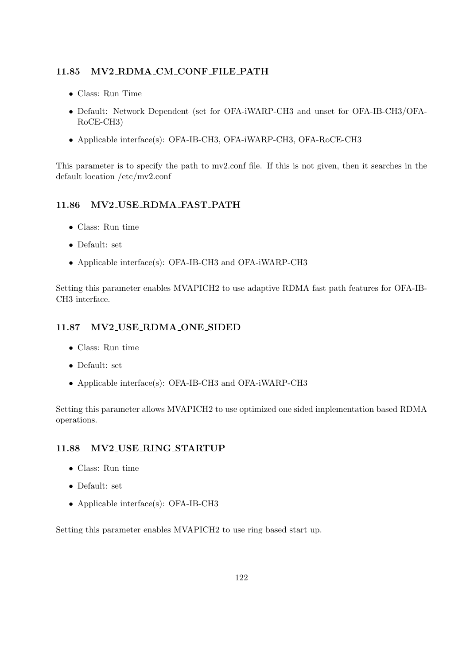## 11.85 MV2 RDMA CM CONF FILE PATH

- Class: Run Time
- Default: Network Dependent (set for OFA-iWARP-CH3 and unset for OFA-IB-CH3/OFA-RoCE-CH3)
- Applicable interface(s): OFA-IB-CH3, OFA-iWARP-CH3, OFA-RoCE-CH3

This parameter is to specify the path to mv2.conf file. If this is not given, then it searches in the default location /etc/mv2.conf

## 11.86 MV2 USE RDMA FAST PATH

- Class: Run time
- Default: set
- Applicable interface(s): OFA-IB-CH3 and OFA-iWARP-CH3

Setting this parameter enables MVAPICH2 to use adaptive RDMA fast path features for OFA-IB-CH3 interface.

## 11.87 MV2 USE RDMA ONE SIDED

- Class: Run time
- Default: set
- Applicable interface(s): OFA-IB-CH3 and OFA-iWARP-CH3

Setting this parameter allows MVAPICH2 to use optimized one sided implementation based RDMA operations.

### 11.88 MV2 USE RING STARTUP

- Class: Run time
- Default: set
- Applicable interface(s): OFA-IB-CH3

Setting this parameter enables MVAPICH2 to use ring based start up.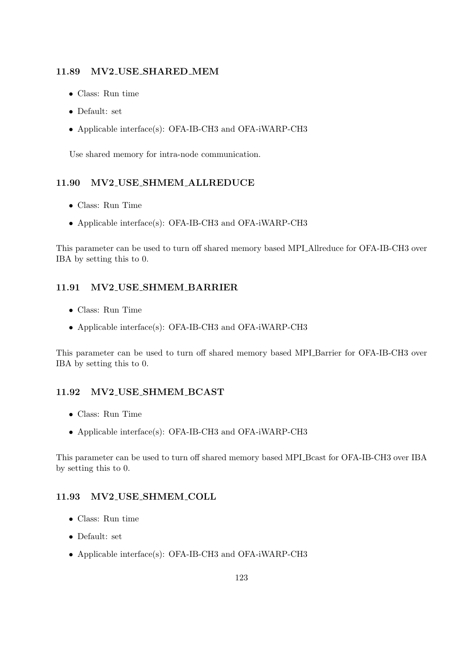### 11.89 MV2 USE SHARED MEM

- Class: Run time
- Default: set
- Applicable interface(s): OFA-IB-CH3 and OFA-iWARP-CH3

Use shared memory for intra-node communication.

### 11.90 MV2 USE SHMEM ALLREDUCE

- Class: Run Time
- Applicable interface(s): OFA-IB-CH3 and OFA-iWARP-CH3

This parameter can be used to turn off shared memory based MPI Allreduce for OFA-IB-CH3 over IBA by setting this to 0.

### 11.91 MV2 USE SHMEM BARRIER

- Class: Run Time
- Applicable interface(s): OFA-IB-CH3 and OFA-iWARP-CH3

This parameter can be used to turn off shared memory based MPI Barrier for OFA-IB-CH3 over IBA by setting this to 0.

### 11.92 MV2 USE SHMEM BCAST

- Class: Run Time
- Applicable interface(s): OFA-IB-CH3 and OFA-iWARP-CH3

This parameter can be used to turn off shared memory based MPI Bcast for OFA-IB-CH3 over IBA by setting this to 0.

### 11.93 MV2 USE SHMEM COLL

- Class: Run time
- Default: set
- Applicable interface(s): OFA-IB-CH3 and OFA-iWARP-CH3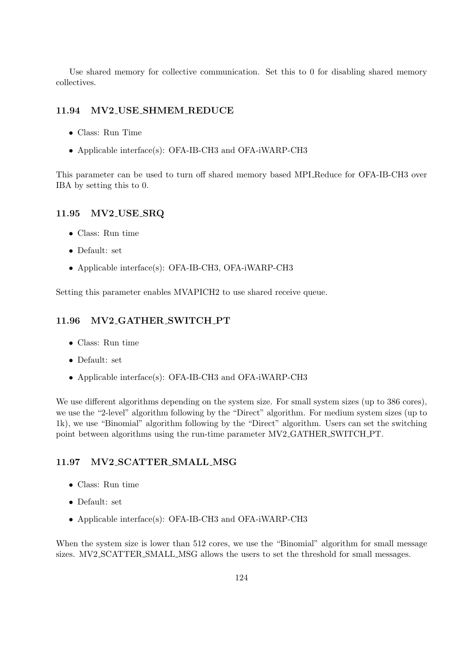Use shared memory for collective communication. Set this to 0 for disabling shared memory collectives.

#### 11.94 MV2 USE SHMEM REDUCE

- Class: Run Time
- Applicable interface(s): OFA-IB-CH3 and OFA-iWARP-CH3

This parameter can be used to turn off shared memory based MPI Reduce for OFA-IB-CH3 over IBA by setting this to 0.

#### 11.95 MV2 USE SRQ

- Class: Run time
- Default: set
- Applicable interface(s): OFA-IB-CH3, OFA-iWARP-CH3

Setting this parameter enables MVAPICH2 to use shared receive queue.

#### 11.96 MV2\_GATHER\_SWITCH\_PT

- Class: Run time
- Default: set
- Applicable interface(s): OFA-IB-CH3 and OFA-iWARP-CH3

We use different algorithms depending on the system size. For small system sizes (up to 386 cores), we use the "2-level" algorithm following by the "Direct" algorithm. For medium system sizes (up to 1k), we use "Binomial" algorithm following by the "Direct" algorithm. Users can set the switching point between algorithms using the run-time parameter MV2 GATHER SWITCH PT.

### 11.97 MV2 SCATTER SMALL MSG

- Class: Run time
- Default: set
- Applicable interface(s): OFA-IB-CH3 and OFA-iWARP-CH3

When the system size is lower than 512 cores, we use the "Binomial" algorithm for small message sizes. MV2 SCATTER SMALL MSG allows the users to set the threshold for small messages.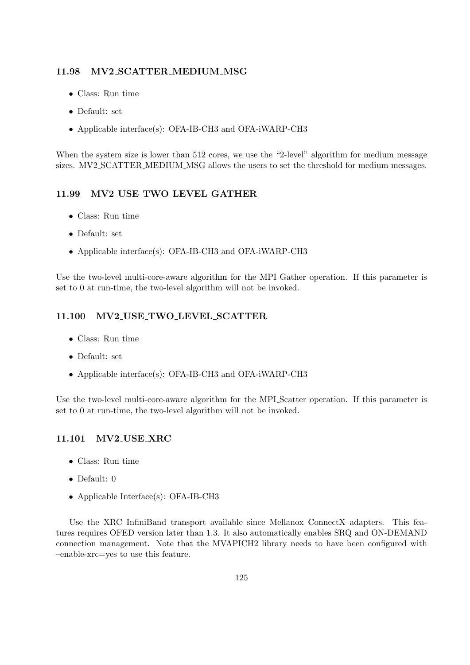### 11.98 MV2 SCATTER MEDIUM MSG

- Class: Run time
- Default: set
- Applicable interface(s): OFA-IB-CH3 and OFA-iWARP-CH3

When the system size is lower than 512 cores, we use the "2-level" algorithm for medium message sizes. MV2 SCATTER MEDIUM MSG allows the users to set the threshold for medium messages.

## 11.99 MV2 USE TWO LEVEL GATHER

- Class: Run time
- Default: set
- Applicable interface(s): OFA-IB-CH3 and OFA-iWARP-CH3

Use the two-level multi-core-aware algorithm for the MPI Gather operation. If this parameter is set to 0 at run-time, the two-level algorithm will not be invoked.

### 11.100 MV2 USE TWO LEVEL SCATTER

- Class: Run time
- Default: set
- Applicable interface(s): OFA-IB-CH3 and OFA-iWARP-CH3

Use the two-level multi-core-aware algorithm for the MPI Scatter operation. If this parameter is set to 0 at run-time, the two-level algorithm will not be invoked.

### 11.101 MV2 USE XRC

- Class: Run time
- Default: 0
- Applicable Interface(s): OFA-IB-CH3

Use the XRC InfiniBand transport available since Mellanox ConnectX adapters. This features requires OFED version later than 1.3. It also automatically enables SRQ and ON-DEMAND connection management. Note that the MVAPICH2 library needs to have been configured with –enable-xrc=yes to use this feature.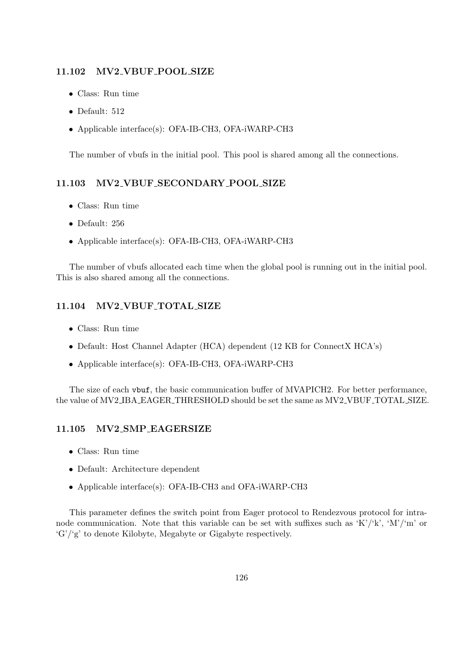#### 11.102 MV2 VBUF POOL SIZE

- Class: Run time
- Default: 512
- Applicable interface(s): OFA-IB-CH3, OFA-iWARP-CH3

The number of vbufs in the initial pool. This pool is shared among all the connections.

#### 11.103 MV2 VBUF SECONDARY POOL SIZE

- Class: Run time
- Default: 256
- Applicable interface(s): OFA-IB-CH3, OFA-iWARP-CH3

The number of vbufs allocated each time when the global pool is running out in the initial pool. This is also shared among all the connections.

#### 11.104 MV2 VBUF TOTAL SIZE

- Class: Run time
- Default: Host Channel Adapter (HCA) dependent (12 KB for ConnectX HCA's)
- Applicable interface(s): OFA-IB-CH3, OFA-iWARP-CH3

The size of each vbuf, the basic communication buffer of MVAPICH2. For better performance, the value of MV2 IBA EAGER THRESHOLD should be set the same as MV2 VBUF TOTAL SIZE.

## 11.105 MV2 SMP EAGERSIZE

- Class: Run time
- Default: Architecture dependent
- Applicable interface(s): OFA-IB-CH3 and OFA-iWARP-CH3

This parameter defines the switch point from Eager protocol to Rendezvous protocol for intranode communication. Note that this variable can be set with suffixes such as 'K'/'k', 'M'/'m' or 'G'/'g' to denote Kilobyte, Megabyte or Gigabyte respectively.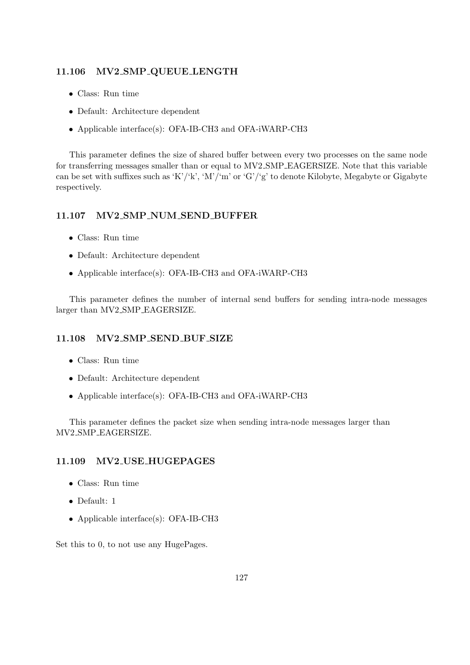#### 11.106 MV2 SMP QUEUE LENGTH

- Class: Run time
- Default: Architecture dependent
- Applicable interface(s): OFA-IB-CH3 and OFA-iWARP-CH3

This parameter defines the size of shared buffer between every two processes on the same node for transferring messages smaller than or equal to MV2 SMP EAGERSIZE. Note that this variable can be set with suffixes such as 'K'/'k', 'M'/'m' or 'G'/'g' to denote Kilobyte, Megabyte or Gigabyte respectively.

#### 11.107 MV2 SMP NUM SEND BUFFER

- Class: Run time
- Default: Architecture dependent
- Applicable interface(s): OFA-IB-CH3 and OFA-iWARP-CH3

This parameter defines the number of internal send buffers for sending intra-node messages larger than MV2 SMP EAGERSIZE.

#### 11.108 MV2 SMP SEND BUF SIZE

- Class: Run time
- Default: Architecture dependent
- Applicable interface(s): OFA-IB-CH3 and OFA-iWARP-CH3

This parameter defines the packet size when sending intra-node messages larger than MV2 SMP EAGERSIZE.

#### 11.109 MV2 USE HUGEPAGES

- Class: Run time
- Default: 1
- Applicable interface(s): OFA-IB-CH3

Set this to 0, to not use any HugePages.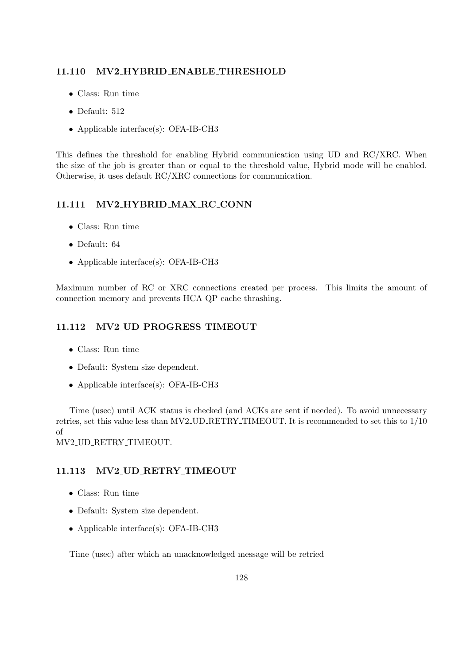### 11.110 MV2 HYBRID ENABLE THRESHOLD

- Class: Run time
- Default: 512
- Applicable interface(s): OFA-IB-CH3

This defines the threshold for enabling Hybrid communication using UD and RC/XRC. When the size of the job is greater than or equal to the threshold value, Hybrid mode will be enabled. Otherwise, it uses default RC/XRC connections for communication.

## 11.111 MV2 HYBRID MAX RC CONN

- Class: Run time
- Default: 64
- Applicable interface(s): OFA-IB-CH3

Maximum number of RC or XRC connections created per process. This limits the amount of connection memory and prevents HCA QP cache thrashing.

## 11.112 MV2 UD PROGRESS TIMEOUT

- Class: Run time
- Default: System size dependent.
- Applicable interface(s): OFA-IB-CH3

Time (usec) until ACK status is checked (and ACKs are sent if needed). To avoid unnecessary retries, set this value less than MV2 UD RETRY TIMEOUT. It is recommended to set this to 1/10 of

MV2 UD RETRY TIMEOUT.

## 11.113 MV2 UD RETRY TIMEOUT

- Class: Run time
- Default: System size dependent.
- Applicable interface(s): OFA-IB-CH3

Time (usec) after which an unacknowledged message will be retried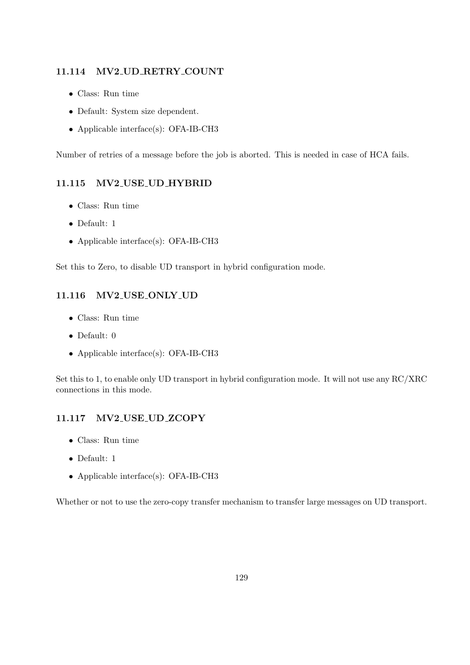### 11.114 MV2 UD RETRY COUNT

- Class: Run time
- Default: System size dependent.
- Applicable interface(s): OFA-IB-CH3

Number of retries of a message before the job is aborted. This is needed in case of HCA fails.

#### 11.115 MV2 USE UD HYBRID

- Class: Run time
- Default: 1
- Applicable interface(s): OFA-IB-CH3

Set this to Zero, to disable UD transport in hybrid configuration mode.

## 11.116 MV2 USE ONLY UD

- Class: Run time
- Default: 0
- Applicable interface(s): OFA-IB-CH3

Set this to 1, to enable only UD transport in hybrid configuration mode. It will not use any RC/XRC connections in this mode.

### 11.117 MV2 USE UD ZCOPY

- Class: Run time
- Default: 1
- Applicable interface(s): OFA-IB-CH3

Whether or not to use the zero-copy transfer mechanism to transfer large messages on UD transport.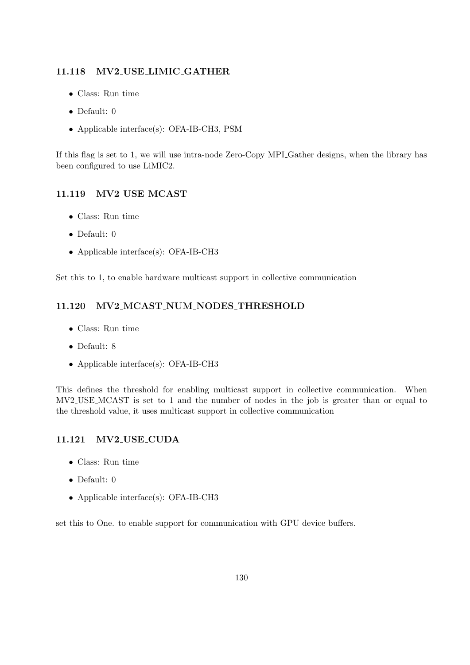## 11.118 MV2 USE LIMIC GATHER

- Class: Run time
- Default: 0
- Applicable interface(s): OFA-IB-CH3, PSM

If this flag is set to 1, we will use intra-node Zero-Copy MPI Gather designs, when the library has been configured to use LiMIC2.

## 11.119 MV2 USE MCAST

- Class: Run time
- Default: 0
- Applicable interface(s): OFA-IB-CH3

Set this to 1, to enable hardware multicast support in collective communication

## 11.120 MV2 MCAST NUM NODES THRESHOLD

- Class: Run time
- Default: 8
- Applicable interface(s): OFA-IB-CH3

This defines the threshold for enabling multicast support in collective communication. When MV2 USE MCAST is set to 1 and the number of nodes in the job is greater than or equal to the threshold value, it uses multicast support in collective communication

## 11.121 MV2 USE CUDA

- Class: Run time
- Default: 0
- Applicable interface(s): OFA-IB-CH3

set this to One. to enable support for communication with GPU device buffers.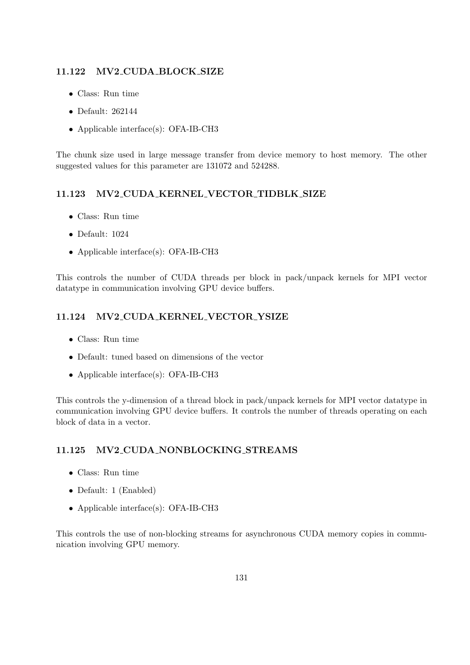### 11.122 MV2 CUDA BLOCK SIZE

- Class: Run time
- Default: 262144
- Applicable interface(s): OFA-IB-CH3

The chunk size used in large message transfer from device memory to host memory. The other suggested values for this parameter are 131072 and 524288.

## 11.123 MV2 CUDA KERNEL VECTOR TIDBLK SIZE

- Class: Run time
- Default: 1024
- Applicable interface(s): OFA-IB-CH3

This controls the number of CUDA threads per block in pack/unpack kernels for MPI vector datatype in communication involving GPU device buffers.

### 11.124 MV2 CUDA KERNEL VECTOR YSIZE

- Class: Run time
- Default: tuned based on dimensions of the vector
- Applicable interface(s): OFA-IB-CH3

This controls the y-dimension of a thread block in pack/unpack kernels for MPI vector datatype in communication involving GPU device buffers. It controls the number of threads operating on each block of data in a vector.

### 11.125 MV2 CUDA NONBLOCKING STREAMS

- Class: Run time
- Default: 1 (Enabled)
- Applicable interface(s): OFA-IB-CH3

This controls the use of non-blocking streams for asynchronous CUDA memory copies in communication involving GPU memory.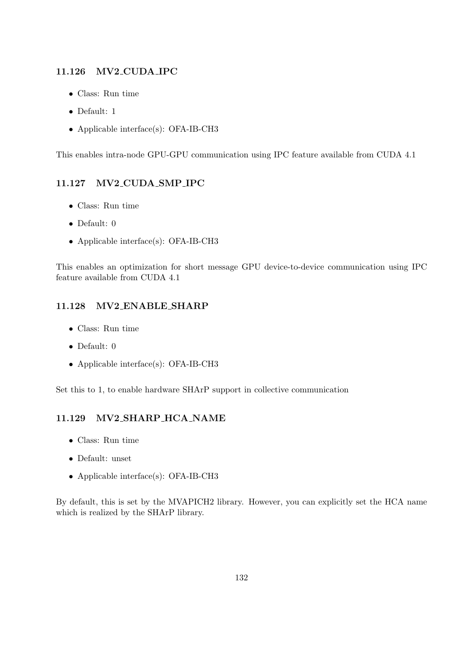### 11.126 MV2 CUDA IPC

- Class: Run time
- Default: 1
- Applicable interface(s): OFA-IB-CH3

This enables intra-node GPU-GPU communication using IPC feature available from CUDA 4.1

## 11.127 MV2 CUDA SMP IPC

- Class: Run time
- Default: 0
- Applicable interface(s): OFA-IB-CH3

This enables an optimization for short message GPU device-to-device communication using IPC feature available from CUDA 4.1

## 11.128 MV2 ENABLE SHARP

- Class: Run time
- Default: 0
- Applicable interface(s): OFA-IB-CH3

Set this to 1, to enable hardware SHArP support in collective communication

## 11.129 MV2 SHARP HCA NAME

- Class: Run time
- Default: unset
- Applicable interface(s): OFA-IB-CH3

By default, this is set by the MVAPICH2 library. However, you can explicitly set the HCA name which is realized by the SHArP library.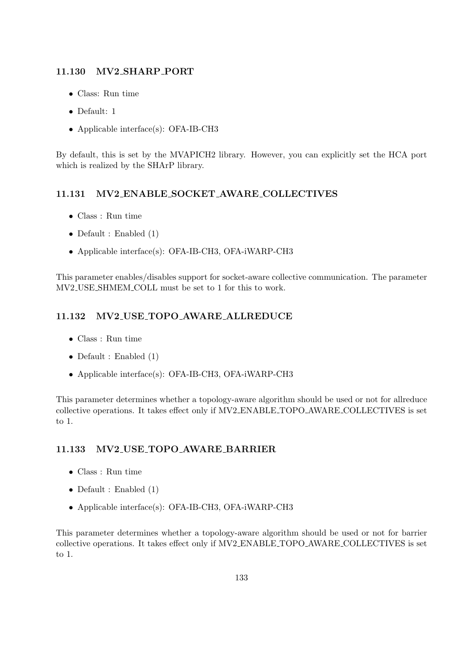### 11.130 MV2 SHARP PORT

- Class: Run time
- Default: 1
- Applicable interface(s): OFA-IB-CH3

By default, this is set by the MVAPICH2 library. However, you can explicitly set the HCA port which is realized by the SHArP library.

## 11.131 MV2 ENABLE SOCKET AWARE COLLECTIVES

- Class : Run time
- Default : Enabled (1)
- Applicable interface(s): OFA-IB-CH3, OFA-iWARP-CH3

This parameter enables/disables support for socket-aware collective communication. The parameter MV2 USE SHMEM COLL must be set to 1 for this to work.

## 11.132 MV2 USE TOPO AWARE ALLREDUCE

- Class : Run time
- Default : Enabled  $(1)$
- Applicable interface(s): OFA-IB-CH3, OFA-iWARP-CH3

This parameter determines whether a topology-aware algorithm should be used or not for allreduce collective operations. It takes effect only if MV2 ENABLE TOPO AWARE COLLECTIVES is set to 1.

## 11.133 MV2 USE TOPO AWARE BARRIER

- Class : Run time
- Default : Enabled (1)
- Applicable interface(s): OFA-IB-CH3, OFA-iWARP-CH3

This parameter determines whether a topology-aware algorithm should be used or not for barrier collective operations. It takes effect only if MV2 ENABLE TOPO AWARE COLLECTIVES is set to 1.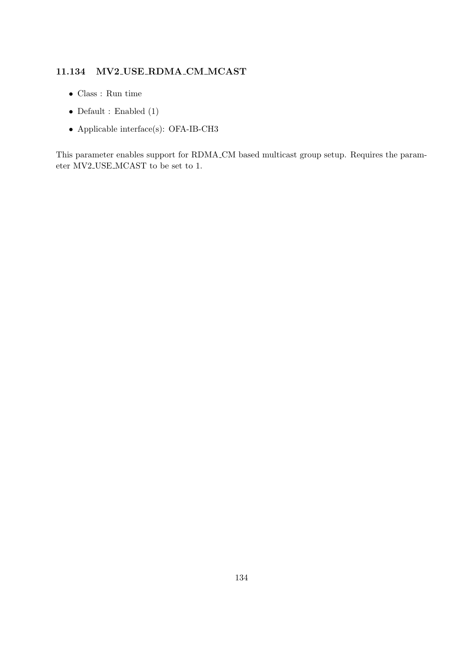## 11.134 MV2 USE RDMA CM MCAST

- Class : Run time
- $\bullet$  Default : Enabled (1)
- $\bullet$  Applicable interface(s): OFA-IB-CH3

This parameter enables support for RDMA CM based multicast group setup. Requires the parameter MV2 USE MCAST to be set to 1.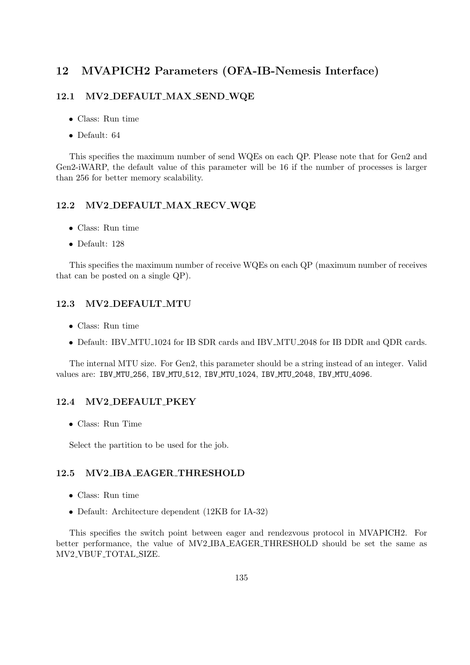# 12 MVAPICH2 Parameters (OFA-IB-Nemesis Interface)

### 12.1 MV2 DEFAULT MAX SEND WQE

- Class: Run time
- Default: 64

This specifies the maximum number of send WQEs on each QP. Please note that for Gen2 and Gen2-iWARP, the default value of this parameter will be 16 if the number of processes is larger than 256 for better memory scalability.

### 12.2 MV2 DEFAULT MAX RECV WQE

- Class: Run time
- Default: 128

This specifies the maximum number of receive WQEs on each QP (maximum number of receives that can be posted on a single QP).

#### 12.3 MV2 DEFAULT MTU

- Class: Run time
- Default: IBV MTU 1024 for IB SDR cards and IBV MTU 2048 for IB DDR and QDR cards.

The internal MTU size. For Gen2, this parameter should be a string instead of an integer. Valid values are: IBV MTU 256, IBV MTU 512, IBV MTU 1024, IBV MTU 2048, IBV MTU 4096.

## 12.4 MV2 DEFAULT PKEY

• Class: Run Time

Select the partition to be used for the job.

### 12.5 MV2 IBA EAGER THRESHOLD

- Class: Run time
- Default: Architecture dependent (12KB for IA-32)

This specifies the switch point between eager and rendezvous protocol in MVAPICH2. For better performance, the value of MV2 IBA EAGER THRESHOLD should be set the same as MV2 VBUF TOTAL SIZE.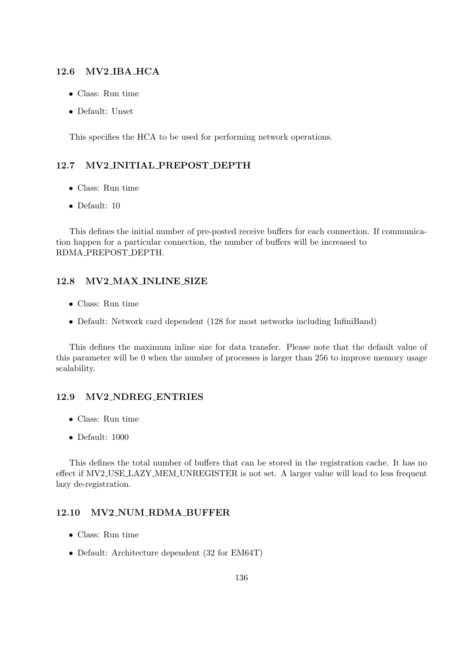#### 12.6 MV2 IBA HCA

- Class: Run time
- Default: Unset

This specifies the HCA to be used for performing network operations.

## 12.7 MV2 INITIAL PREPOST DEPTH

- Class: Run time
- Default: 10

This defines the initial number of pre-posted receive buffers for each connection. If communication happen for a particular connection, the number of buffers will be increased to RDMA PREPOST DEPTH.

#### 12.8 MV2 MAX INLINE SIZE

- Class: Run time
- Default: Network card dependent (128 for most networks including InfiniBand)

This defines the maximum inline size for data transfer. Please note that the default value of this parameter will be 0 when the number of processes is larger than 256 to improve memory usage scalability.

#### 12.9 MV2 NDREG ENTRIES

- Class: Run time
- Default: 1000

This defines the total number of buffers that can be stored in the registration cache. It has no effect if MV2 USE LAZY MEM UNREGISTER is not set. A larger value will lead to less frequent lazy de-registration.

#### 12.10 MV2 NUM RDMA BUFFER

- Class: Run time
- Default: Architecture dependent (32 for EM64T)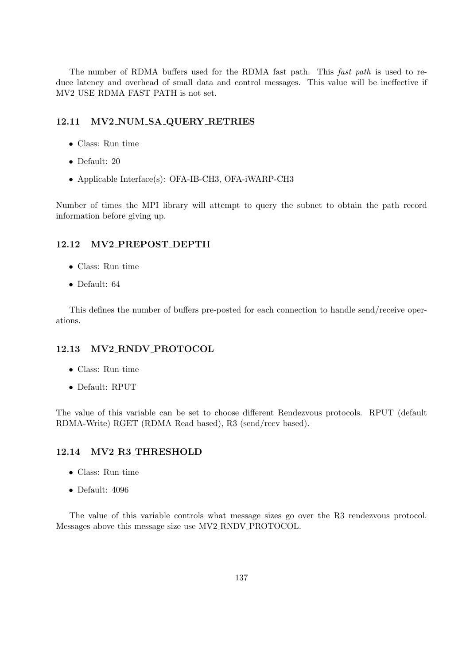The number of RDMA buffers used for the RDMA fast path. This fast path is used to reduce latency and overhead of small data and control messages. This value will be ineffective if MV2 USE RDMA FAST PATH is not set.

## 12.11 MV2 NUM SA QUERY RETRIES

- Class: Run time
- Default: 20
- Applicable Interface(s): OFA-IB-CH3, OFA-iWARP-CH3

Number of times the MPI library will attempt to query the subnet to obtain the path record information before giving up.

### 12.12 MV2 PREPOST DEPTH

- Class: Run time
- Default: 64

This defines the number of buffers pre-posted for each connection to handle send/receive operations.

### 12.13 MV2 RNDV PROTOCOL

- Class: Run time
- Default: RPUT

The value of this variable can be set to choose different Rendezvous protocols. RPUT (default RDMA-Write) RGET (RDMA Read based), R3 (send/recv based).

### 12.14 MV2 R3 THRESHOLD

- Class: Run time
- Default: 4096

The value of this variable controls what message sizes go over the R3 rendezvous protocol. Messages above this message size use MV2 RNDV PROTOCOL.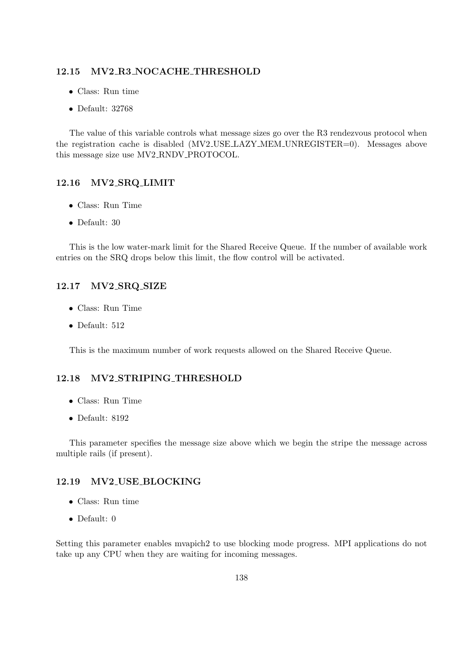#### 12.15 MV2 R3 NOCACHE THRESHOLD

- Class: Run time
- Default: 32768

The value of this variable controls what message sizes go over the R3 rendezvous protocol when the registration cache is disabled (MV2\_USE\_LAZY\_MEM\_UNREGISTER=0). Messages above this message size use MV2 RNDV PROTOCOL.

#### 12.16 MV2 SRQ LIMIT

- Class: Run Time
- Default: 30

This is the low water-mark limit for the Shared Receive Queue. If the number of available work entries on the SRQ drops below this limit, the flow control will be activated.

#### 12.17 MV2 SRQ SIZE

- Class: Run Time
- Default: 512

This is the maximum number of work requests allowed on the Shared Receive Queue.

## 12.18 MV2 STRIPING THRESHOLD

- Class: Run Time
- Default: 8192

This parameter specifies the message size above which we begin the stripe the message across multiple rails (if present).

## 12.19 MV2 USE BLOCKING

- Class: Run time
- Default: 0

Setting this parameter enables mvapich2 to use blocking mode progress. MPI applications do not take up any CPU when they are waiting for incoming messages.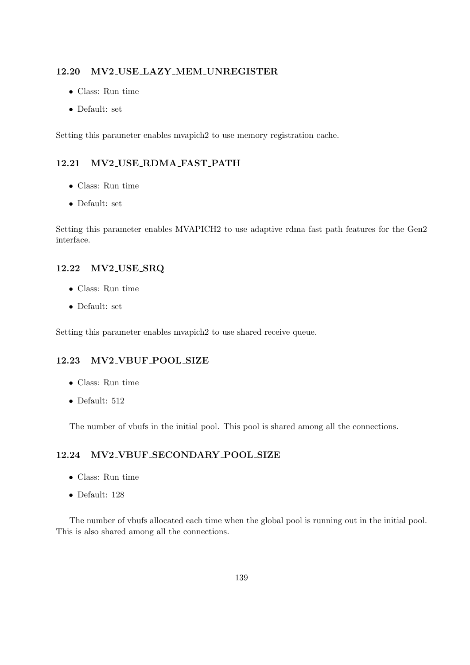#### 12.20 MV2 USE LAZY MEM UNREGISTER

- Class: Run time
- Default: set

Setting this parameter enables mvapich2 to use memory registration cache.

## 12.21 MV2 USE RDMA FAST PATH

- Class: Run time
- Default: set

Setting this parameter enables MVAPICH2 to use adaptive rdma fast path features for the Gen2 interface.

#### 12.22 MV2 USE SRQ

- Class: Run time
- Default: set

Setting this parameter enables mvapich2 to use shared receive queue.

## 12.23 MV2 VBUF POOL SIZE

- Class: Run time
- Default: 512

The number of vbufs in the initial pool. This pool is shared among all the connections.

## 12.24 MV2 VBUF SECONDARY POOL SIZE

- Class: Run time
- Default: 128

The number of vbufs allocated each time when the global pool is running out in the initial pool. This is also shared among all the connections.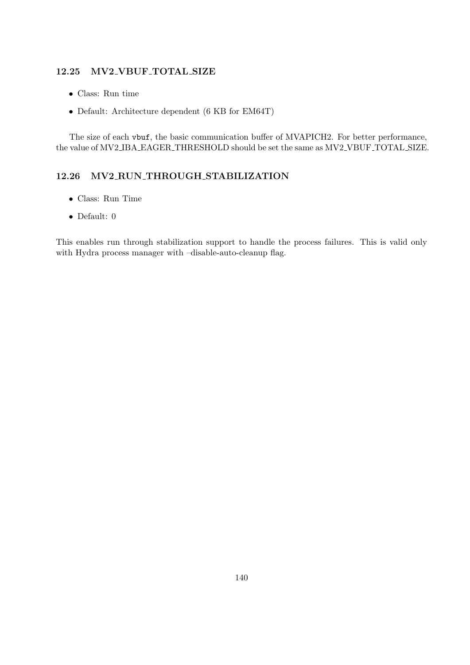#### 12.25 MV2 VBUF TOTAL SIZE

- Class: Run time
- Default: Architecture dependent (6 KB for EM64T)

The size of each vbuf, the basic communication buffer of MVAPICH2. For better performance, the value of MV2 IBA EAGER THRESHOLD should be set the same as MV2 VBUF TOTAL SIZE.

## 12.26 MV2 RUN THROUGH STABILIZATION

- Class: Run Time
- Default: 0

This enables run through stabilization support to handle the process failures. This is valid only with Hydra process manager with –disable-auto-cleanup flag.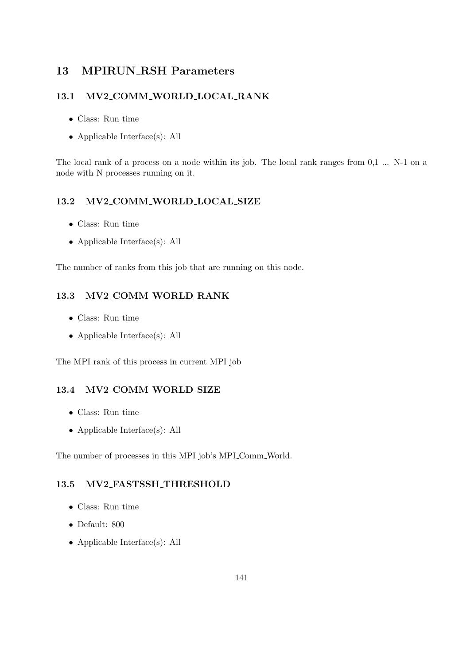# 13 MPIRUN RSH Parameters

## 13.1 MV2 COMM WORLD LOCAL RANK

- Class: Run time
- Applicable Interface(s): All

The local rank of a process on a node within its job. The local rank ranges from  $0,1 \ldots$  N-1 on a node with N processes running on it.

## 13.2 MV2 COMM WORLD LOCAL SIZE

- Class: Run time
- Applicable Interface(s): All

The number of ranks from this job that are running on this node.

## 13.3 MV2 COMM WORLD RANK

- Class: Run time
- Applicable Interface(s): All

The MPI rank of this process in current MPI job

### 13.4 MV2 COMM WORLD SIZE

- Class: Run time
- Applicable Interface(s): All

The number of processes in this MPI job's MPI Comm World.

### 13.5 MV2 FASTSSH THRESHOLD

- Class: Run time
- Default: 800
- Applicable Interface(s): All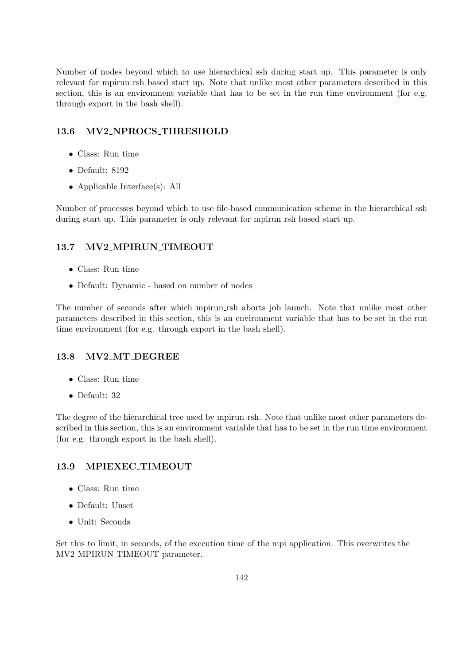Number of nodes beyond which to use hierarchical ssh during start up. This parameter is only relevant for mpirun rsh based start up. Note that unlike most other parameters described in this section, this is an environment variable that has to be set in the run time environment (for e.g. through export in the bash shell).

## 13.6 MV2 NPROCS THRESHOLD

- Class: Run time
- Default: 8192
- Applicable Interface(s): All

Number of processes beyond which to use file-based communication scheme in the hierarchical ssh during start up. This parameter is only relevant for mpirun rsh based start up.

## 13.7 MV2 MPIRUN TIMEOUT

- Class: Run time
- Default: Dynamic based on number of nodes

The number of seconds after which mpirun rsh aborts job launch. Note that unlike most other parameters described in this section, this is an environment variable that has to be set in the run time environment (for e.g. through export in the bash shell).

## 13.8 MV2 MT DEGREE

- Class: Run time
- Default: 32

The degree of the hierarchical tree used by mpirun rsh. Note that unlike most other parameters described in this section, this is an environment variable that has to be set in the run time environment (for e.g. through export in the bash shell).

## 13.9 MPIEXEC TIMEOUT

- Class: Run time
- Default: Unset
- Unit: Seconds

Set this to limit, in seconds, of the execution time of the mpi application. This overwrites the MV2 MPIRUN TIMEOUT parameter.